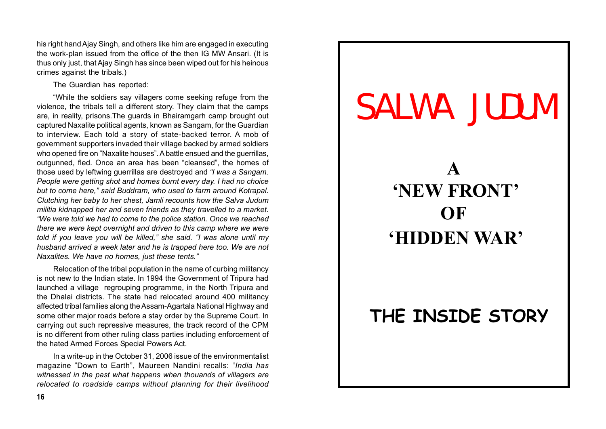his right hand Ajay Singh, and others like him are engaged in executing the work-plan issued from the office of the then IG MW Ansari. (It is thus only just, that Ajay Singh has since been wiped out for his heinous crimes against the tribals.)

The Guardian has reported:

"While the soldiers say villagers come seeking refuge from the violence, the tribals tell a different story. They claim that the camps are, in reality, prisons.The guards in Bhairamgarh camp brought out captured Naxalite political agents, known as Sangam, for the Guardian to interview. Each told a story of state-backed terror. A mob of government supporters invaded their village backed by armed soldiers who opened fire on "Naxalite houses". A battle ensued and the querrillas, outgunned, fled. Once an area has been "cleansed", the homes of those used by leftwing guerrillas are destroyed and *"I was a Sangam. People were getting shot and homes burnt every day. I had no choice but to come here," said Buddram, who used to farm around Kotrapal. Clutching her baby to her chest, Jamli recounts how the Salva Judum militia kidnapped her and seven friends as they travelled to a market. "We were told we had to come to the police station. Once we reached there we were kept overnight and driven to this camp where we were told if you leave you will be killed," she said. "I was alone until my husband arrived a week later and he is trapped here too. We are not Naxalites. We have no homes, just these tents."*

Relocation of the tribal population in the name of curbing militancy is not new to the Indian state. In 1994 the Government of Tripura had launched a village regrouping programme, in the North Tripura and the Dhalai districts. The state had relocated around 400 militancy affected tribal families along the Assam-Agartala National Highway and some other major roads before a stay order by the Supreme Court. In carrying out such repressive measures, the track record of the CPM is no different from other ruling class parties including enforcement of the hated Armed Forces Special Powers Act.

In a write-up in the October 31, 2006 issue of the environmentalist magazine "Down to Earth", Maureen Nandini recalls: "*India has witnessed in the past what happens when thouands of villagers are relocated to roadside camps without planning for their livelihood*

# SALWA JUDUM **A 'NEW FRONT' OF 'HIDDEN WAR' THE INSIDE STORY**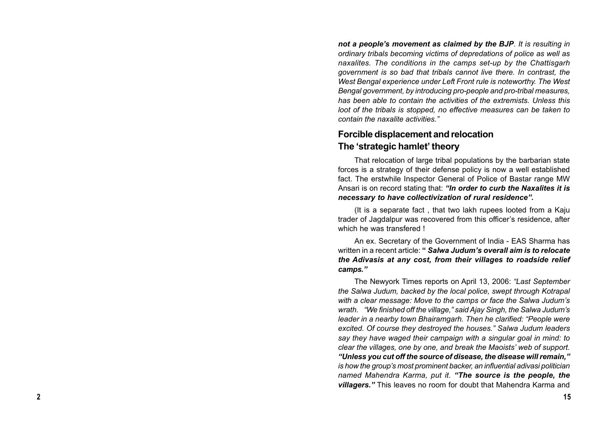*not a people's movement as claimed by the BJP. It is resulting in ordinary tribals becoming victims of depredations of police as well as naxalites. The conditions in the camps set-up by the Chattisgarh government is so bad that tribals cannot live there. In contrast, the West Bengal experience under Left Front rule is noteworthy. The West Bengal government, by introducing pro-people and pro-tribal measures, has been able to contain the activities of the extremists. Unless this loot of the tribals is stopped, no effective measures can be taken to contain the naxalite activities."*

## **Forcible displacement and relocation The 'strategic hamlet' theory**

That relocation of large tribal populations by the barbarian state forces is a strategy of their defense policy is now a well established fact. The erstwhile Inspector General of Police of Bastar range MW Ansari is on record stating that: *"In order to curb the Naxalites it is necessary to have collectivization of rural residence".*

(It is a separate fact , that two lakh rupees looted from a Kaju trader of Jagdalpur was recovered from this officer's residence, after which he was transfered !

An ex. Secretary of the Government of India - EAS Sharma has written in a recent article: **"** *Salwa Judum's overall aim is to relocate the Adivasis at any cost, from their villages to roadside relief camps."*

The Newyork Times reports on April 13, 2006: *"Last September the Salwa Judum, backed by the local police, swept through Kotrapal with a clear message: Move to the camps or face the Salwa Judum's wrath. "We finished off the village," said Ajay Singh, the Salwa Judum's leader in a nearby town Bhairamgarh. Then he clarified: "People were excited. Of course they destroyed the houses." Salwa Judum leaders say they have waged their campaign with a singular goal in mind: to clear the villages, one by one, and break the Maoists' web of support. "Unless you cut off the source of disease, the disease will remain," is how the group's most prominent backer, an influential adivasi politician named Mahendra Karma, put it. "The source is the people, the villagers."* This leaves no room for doubt that Mahendra Karma and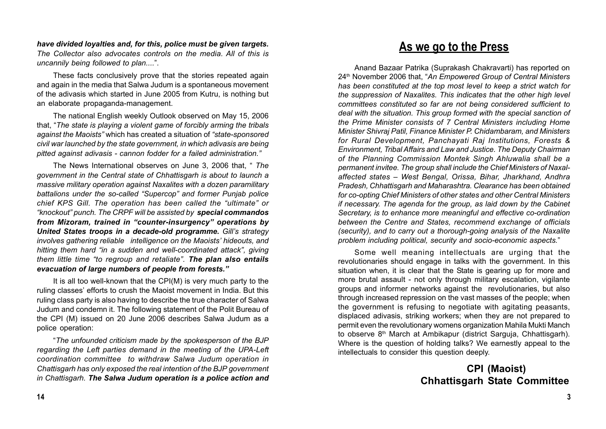*have divided loyalties and, for this, police must be given targets. The Collector also advocates controls on the media. All of this is uncannily being followed to plan....*".

These facts conclusively prove that the stories repeated again and again in the media that Salwa Judum is a spontaneous movement of the adivasis which started in June 2005 from Kutru, is nothing but an elaborate propaganda-management.

The national English weekly Outlook observed on May 15, 2006 that, "*The state is playing a violent game of forcibly arming the tribals against the Maoists"* which has created a situation of *"state-sponsored civil war launched by the state government, in which adivasis are being pitted against adivasis - cannon fodder for a failed administration."*

The News International observes on June 3, 2006 that, " *The government in the Central state of Chhattisgarh is about to launch a massive military operation against Naxalites with a dozen paramilitary battalions under the so-called "Supercop" and former Punjab police chief KPS Gill. The operation has been called the "ultimate" or "knockout" punch. The CRPF will be assisted by special commandos from Mizoram, trained in "counter-insurgency" operations by United States troops in a decade-old programme. Gill's strategy involves gathering reliable intelligence on the Maoists' hideouts, and hitting them hard "in a sudden and well-coordinated attack", giving them little time "to regroup and retaliate". The plan also entails evacuation of large numbers of people from forests."*

It is all too well-known that the CPI(M) is very much party to the ruling classes' efforts to crush the Maoist movement in India. But this ruling class party is also having to describe the true character of Salwa Judum and condemn it. The following statement of the Polit Bureau of the CPI (M) issued on 20 June 2006 describes Salwa Judum as a police operation:

"*The unfounded criticism made by the spokesperson of the BJP regarding the Left parties demand in the meeting of the UPA-Left coordination committee to withdraw Salwa Judum operation in Chattisgarh has only exposed the real intention of the BJP government in Chattisgarh. The Salwa Judum operation is a police action and*

# **As we go to the Press**

Anand Bazaar Patrika (Suprakash Chakravarti) has reported on 24th November 2006 that, "*An Empowered Group of Central Ministers has been constituted at the top most level to keep a strict watch for the suppression of Naxalites. This indicates that the other high level committees constituted so far are not being considered sufficient to deal with the situation. This group formed with the special sanction of the Prime Minister consists of 7 Central Ministers including Home Minister Shivraj Patil, Finance Minister P. Chidambaram, and Ministers for Rural Development, Panchayati Raj Institutions, Forests & Environment, Tribal Affairs and Law and Justice. The Deputy Chairman of the Planning Commission Montek Singh Ahluwalia shall be a permanent invitee. The group shall include the Chief Ministers of Naxalaffected states – West Bengal, Orissa, Bihar, Jharkhand, Andhra Pradesh, Chhattisgarh and Maharashtra. Clearance has been obtained for co-opting Chief Ministers of other states and other Central Ministers if necessary. The agenda for the group, as laid down by the Cabinet Secretary, is to enhance more meaningful and effective co-ordination between the Centre and States, recommend exchange of officials (security), and to carry out a thorough-going analysis of the Naxalite problem including political, security and socio-economic aspects.*"

Some well meaning intellectuals are urging that the revolutionaries should engage in talks with the government. In this situation when, it is clear that the State is gearing up for more and more brutal assault - not only through military escalation, vigilante groups and informer networks against the revolutionaries, but also through increased repression on the vast masses of the people; when the government is refusing to negotiate with agitating peasants, displaced adivasis, striking workers; when they are not prepared to permit even the revolutionary womens organization Mahila Mukti Manch to observe 8<sup>th</sup> March at Ambikapur (district Sarguja, Chhattisgarh). Where is the question of holding talks? We earnestly appeal to the intellectuals to consider this question deeply.

# **CPI (Maoist) Chhattisgarh State Committee**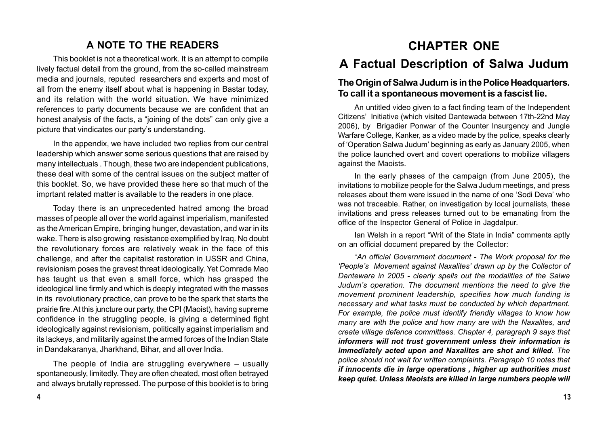# **A NOTE TO THE READERS**

This booklet is not a theoretical work. It is an attempt to compile lively factual detail from the ground, from the so-called mainstream media and journals, reputed researchers and experts and most of all from the enemy itself about what is happening in Bastar today, and its relation with the world situation. We have minimized references to party documents because we are confident that an honest analysis of the facts, a "joining of the dots" can only give a picture that vindicates our party's understanding.

In the appendix, we have included two replies from our central leadership which answer some serious questions that are raised by many intellectuals . Though, these two are independent publications, these deal with some of the central issues on the subject matter of this booklet. So, we have provided these here so that much of the imprtant related matter is available to the readers in one place.

Today there is an unprecedented hatred among the broad masses of people all over the world against imperialism, manifested as the American Empire, bringing hunger, devastation, and war in its wake. There is also growing resistance exemplified by Iraq. No doubt the revolutionary forces are relatively weak in the face of this challenge, and after the capitalist restoration in USSR and China, revisionism poses the gravest threat ideologically. Yet Comrade Mao has taught us that even a small force, which has grasped the ideological line firmly and which is deeply integrated with the masses in its revolutionary practice, can prove to be the spark that starts the prairie fire. At this juncture our party, the CPI (Maoist), having supreme confidence in the struggling people, is giving a determined fight ideologically against revisionism, politically against imperialism and its lackeys, and militarily against the armed forces of the Indian State in Dandakaranya, Jharkhand, Bihar, and all over India.

The people of India are struggling everywhere – usually spontaneously, limitedly. They are often cheated, most often betrayed and always brutally repressed. The purpose of this booklet is to bring

# **CHAPTER ONE**

# **A Factual Description of Salwa Judum**

# **The Origin of Salwa Judum is in the Police Headquarters. To call it a spontaneous movement is a fascist lie.**

An untitled video given to a fact finding team of the Independent Citizens' Initiative (which visited Dantewada between 17th-22nd May 2006), by Brigadier Ponwar of the Counter Insurgency and Jungle Warfare College, Kanker, as a video made by the police, speaks clearly of 'Operation Salwa Judum' beginning as early as January 2005, when the police launched overt and covert operations to mobilize villagers against the Maoists.

In the early phases of the campaign (from June 2005), the invitations to mobilize people for the Salwa Judum meetings, and press releases about them were issued in the name of one 'Sodi Deva' who was not traceable. Rather, on investigation by local journalists, these invitations and press releases turned out to be emanating from the office of the Inspector General of Police in Jagdalpur.

Ian Welsh in a report "Writ of the State in India" comments aptly on an official document prepared by the Collector:

"*An official Government document - The Work proposal for the 'People's Movement against Naxalites' drawn up by the Collector of Dantewara in 2005 - clearly spells out the modalities of the Salwa Judum's operation. The document mentions the need to give the movement prominent leadership, specifies how much funding is necessary and what tasks must be conducted by which department. For example, the police must identify friendly villages to know how many are with the police and how many are with the Naxalites, and create village defence committees. Chapter 4, paragraph 9 says that informers will not trust government unless their information is immediately acted upon and Naxalites are shot and killed. The police should not wait for written complaints. Paragraph 10 notes that if innocents die in large operations , higher up authorities must keep quiet. Unless Maoists are killed in large numbers people will*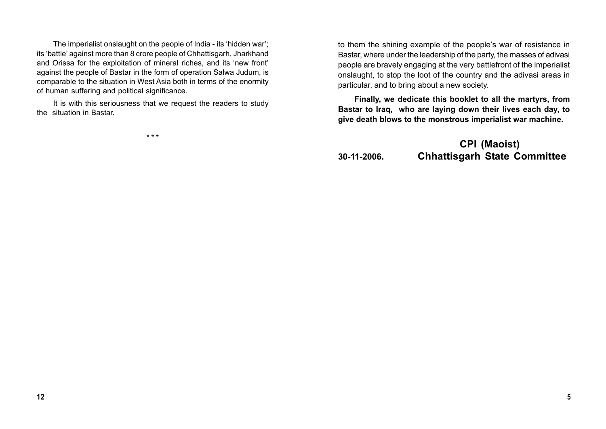The imperialist onslaught on the people of India - its 'hidden war'; its 'battle' against more than 8 crore people of Chhattisgarh, Jharkhand and Orissa for the exploitation of mineral riches, and its 'new front' against the people of Bastar in the form of operation Salwa Judum, is comparable to the situation in West Asia both in terms of the enormity of human suffering and political significance.

It is with this seriousness that we request the readers to study the situation in Bastar.

\* \* \*

to them the shining example of the people's war of resistance in Bastar, where under the leadership of the party, the masses of adivasi people are bravely engaging at the very battlefront of the imperialist onslaught, to stop the loot of the country and the adivasi areas in particular, and to bring about a new society.

**Finally, we dedicate this booklet to all the martyrs, from Bastar to Iraq, who are laying down their lives each day, to give death blows to the monstrous imperialist war machine.**

# **CPI (Maoist) 30-11-2006. Chhattisgarh State Committee**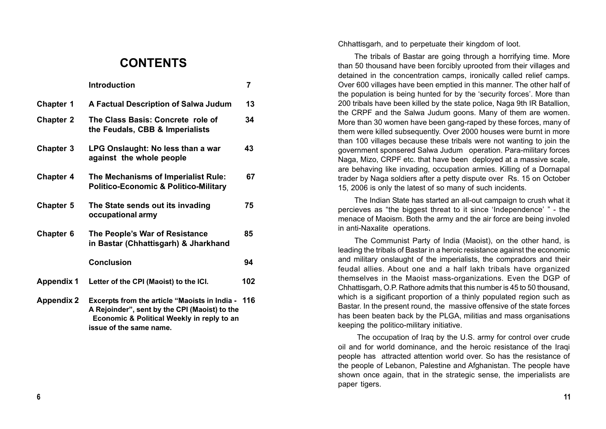# **CONTENTS**

|                   | <b>Introduction</b>                                                                                                                                 | 7   |
|-------------------|-----------------------------------------------------------------------------------------------------------------------------------------------------|-----|
| <b>Chapter 1</b>  | A Factual Description of Salwa Judum                                                                                                                | 13  |
| <b>Chapter 2</b>  | The Class Basis: Concrete role of<br>the Feudals, CBB & Imperialists                                                                                | 34  |
| <b>Chapter 3</b>  | LPG Onslaught: No less than a war<br>against the whole people                                                                                       | 43  |
| <b>Chapter 4</b>  | The Mechanisms of Imperialist Rule:<br><b>Politico-Economic &amp; Politico-Military</b>                                                             | 67  |
| <b>Chapter 5</b>  | The State sends out its invading<br>occupational army                                                                                               | 75  |
| <b>Chapter 6</b>  | The People's War of Resistance<br>in Bastar (Chhattisgarh) & Jharkhand                                                                              | 85  |
|                   | <b>Conclusion</b>                                                                                                                                   | 94  |
| <b>Appendix 1</b> | Letter of the CPI (Maoist) to the ICI.                                                                                                              | 102 |
| <b>Appendix 2</b> | <b>Excerpts from the article "Maoists in India -</b><br>A Rejoinder", sent by the CPI (Maoist) to the<br>Economic & Political Weekly in reply to an | 116 |

**issue of the same name.**

Chhattisgarh, and to perpetuate their kingdom of loot.

The tribals of Bastar are going through a horrifying time. More than 50 thousand have been forcibly uprooted from their villages and detained in the concentration camps, ironically called relief camps. Over 600 villages have been emptied in this manner. The other half of the population is being hunted for by the 'security forces'. More than 200 tribals have been killed by the state police, Naga 9th IR Batallion, the CRPF and the Salwa Judum goons. Many of them are women. More than 30 women have been gang-raped by these forces, many of them were killed subsequently. Over 2000 houses were burnt in more than 100 villages because these tribals were not wanting to join the government sponsered Salwa Judum operation. Para-military forces Naga, Mizo, CRPF etc. that have been deployed at a massive scale, are behaving like invading, occupation armies. Killing of a Dornapal trader by Naga soldiers after a petty dispute over Rs. 15 on October 15, 2006 is only the latest of so many of such incidents.

The Indian State has started an all-out campaign to crush what it percieves as "the biggest threat to it since 'Independence' " - the menace of Maoism. Both the army and the air force are being involed in anti-Naxalite operations.

The Communist Party of India (Maoist), on the other hand, is leading the tribals of Bastar in a heroic resistance against the economic and military onslaught of the imperialists, the compradors and their feudal allies. About one and a half lakh tribals have organized themselves in the Maoist mass-organizations. Even the DGP of Chhattisgarh, O.P. Rathore admits that this number is 45 to 50 thousand, which is a sigificant proportion of a thinly populated region such as Bastar. In the present round, the massive offensive of the state forces has been beaten back by the PLGA, militias and mass organisations keeping the politico-military initiative.

 The occupation of Iraq by the U.S. army for control over crude oil and for world dominance, and the heroic resistance of the Iraqi people has attracted attention world over. So has the resistance of the people of Lebanon, Palestine and Afghanistan. The people have shown once again, that in the strategic sense, the imperialists are paper tigers.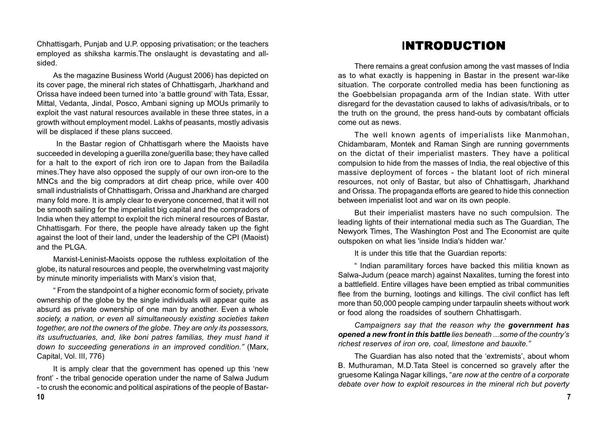Chhattisgarh, Punjab and U.P. opposing privatisation; or the teachers employed as shiksha karmis.The onslaught is devastating and allsided.

As the magazine Business World (August 2006) has depicted on its cover page, the mineral rich states of Chhattisgarh, Jharkhand and Orissa have indeed been turned into 'a battle ground' with Tata, Essar, Mittal, Vedanta, Jindal, Posco, Ambani signing up MOUs primarily to exploit the vast natural resources available in these three states, in a growth without employment model. Lakhs of peasants, mostly adivasis will be displaced if these plans succeed.

 In the Bastar region of Chhattisgarh where the Maoists have succeeded in developing a guerilla zone/guerilla base; they have called for a halt to the export of rich iron ore to Japan from the Bailadila mines.They have also opposed the supply of our own iron-ore to the MNCs and the big compradors at dirt cheap price, while over 400 small industrialists of Chhattisgarh, Orissa and Jharkhand are charged many fold more. It is amply clear to everyone concerned, that it will not be smooth sailing for the imperialist big capital and the compradors of India when they attempt to exploit the rich mineral resources of Bastar, Chhattisgarh. For there, the people have already taken up the fight against the loot of their land, under the leadership of the CPI (Maoist) and the PLGA.

Marxist-Leninist-Maoists oppose the ruthless exploitation of the globe, its natural resources and people, the overwhelming vast majority by minute minority imperialists with Marx's vision that,

" From the standpoint of a higher economic form of society, private ownership of the globe by the single individuals will appear quite as absurd as private ownership of one man by another. Even a whole *society, a nation, or even all simultaneously existing societies taken together, are not the owners of the globe. They are only its possessors, its usufructuaries, and, like boni patres familias, they must hand it down to succeeding generations in an improved condition."* (Marx, Capital, Vol. III, 776)

It is amply clear that the government has opened up this 'new front' - the tribal genocide operation under the name of Salwa Judum - to crush the economic and political aspirations of the people of Bastar-

# **I**NTRODUCTION

There remains a great confusion among the vast masses of India as to what exactly is happening in Bastar in the present war-like situation. The corporate controlled media has been functioning as the Goebbelsian propaganda arm of the Indian state. With utter disregard for the devastation caused to lakhs of adivasis/tribals, or to the truth on the ground, the press hand-outs by combatant officials come out as news.

The well known agents of imperialists like Manmohan, Chidambaram, Montek and Raman Singh are running governments on the dictat of their imperialist masters. They have a political compulsion to hide from the masses of India, the real objective of this massive deployment of forces - the blatant loot of rich mineral resources, not only of Bastar, but also of Chhattisgarh, Jharkhand and Orissa. The propaganda efforts are geared to hide this connection between imperialist loot and war on its own people.

But their imperialist masters have no such compulsion. The leading lights of their international media such as The Guardian, The Newyork Times, The Washington Post and The Economist are quite outspoken on what lies 'inside India's hidden war.'

It is under this title that the Guardian reports:

" Indian paramilitary forces have backed this militia known as Salwa-Judum (peace march) against Naxalites, turning the forest into a battlefield. Entire villages have been emptied as tribal communities flee from the burning, lootings and killings. The civil conflict has left more than 50,000 people camping under tarpaulin sheets without work or food along the roadsides of southern Chhattisgarh.

*Campaigners say that the reason why the government has opened a new front in this battle lies beneath ...some of the country's richest reserves of iron ore, coal, limestone and bauxite."*

The Guardian has also noted that the 'extremists', about whom B. Muthuraman, M.D.Tata Steel is concerned so gravely after the gruesome Kalinga Nagar killings, "*are now at the centre of a corporate debate over how to exploit resources in the mineral rich but poverty*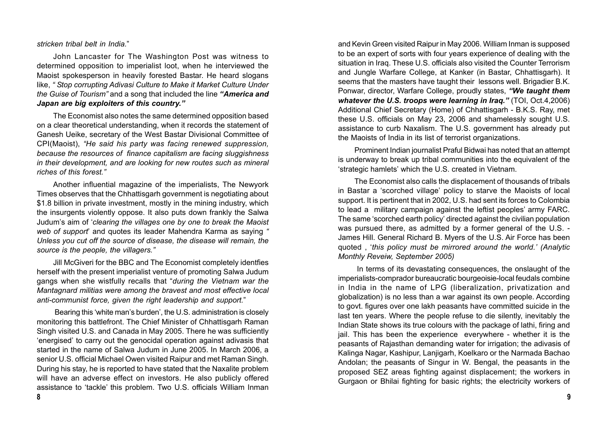*stricken tribal belt in India.*"

John Lancaster for The Washington Post was witness to determined opposition to imperialist loot, when he interviewed the Maoist spokesperson in heavily forested Bastar. He heard slogans like, *" Stop corrupting Adivasi Culture to Make it Market Culture Under the Guise of Tourism"* and a song that included the line *"America and Japan are big exploiters of this country."*

The Economist also notes the same determined opposition based on a clear theoretical understanding, when it records the statement of Ganesh Ueike, secretary of the West Bastar Divisional Committee of CPI(Maoist), *"He said his party was facing renewed suppression, because the resources of finance capitalism are facing sluggishness in their development, and are looking for new routes such as mineral riches of this forest."*

Another influential magazine of the imperialists, The Newyork Times observes that the Chhattisgarh government is negotiating about \$1.8 billion in private investment, mostly in the mining industry, which the insurgents violently oppose. It also puts down frankly the Salwa Judum's aim of '*clearing the villages one by one to break the Maoist web of support*' and quotes its leader Mahendra Karma as saying *" Unless you cut off the source of disease, the disease will remain, the source is the people, the villagers."*

Jill McGiveri for the BBC and The Economist completely identfies herself with the present imperialist venture of promoting Salwa Judum gangs when she wistfully recalls that "*during the Vietnam war the Mantagnard militias were among the bravest and most effective local anti-communist force, given the right leadership and support.*"

 Bearing this 'white man's burden', the U.S. administration is closely monitoring this battlefront. The Chief Minister of Chhattisgarh Raman Singh visited U.S. and Canada in May 2005. There he was sufficiently 'energised' to carry out the genocidal operation against adivasis that started in the name of Salwa Judum in June 2005. In March 2006, a senior U.S. official Michael Owen visited Raipur and met Raman Singh. During his stay, he is reported to have stated that the Naxalite problem will have an adverse effect on investors. He also publicly offered assistance to 'tackle' this problem. Two U.S. officials William Inman

and Kevin Green visited Raipur in May 2006. William Inman is supposed to be an expert of sorts with four years experience of dealing with the situation in Iraq. These U.S. officials also visited the Counter Terrorism and Jungle Warfare College, at Kanker (in Bastar, Chhattisgarh). It seems that the masters have taught their lessons well. Brigadier B.K. Ponwar, director, Warfare College, proudly states, *"We taught them whatever the U.S. troops were learning in Iraq."* (TOI, Oct.4,2006) Additional Chief Secretary (Home) of Chhattisgarh - B.K.S. Ray, met these U.S. officials on May 23, 2006 and shamelessly sought U.S. assistance to curb Naxalism. The U.S. government has already put the Maoists of India in its list of terrorist organizations.

Prominent Indian journalist Praful Bidwai has noted that an attempt is underway to break up tribal communities into the equivalent of the 'strategic hamlets' which the U.S. created in Vietnam.

The Economist also calls the displacement of thousands of tribals in Bastar a 'scorched village' policy to starve the Maoists of local support. It is pertinent that in 2002, U.S. had sent its forces to Colombia to lead a military campaign against the leftist peoples' army FARC. The same 'scorched earth policy' directed against the civilian population was pursued there, as admitted by a former general of the U.S. - James Hill. General Richard B. Myers of the U.S. Air Force has been quoted , '*this policy must be mirrored around the world.' (Analytic Monthly Reveiw, September 2005)*

In terms of its devastating consequences, the onslaught of the imperialists-comprador bureaucratic bourgeoisie-local feudals combine in India in the name of LPG (liberalization, privatization and globalization) is no less than a war against its own people. According to govt. figures over one lakh peasants have committed suicide in the last ten years. Where the people refuse to die silently, inevitably the Indian State shows its true colours with the package of lathi, firing and jail. This has been the experience everywhere - whether it is the peasants of Rajasthan demanding water for irrigation; the adivasis of Kalinga Nagar, Kashipur, Lanjigarh, Koelkaro or the Narmada Bachao Andolan; the peasants of Singur in W. Bengal, the peasants in the proposed SEZ areas fighting against displacement; the workers in Gurgaon or Bhilai fighting for basic rights; the electricity workers of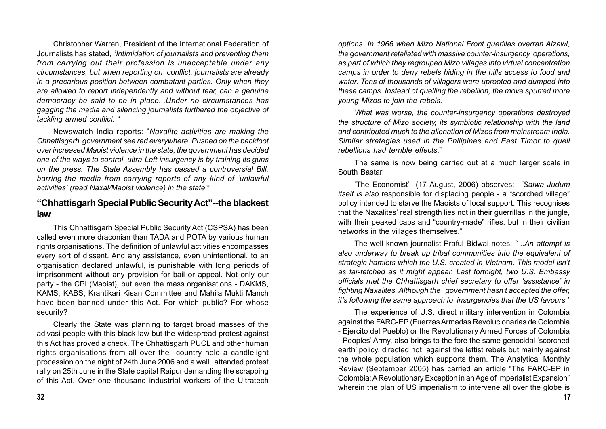Christopher Warren, President of the International Federation of Journalists has stated, "*Intimidation of journalists and preventing them from carrying out their profession is unacceptable under any circumstances, but when reporting on conflict, journalists are already in a precarious position between combatant parties. Only when they are allowed to report independently and without fear, can a genuine democracy be said to be in place...Under no circumstances has gagging the media and silencing journalists furthered the objective of tackling armed conflict.* "

Newswatch India reports: "*Naxalite activities are making the Chhattisgarh government see red everywhere. Pushed on the backfoot over increased Maoist violence in the state, the government has decided one of the ways to control ultra-Left insurgency is by training its guns on the press. The State Assembly has passed a controversial Bill, barring the media from carrying reports of any kind of 'unlawful activities' (read Naxal/Maoist violence) in the state.*"

#### **"Chhattisgarh Special Public Security Act"--the blackest law**

This Chhattisgarh Special Public Security Act (CSPSA) has been called even more draconian than TADA and POTA by various human rights organisations. The definition of unlawful activities encompasses every sort of dissent. And any assistance, even unintentional, to an organisation declared unlawful, is punishable with long periods of imprisonment without any provision for bail or appeal. Not only our party - the CPI (Maoist), but even the mass organisations - DAKMS, KAMS, KABS, Krantikari Kisan Committee and Mahila Mukti Manch have been banned under this Act. For which public? For whose security?

Clearly the State was planning to target broad masses of the adivasi people with this black law but the widespread protest against this Act has proved a check. The Chhattisgarh PUCL and other human rights organisations from all over the country held a candlelight procession on the night of 24th June 2006 and a well attended protest rally on 25th June in the State capital Raipur demanding the scrapping of this Act. Over one thousand industrial workers of the Ultratech

*options. In 1966 when Mizo National Front guerillas overran Aizawl, the government retaliated with massive counter-insurgency operations, as part of which they regrouped Mizo villages into virtual concentration camps in order to deny rebels hiding in the hills access to food and water. Tens of thousands of villagers were uprooted and dumped into these camps. Instead of quelling the rebellion, the move spurred more young Mizos to join the rebels.*

*What was worse, the counter-insurgency operations destroyed the structure of Mizo society, its symbiotic relationship with the land and contributed much to the alienation of Mizos from mainstream India. Similar strategies used in the Philipines and East Timor to quell rebellions had terrible effects*."

The same is now being carried out at a much larger scale in South Bastar.

'The Economist' (17 August, 2006) observes: *"Salwa Judum itself is also* responsible for displacing people - a "scorched village" policy intended to starve the Maoists of local support. This recognises that the Naxalites' real strength lies not in their guerrillas in the jungle, with their peaked caps and "country-made" rifles, but in their civilian networks in the villages themselves."

The well known journalist Praful Bidwai notes: *" ..An attempt is also underway to break up tribal communities into the equivalent of strategic hamlets which the U.S. created in Vietnam. This model isn't as far-fetched as it might appear. Last fortnight, two U.S. Embassy officials met the Chhattisgarh chief secretary to offer 'assistance' in fighting Naxalites. Although the government hasn't accepted the offer, it's following the same approach to insurgencies that the US favours."*

The experience of U.S. direct military intervention in Colombia against the FARC-EP (Fuerzas Armadas Revolucionarias de Colombia - Ejercito del Pueblo) or the Revolutionary Armed Forces of Colombia - Peoples' Army, also brings to the fore the same genocidal 'scorched earth' policy, directed not against the leftist rebels but mainly against the whole population which supports them. The Analytical Monthly Review (September 2005) has carried an article "The FARC-EP in Colombia: A Revolutionary Exception in an Age of Imperialist Expansion" wherein the plan of US imperialism to intervene all over the globe is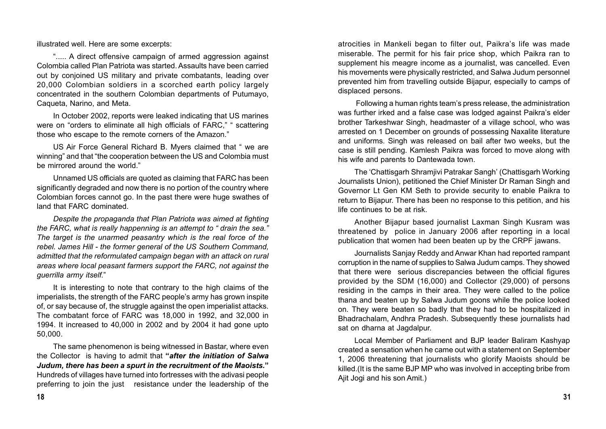illustrated well. Here are some excerpts:

"..... A direct offensive campaign of armed aggression against Colombia called Plan Patriota was started. Assaults have been carried out by conjoined US military and private combatants, leading over 20,000 Colombian soldiers in a scorched earth policy largely concentrated in the southern Colombian departments of Putumayo, Caqueta, Narino, and Meta.

In October 2002, reports were leaked indicating that US marines were on "orders to eliminate all high officials of FARC," " scattering those who escape to the remote corners of the Amazon."

US Air Force General Richard B. Myers claimed that " we are winning" and that "the cooperation between the US and Colombia must be mirrored around the world."

Unnamed US officials are quoted as claiming that FARC has been significantly degraded and now there is no portion of the country where Colombian forces cannot go. In the past there were huge swathes of land that FARC dominated.

*Despite the propaganda that Plan Patriota was aimed at fighting the FARC, what is really happenning is an attempt to " drain the sea." The target is the unarmed peasantry which is the real force of the rebel. James Hill - the former general of the US Southern Command, admitted that the reformulated campaign began with an attack on rural areas where local peasant farmers support the FARC, not against the guerrilla army itself.*"

It is interesting to note that contrary to the high claims of the imperialists, the strength of the FARC people's army has grown inspite of, or say because of, the struggle against the open imperialist attacks. The combatant force of FARC was 18,000 in 1992, and 32,000 in 1994. It increased to 40,000 in 2002 and by 2004 it had gone upto 50,000.

The same phenomenon is being witnessed in Bastar, where even the Collector is having to admit that **"***after the initiation of Salwa Judum, there has been a spurt in the recruitment of the Maoists.***"** Hundreds of villages have turned into fortresses with the adivasi people preferring to join the just resistance under the leadership of the

atrocities in Mankeli began to filter out, Paikra's life was made miserable. The permit for his fair price shop, which Paikra ran to supplement his meagre income as a journalist, was cancelled. Even his movements were physically restricted, and Salwa Judum personnel prevented him from travelling outside Bijapur, especially to camps of displaced persons.

 Following a human rights team's press release, the administration was further irked and a false case was lodged against Paikra's elder brother Tarkeshwar Singh, headmaster of a village school, who was arrested on 1 December on grounds of possessing Naxalite literature and uniforms. Singh was released on bail after two weeks, but the case is still pending. Kamlesh Paikra was forced to move along with his wife and parents to Dantewada town.

The 'Chattisgarh Shramjivi Patrakar Sangh' (Chattisgarh Working Journalists Union), petitioned the Chief Minister Dr Raman Singh and Governor Lt Gen KM Seth to provide security to enable Paikra to return to Bijapur. There has been no response to this petition, and his life continues to be at risk.

Another Bijapur based journalist Laxman Singh Kusram was threatened by police in January 2006 after reporting in a local publication that women had been beaten up by the CRPF jawans.

Journalists Sanjay Reddy and Anwar Khan had reported rampant corruption in the name of supplies to Salwa Judum camps. They showed that there were serious discrepancies between the official figures provided by the SDM (16,000) and Collector (29,000) of persons residing in the camps in their area. They were called to the police thana and beaten up by Salwa Judum goons while the police looked on. They were beaten so badly that they had to be hospitalized in Bhadrachalam, Andhra Pradesh. Subsequently these journalists had sat on dharna at Jagdalpur.

Local Member of Parliament and BJP leader Baliram Kashyap created a sensation when he came out with a statement on September 1, 2006 threatening that journalists who glorify Maoists should be killed.(It is the same BJP MP who was involved in accepting bribe from Ajit Jogi and his son Amit.)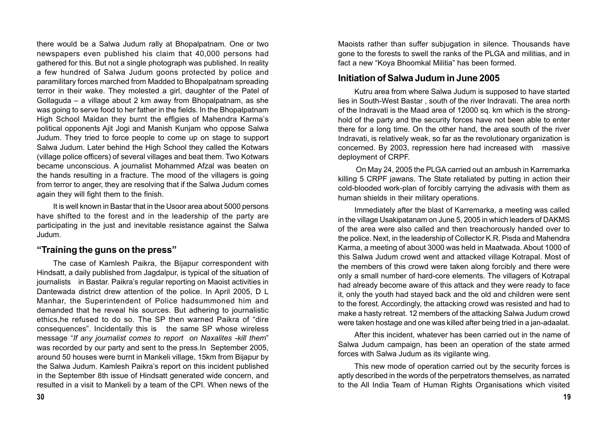there would be a Salwa Judum rally at Bhopalpatnam. One or two newspapers even published his claim that 40,000 persons had gathered for this. But not a single photograph was published. In reality a few hundred of Salwa Judum goons protected by police and paramilitary forces marched from Madded to Bhopalpatnam spreading terror in their wake. They molested a girl, daughter of the Patel of Gollaguda – a village about 2 km away from Bhopalpatnam, as she was going to serve food to her father in the fields. In the Bhopalpatnam High School Maidan they burnt the effigies of Mahendra Karma's political opponents Ajit Jogi and Manish Kunjam who oppose Salwa Judum. They tried to force people to come up on stage to support Salwa Judum. Later behind the High School they called the Kotwars (village police officers) of several villages and beat them. Two Kotwars became unconscious. A journalist Mohammed Afzal was beaten on the hands resulting in a fracture. The mood of the villagers is going from terror to anger, they are resolving that if the Salwa Judum comes again they will fight them to the finish.

It is well known in Bastar that in the Usoor area about 5000 persons have shifted to the forest and in the leadership of the party are participating in the just and inevitable resistance against the Salwa Judum.

#### **"Training the guns on the press"**

The case of Kamlesh Paikra, the Bijapur correspondent with Hindsatt, a daily published from Jagdalpur, is typical of the situation of journalists in Bastar. Paikra's regular reporting on Maoist activities in Dantewada district drew attention of the police. In April 2005, D L Manhar, the Superintendent of Police hadsummoned him and demanded that he reveal his sources. But adhering to journalistic ethics,he refused to do so. The SP then warned Paikra of "dire consequences". Incidentally this is the same SP whose wireless message "*If any journalist comes to report on Naxalites -kill them*" was recorded by our party and sent to the press.In September 2005, around 50 houses were burnt in Mankeli village, 15km from Bijapur by the Salwa Judum. Kamlesh Paikra's report on this incident published in the September 8th issue of Hindsatt generated wide concern, and resulted in a visit to Mankeli by a team of the CPI. When news of the

Maoists rather than suffer subjugation in silence. Thousands have gone to the forests to swell the ranks of the PLGA and militias, and in fact a new "Koya Bhoomkal Militia" has been formed.

#### **Initiation of Salwa Judum in June 2005**

Kutru area from where Salwa Judum is supposed to have started lies in South-West Bastar , south of the river Indravati. The area north of the Indravati is the Maad area of 12000 sq. km which is the stronghold of the party and the security forces have not been able to enter there for a long time. On the other hand, the area south of the river Indravati, is relatively weak, so far as the revolutionary organization is concerned. By 2003, repression here had increased with massive deployment of CRPF.

 On May 24, 2005 the PLGA carried out an ambush in Karremarka killing 5 CRPF jawans. The State retaliated by putting in action their cold-blooded work-plan of forcibly carrying the adivasis with them as human shields in their military operations.

Immediately after the blast of Karremarka, a meeting was called in the village Usakipatanam on June 5, 2005 in which leaders of DAKMS of the area were also called and then treachorously handed over to the police. Next, in the leadership of Collector K.R. Pisda and Mahendra Karma, a meeting of about 3000 was held in Maatwada. About 1000 of this Salwa Judum crowd went and attacked village Kotrapal. Most of the members of this crowd were taken along forcibly and there were only a small number of hard-core elements. The villagers of Kotrapal had already become aware of this attack and they were ready to face it, only the youth had stayed back and the old and children were sent to the forest. Accordingly, the attacking crowd was resisted and had to make a hasty retreat. 12 members of the attacking Salwa Judum crowd were taken hostage and one was killed after being tried in a jan-adaalat.

After this incident, whatever has been carried out in the name of Salwa Judum campaign, has been an operation of the state armed forces with Salwa Judum as its vigilante wing.

This new mode of operation carried out by the security forces is aptly described in the words of the perpetrators themselves, as narrated to the All India Team of Human Rights Organisations which visited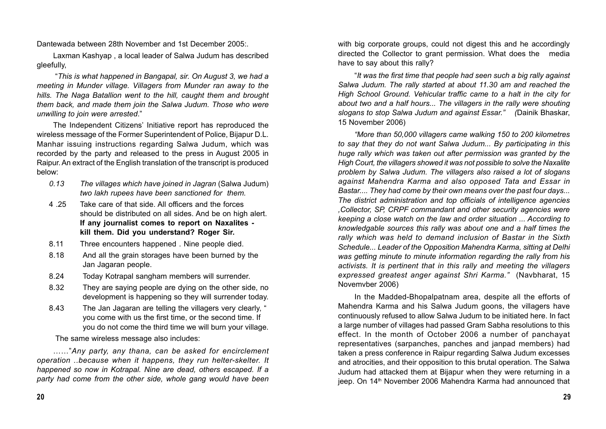Dantewada between 28th November and 1st December 2005:.

Laxman Kashyap , a local leader of Salwa Judum has described gleefully,

 "*This is what happened in Bangapal, sir. On August 3, we had a meeting in Munder village. Villagers from Munder ran away to the hills. The Naga Batallion went to the hill, caught them and brought them back, and made them join the Salwa Judum. Those who were unwilling to join were arrested*."

The Independent Citizens' Initiative report has reproduced the wireless message of the Former Superintendent of Police, Bijapur D.L. Manhar issuing instructions regarding Salwa Judum, which was recorded by the party and released to the press in August 2005 in Raipur. An extract of the English translation of the transcript is produced below:

- *0.13 The villages which have joined in Jagran* (Salwa Judum) *two lakh rupees have been sanctioned for them.*
- 4 .25 Take care of that side. All officers and the forces should be distributed on all sides. And be on high alert. **If any journalist comes to report on Naxalites kill them. Did you understand? Roger Sir.**
- 8.11 Three encounters happened . Nine people died.
- 8.18 And all the grain storages have been burned by the Jan Jagaran people.
- 8.24 Today Kotrapal sangham members will surrender.
- 8.32 They are saying people are dying on the other side, no development is happening so they will surrender today.
- 8.43 The Jan Jagaran are telling the villagers very clearly, " you come with us the first time, or the second time. If you do not come the third time we will burn your village.

The same wireless message also includes:

……"*Any party, any thana, can be asked for encirclement operation ..because when it happens, they run helter-skelter. It happened so now in Kotrapal. Nine are dead, others escaped. If a party had come from the other side, whole gang would have been* with big corporate groups, could not digest this and he accordingly directed the Collector to grant permission. What does the media have to say about this rally?

"*It was the first time that people had seen such a big rally against Salwa Judum. The rally started at about 11.30 am and reached the High School Ground. Vehicular traffic came to a halt in the city for about two and a half hours... The villagers in the rally were shouting slogans to stop Salwa Judum and against Essar." (*Dainik Bhaskar, 15 November 2006)

*"More than 50,000 villagers came walking 150 to 200 kilometres to say that they do not want Salwa Judum... By participating in this huge rally which was taken out after permission was granted by the High Court, the villagers showed it was not possible to solve the Naxalite problem by Salwa Judum. The villagers also raised a lot of slogans against Mahendra Karma and also opposed Tata and Essar in Bastar.... They had come by their own means over the past four days... The district administration and top officials of intelligence agencies ,Collector, SP, CRPF commandant and other security agencies were keeping a close watch on the law and order situation ... According to knowledgable sources this rally was about one and a half times the rally which was held to demand inclusion of Bastar in the Sixth Schedule... Leader of the Opposition Mahendra Karma, sitting at Delhi was getting minute to minute information regarding the rally from his activists. It is pertinent that in this rally and meeting the villagers expressed greatest anger against Shri Karma."* (Navbharat, 15 Novemvber 2006)

In the Madded-Bhopalpatnam area, despite all the efforts of Mahendra Karma and his Salwa Judum goons, the villagers have continuously refused to allow Salwa Judum to be initiated here. In fact a large number of villages had passed Gram Sabha resolutions to this effect. In the month of October 2006 a number of panchayat representatives (sarpanches, panches and janpad members) had taken a press conference in Raipur regarding Salwa Judum excesses and atrocities, and their opposition to this brutal operation. The Salwa Judum had attacked them at Bijapur when they were returning in a jeep. On 14<sup>th</sup> November 2006 Mahendra Karma had announced that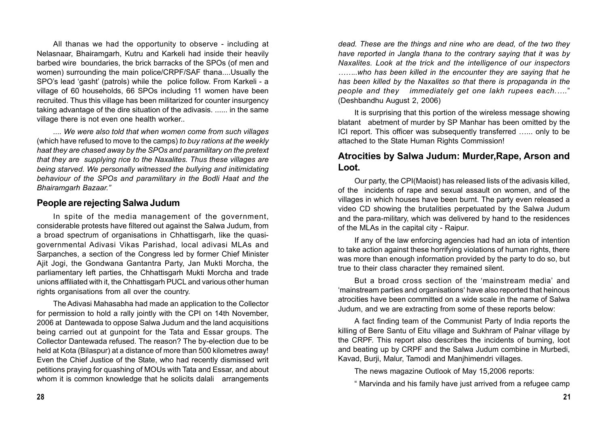All thanas we had the opportunity to observe - including at Nelasnaar, Bhairamgarh, Kutru and Karkeli had inside their heavily barbed wire boundaries, the brick barracks of the SPOs (of men and women) surrounding the main police/CRPF/SAF thana....Usually the SPO's lead 'gasht' (patrols) while the police follow. From Karkeli - a village of 60 households, 66 SPOs including 11 women have been recruited. Thus this village has been militarized for counter insurgency taking advantage of the dire situation of the adivasis. ...... in the same village there is not even one health worker..

*.... We were also told that when women come from such villages* (which have refused to move to the camps) *to buy rations at the weekly haat they are chased away by the SPOs and paramilitary on the pretext that they are supplying rice to the Naxalites. Thus these villages are being starved. We personally witnessed the bullying and initimidating behaviour of the SPOs and paramilitary in the Bodli Haat and the Bhairamgarh Bazaar."*

#### **People are rejecting Salwa Judum**

In spite of the media management of the government, considerable protests have filtered out against the Salwa Judum, from a broad spectrum of organisations in Chhattisgarh, like the quasigovernmental Adivasi Vikas Parishad, local adivasi MLAs and Sarpanches, a section of the Congress led by former Chief Minister Ajit Jogi, the Gondwana Gantantra Party, Jan Mukti Morcha, the parliamentary left parties, the Chhattisgarh Mukti Morcha and trade unions affiliated with it, the Chhattisgarh PUCL and various other human rights organisations from all over the country.

The Adivasi Mahasabha had made an application to the Collector for permission to hold a rally jointly with the CPI on 14th November, 2006 at Dantewada to oppose Salwa Judum and the land acquisitions being carried out at gunpoint for the Tata and Essar groups. The Collector Dantewada refused. The reason? The by-election due to be held at Kota (Bilaspur) at a distance of more than 500 kilometres away! Even the Chief Justice of the State, who had recently dismissed writ petitions praying for quashing of MOUs with Tata and Essar, and about whom it is common knowledge that he solicits dalali arrangements

*dead. These are the things and nine who are dead, of the two they have reported in Jangla thana to the contrary saying that it was by Naxalites. Look at the trick and the intelligence of our inspectors ……..who has been killed in the encounter they are saying that he has been killed by the Naxalites so that there is propaganda in the people and they immediately get one lakh rupees each.….*" (Deshbandhu August 2, 2006)

It is surprising that this portion of the wireless message showing blatant abetment of murder by SP Manhar has been omitted by the ICI report. This officer was subsequently transferred …... only to be attached to the State Human Rights Commission!

#### **Atrocities by Salwa Judum: Murder,Rape, Arson and Loot.**

Our party, the CPI(Maoist) has released lists of the adivasis killed, of the incidents of rape and sexual assault on women, and of the villages in which houses have been burnt. The party even released a video CD showing the brutalities perpetuated by the Salwa Judum and the para-military, which was delivered by hand to the residences of the MLAs in the capital city - Raipur.

If any of the law enforcing agencies had had an iota of intention to take action against these horrifying violations of human rights, there was more than enough information provided by the party to do so, but true to their class character they remained silent.

But a broad cross section of the 'mainstream media' and 'mainstream parties and organisations' have also reported that heinous atrocities have been committed on a wide scale in the name of Salwa Judum, and we are extracting from some of these reports below:

A fact finding team of the Communist Party of India reports the killing of Bere Santu of Eitu village and Sukhram of Palnar village by the CRPF. This report also describes the incidents of burning, loot and beating up by CRPF and the Salwa Judum combine in Murbedi, Kavad, Burji, Malur, Tamodi and Manjhimendri villages.

The news magazine Outlook of May 15,2006 reports:

" Marvinda and his family have just arrived from a refugee camp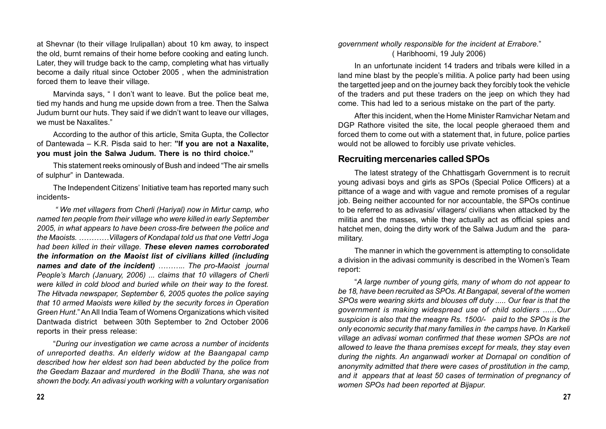at Shevnar (to their village Irulipallan) about 10 km away, to inspect the old, burnt remains of their home before cooking and eating lunch. Later, they will trudge back to the camp, completing what has virtually become a daily ritual since October 2005 , when the administration forced them to leave their village.

Marvinda says, " I don't want to leave. But the police beat me, tied my hands and hung me upside down from a tree. Then the Salwa Judum burnt our huts. They said if we didn't want to leave our villages, we must be Naxalites."

According to the author of this article, Smita Gupta, the Collector of Dantewada – K.R. Pisda said to her: **"If you are not a Naxalite, you must join the Salwa Judum. There is no third choice."**

This statement reeks ominously of Bush and indeed "The air smells of sulphur" in Dantewada.

The Independent Citizens' Initiative team has reported many such incidents-

 *" We met villagers from Cherli (Hariyal) now in Mirtur camp, who named ten people from their village who were killed in early September 2005, in what appears to have been cross-fire between the police and the Maoists. …………Villagers of Kondapal told us that one Vettri Joga had been killed in their village. These eleven names corroborated the information on the Maoist list of civilians killed (including names and date of the incident) ……….. The pro-Maoist journal People's March (January, 2006) ... claims that 10 villagers of Cherli were killed in cold blood and buried while on their way to the forest. The Hitvada newspaper, September 6, 2005 quotes the police saying that 10 armed Maoists were killed by the security forces in Operation Green Hunt*." An All India Team of Womens Organizations which visited Dantwada district between 30th September to 2nd October 2006 reports in their press release:

"*During our investigation we came across a number of incidents of unreported deaths. An elderly widow at the Baangapal camp described how her eldest son had been abducted by the police from the Geedam Bazaar and murdered in the Bodili Thana, she was not shown the body. An adivasi youth working with a voluntary organisation*

*government wholly responsible for the incident at Errabore.*" ( Haribhoomi, 19 July 2006)

In an unfortunate incident 14 traders and tribals were killed in a land mine blast by the people's militia. A police party had been using the targetted jeep and on the journey back they forcibly took the vehicle of the traders and put these traders on the jeep on which they had come. This had led to a serious mistake on the part of the party.

After this incident, when the Home Minister Ramvichar Netam and DGP Rathore visited the site, the local people gheraoed them and forced them to come out with a statement that, in future, police parties would not be allowed to forcibly use private vehicles.

## **Recruiting mercenaries called SPOs**

The latest strategy of the Chhattisgarh Government is to recruit young adivasi boys and girls as SPOs (Special Police Officers) at a pittance of a wage and with vague and remote promises of a regular job. Being neither accounted for nor accountable, the SPOs continue to be referred to as adivasis/ villagers/ civilians when attacked by the militia and the masses, while they actually act as official spies and hatchet men, doing the dirty work of the Salwa Judum and the paramilitary.

The manner in which the government is attempting to consolidate a division in the adivasi community is described in the Women's Team report:

"*A large number of young girls, many of whom do not appear to be 18, have been recruited as SPOs. At Bangapal, several of the women SPOs were wearing skirts and blouses off duty ..... Our fear is that the government is making widespread use of child soldiers ......Our suspicion is also that the meagre Rs. 1500/- paid to the SPOs is the only economic security that many families in the camps have. In Karkeli village an adivasi woman confirmed that these women SPOs are not allowed to leave the thana premises except for meals, they stay even during the nights. An anganwadi worker at Dornapal on condition of anonymity admitted that there were cases of prostitution in the camp, and it appears that at least 50 cases of termination of pregnancy of women SPOs had been reported at Bijapur.*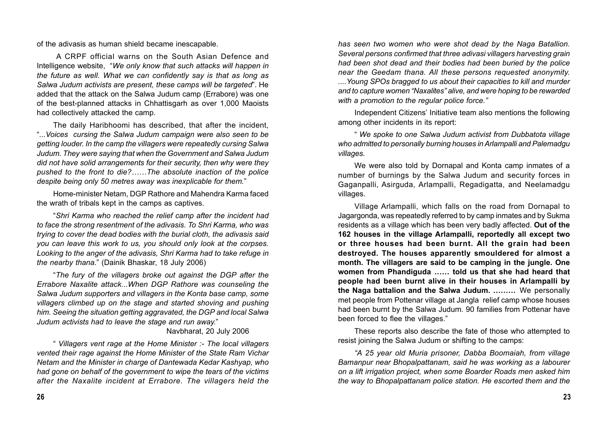of the adivasis as human shield became inescapable.

 A CRPF official warns on the South Asian Defence and Intelligence website, "*We only know that such attacks will happen in the future as well. What we can confidently say is that as long as Salwa Judum activists are present, these camps will be targeted*". He added that the attack on the Salwa Judum camp (Errabore) was one of the best-planned attacks in Chhattisgarh as over 1,000 Maoists had collectively attacked the camp.

The daily Haribhoomi has described, that after the incident, "*...Voices cursing the Salwa Judum campaign were also seen to be getting louder. In the camp the villagers were repeatedly cursing Salwa Judum. They were saying that when the Government and Salwa Judum did not have solid arrangements for their security, then why were they pushed to the front to die?……The absolute inaction of the police despite being only 50 metres away was inexplicable for them.*"

Home-minister Netam, DGP Rathore and Mahendra Karma faced the wrath of tribals kept in the camps as captives.

"*Shri Karma who reached the relief camp after the incident had to face the strong resentment of the adivasis. To Shri Karma, who was trying to cover the dead bodies with the burial cloth, the adivasis said you can leave this work to us, you should only look at the corpses. Looking to the anger of the adivasis, Shri Karma had to take refuge in the nearby thana.*" (Dainik Bhaskar, 18 July 2006)

"*The fury of the villagers broke out against the DGP after the Errabore Naxalite attack...When DGP Rathore was counseling the Salwa Judum supporters and villagers in the Konta base camp, some villagers climbed up on the stage and started shoving and pushing him. Seeing the situation getting aggravated, the DGP and local Salwa Judum activists had to leave the stage and run away.*"

#### Navbharat, 20 July 2006

" *Villagers vent rage at the Home Minister :- The local villagers vented their rage against the Home Minister of the State Ram Vichar Netam and the Minister in charge of Dantewada Kedar Kashyap, who had gone on behalf of the government to wipe the tears of the victims after the Naxalite incident at Errabore. The villagers held the*

*has seen two women who were shot dead by the Naga Batallion. Several persons confirmed that three adivasi villagers harvesting grain had been shot dead and their bodies had been buried by the police near the Geedam thana. All these persons requested anonymity. ....Young SPOs bragged to us about their capacities to kill and murder and to capture women "Naxalites" alive, and were hoping to be rewarded with a promotion to the regular police force."*

Independent Citizens' Initiative team also mentions the following among other incidents in its report:

" *We spoke to one Salwa Judum activist from Dubbatota village who admitted to personally burning houses in Arlampalli and Palemadgu villages.*

We were also told by Dornapal and Konta camp inmates of a number of burnings by the Salwa Judum and security forces in Gaganpalli, Asirguda, Arlampalli, Regadigatta, and Neelamadgu villages.

Village Arlampalli, which falls on the road from Dornapal to Jagargonda, was repeatedly referred to by camp inmates and by Sukma residents as a village which has been very badly affected. **Out of the 162 houses in the village Arlampalli, reportedly all except two or three houses had been burnt. All the grain had been destroyed. The houses apparently smouldered for almost a month. The villagers are said to be camping in the jungle. One women from Phandiguda …… told us that she had heard that people had been burnt alive in their houses in Arlampalli by the Naga battalion and the Salwa Judum. ………** We personally met people from Pottenar village at Jangla relief camp whose houses had been burnt by the Salwa Judum. 90 families from Pottenar have been forced to flee the villages."

These reports also describe the fate of those who attempted to resist joining the Salwa Judum or shifting to the camps:

*"A 25 year old Muria prisoner, Dabba Boomaiah, from village Bamanpur near Bhopalpattanam, said he was working as a labourer on a lift irrigation project, when some Boarder Roads men asked him the way to Bhopalpattanam police station. He escorted them and the*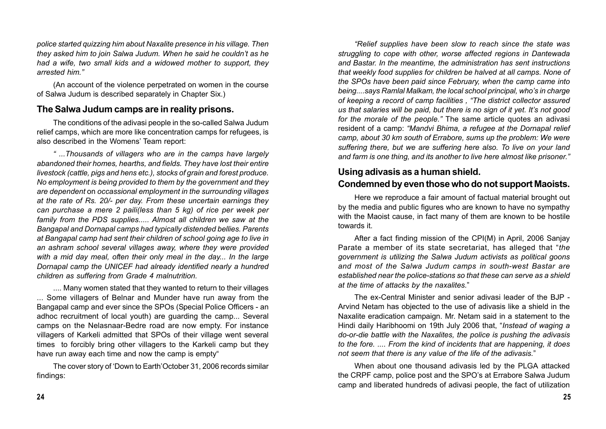*police started quizzing him about Naxalite presence in his village. Then they asked him to join Salwa Judum. When he said he couldn't as he had a wife, two small kids and a widowed mother to support, they arrested him."*

(An account of the violence perpetrated on women in the course of Salwa Judum is described separately in Chapter Six.)

#### **The Salwa Judum camps are in reality prisons.**

The conditions of the adivasi people in the so-called Salwa Judum relief camps, which are more like concentration camps for refugees, is also described in the Womens' Team report:

*" ...Thousands of villagers who are in the camps have largely abandoned their homes, hearths, and fields. They have lost their entire livestock (cattle, pigs and hens etc.), stocks of grain and forest produce. No employment is being provided to them by the government and they are dependent* on *occassional employment in the surrounding villages at the rate of Rs. 20/- per day. From these uncertain earnings they can purchase a mere 2 paili(less than 5 kg) of rice per week per family from the PDS supplies..... Almost all children we saw at the Bangapal and Dornapal camps had typically distended bellies. Parents at Bangapal camp had sent their children of school going age to live in an ashram school several villages away, where they were provided with a mid day meal, often their only meal in the day... In the large Dornapal camp the UNICEF had already identified nearly a hundred children as suffering from Grade 4 malnutrition.*

.... Many women stated that they wanted to return to their villages ... Some villagers of Belnar and Munder have run away from the Bangapal camp and ever since the SPOs (Special Police Officers - an adhoc recruitment of local youth) are guarding the camp... Several camps on the Nelasnaar-Bedre road are now empty. For instance villagers of Karkeli admitted that SPOs of their village went several times to forcibly bring other villagers to the Karkeli camp but they have run away each time and now the camp is empty"

The cover story of 'Down to Earth'October 31, 2006 records similar findings:

*"Relief supplies have been slow to reach since the state was struggling to cope with other, worse affected regions in Dantewada and Bastar. In the meantime, the administration has sent instructions that weekly food supplies for children be halved at all camps. None of the SPOs have been paid since February, when the camp came into being....says Ramlal Malkam, the local school principal, who's in charge of keeping a record of camp facilities , "The district collector assured us that salaries will be paid, but there is no sign of it yet. It's not good for the morale of the people."* The same article quotes an adivasi resident of a camp: *"Mandvi Bhima, a refugee at the Dornapal relief camp, about 30 km south of Errabore, sums up the problem: We were suffering there, but we are suffering here also. To live on your land and farm is one thing, and its another to live here almost like prisoner."*

# **Using adivasis as a human shield.**

## **Condemned by even those who do not support Maoists.**

Here we reproduce a fair amount of factual material brought out by the media and public figures who are known to have no sympathy with the Maoist cause, in fact many of them are known to be hostile towards it.

After a fact finding mission of the CPI(M) in April, 2006 Sanjay Parate a member of its state secretariat, has alleged that "*the government is utilizing the Salwa Judum activists as political goons and most of the Salwa Judum camps in south-west Bastar are established near the police-stations so that these can serve as a shield at the time of attacks by the naxalites.*"

The ex-Central Minister and senior adivasi leader of the BJP - Arvind Netam has objected to the use of adivasis like a shield in the Naxalite eradication campaign. Mr. Netam said in a statement to the Hindi daily Haribhoomi on 19th July 2006 that, "*Instead of waging a do-or-die battle with the Naxalites, the police is pushing the adivasis to the fore. .... From the kind of incidents that are happening, it does not seem that there is any value of the life of the adivasis.*"

When about one thousand adivasis led by the PLGA attacked the CRPF camp, police post and the SPO's at Errabore Salwa Judum camp and liberated hundreds of adivasi people, the fact of utilization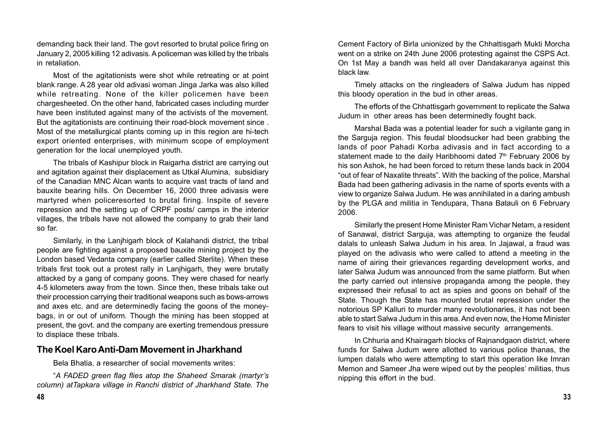demanding back their land. The govt resorted to brutal police firing on January 2, 2005 killing 12 adivasis. A policeman was killed by the tribals in retaliation.

Most of the agitationists were shot while retreating or at point blank range. A 28 year old adivasi woman Jinga Jarka was also killed while retreating. None of the killer policemen have been chargesheeted. On the other hand, fabricated cases including murder have been instituted against many of the activists of the movement. But the agitationists are continuing their road-block movement since . Most of the metallurgical plants coming up in this region are hi-tech export oriented enterprises, with minimum scope of employment generation for the local unemployed youth.

The tribals of Kashipur block in Raigarha district are carrying out and agitation against their displacement as Utkal Alumina, subsidiary of the Canadian MNC Alcan wants to acquire vast tracts of land and bauxite bearing hills. On December 16, 2000 three adivasis were martyred when policeresorted to brutal firing. Inspite of severe repression and the setting up of CRPF posts/ camps in the interior villages, the tribals have not allowed the company to grab their land so far.

Similarly, in the Lanjhigarh block of Kalahandi district, the tribal people are fighting against a proposed bauxite mining project by the London based Vedanta company (earlier called Sterlite). When these tribals first took out a protest rally in Lanjhigarh, they were brutally attacked by a gang of company goons. They were chased for nearly 4-5 kilometers away from the town. Since then, these tribals take out their procession carrying their traditional weapons such as bows-arrows and axes etc. and are determinedly facing the goons of the moneybags, in or out of uniform. Though the mining has been stopped at present, the govt. and the company are exerting tremendous pressure to displace these tribals.

### **The Koel Karo Anti-Dam Movement in Jharkhand**

Bela Bhatia, a researcher of social movements writes:

"*A FADED green flag flies atop the Shaheed Smarak (martyr's column) atTapkara village in Ranchi district of Jharkhand State. The* Cement Factory of Birla unionized by the Chhattisgarh Mukti Morcha went on a strike on 24th June 2006 protesting against the CSPS Act. On 1st May a bandh was held all over Dandakaranya against this black law.

Timely attacks on the ringleaders of Salwa Judum has nipped this bloody operation in the bud in other areas.

The efforts of the Chhattisgarh government to replicate the Salwa Judum in other areas has been determinedly fought back.

Marshal Bada was a potential leader for such a vigilante gang in the Sarguja region. This feudal bloodsucker had been grabbing the lands of poor Pahadi Korba adivasis and in fact according to a statement made to the daily Haribhoomi dated  $7<sup>th</sup>$  February 2006 by his son Ashok, he had been forced to return these lands back in 2004 "out of fear of Naxalite threats". With the backing of the police, Marshal Bada had been gathering adivasis in the name of sports events with a view to organize Salwa Judum. He was annihilated in a daring ambush by the PLGA and militia in Tendupara, Thana Batauli on 6 February 2006.

Similarly the present Home Minister Ram Vichar Netam, a resident of Sanawal, district Sarguja, was attempting to organize the feudal dalals to unleash Salwa Judum in his area. In Jajawal, a fraud was played on the adivasis who were called to attend a meeting in the name of airing their grievances regarding development works, and later Salwa Judum was announced from the same platform. But when the party carried out intensive propaganda among the people, they expressed their refusal to act as spies and goons on behalf of the State. Though the State has mounted brutal repression under the notorious SP Kalluri to murder many revolutionaries, it has not been able to start Salwa Judum in this area. And even now, the Home Minister fears to visit his village without massive security arrangements.

In Chhuria and Khairagarh blocks of Rajnandgaon district, where funds for Salwa Judum were allotted to various police thanas, the lumpen dalals who were attempting to start this operation like Imran Memon and Sameer Jha were wiped out by the peoples' militias, thus nipping this effort in the bud.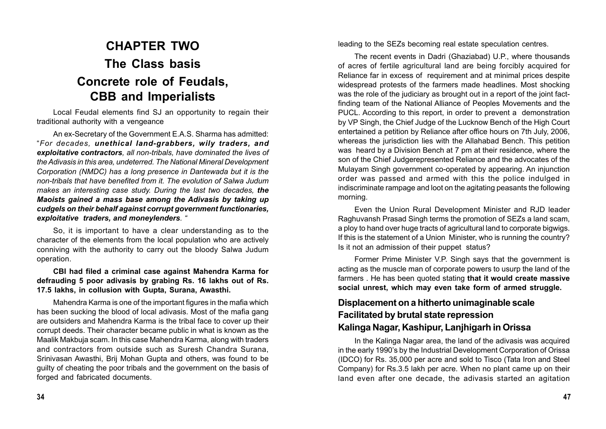# **CHAPTER TWO The Class basis Concrete role of Feudals, CBB and Imperialists**

Local Feudal elements find SJ an opportunity to regain their traditional authority with a vengeance

An ex-Secretary of the Government E.A.S. Sharma has admitted: "*For decades, unethical land-grabbers, wily traders, and exploitative contractors, all non-tribals, have dominated the lives of the Adivasis in this area, undeterred. The National Mineral Development Corporation (NMDC) has a long presence in Dantewada but it is the non-tribals that have benefited from it. The evolution of Salwa Judum makes an interesting case study. During the last two decades, the Maoists gained a mass base among the Adivasis by taking up cudgels on their behalf against corrupt government functionaries, exploitative traders, and moneylenders. "*

So, it is important to have a clear understanding as to the character of the elements from the local population who are actively conniving with the authority to carry out the bloody Salwa Judum operation.

**CBI had filed a criminal case against Mahendra Karma for defrauding 5 poor adivasis by grabing Rs. 16 lakhs out of Rs. 17.5 lakhs, in collusion with Gupta, Surana, Awasthi.**

Mahendra Karma is one of the important figures in the mafia which has been sucking the blood of local adivasis. Most of the mafia gang are outsiders and Mahendra Karma is the tribal face to cover up their corrupt deeds. Their character became public in what is known as the Maalik Makbuja scam. In this case Mahendra Karma, along with traders and contractors from outside such as Suresh Chandra Surana, Srinivasan Awasthi, Brij Mohan Gupta and others, was found to be guilty of cheating the poor tribals and the government on the basis of forged and fabricated documents.

leading to the SEZs becoming real estate speculation centres.

The recent events in Dadri (Ghaziabad) U.P., where thousands of acres of fertile agricultural land are being forcibly acquired for Reliance far in excess of requirement and at minimal prices despite widespread protests of the farmers made headlines. Most shocking was the role of the judiciary as brought out in a report of the joint factfinding team of the National Alliance of Peoples Movements and the PUCL. According to this report, in order to prevent a demonstration by VP Singh, the Chief Judge of the Lucknow Bench of the High Court entertained a petition by Reliance after office hours on 7th July, 2006, whereas the jurisdiction lies with the Allahabad Bench. This petition was heard by a Division Bench at 7 pm at their residence, where the son of the Chief Judgerepresented Reliance and the advocates of the Mulayam Singh government co-operated by appearing. An injunction order was passed and armed with this the police indulged in indiscriminate rampage and loot on the agitating peasants the following morning.

Even the Union Rural Development Minister and RJD leader Raghuvansh Prasad Singh terms the promotion of SEZs a land scam, a ploy to hand over huge tracts of agricultural land to corporate bigwigs. If this is the statement of a Union Minister, who is running the country? Is it not an admission of their puppet status?

Former Prime Minister V.P. Singh says that the government is acting as the muscle man of corporate powers to usurp the land of the farmers . He has been quoted stating **that it would create massive social unrest, which may even take form of armed struggle.**

# **Displacement on a hitherto unimaginable scale Facilitated by brutal state repression Kalinga Nagar, Kashipur, Lanjhigarh in Orissa**

In the Kalinga Nagar area, the land of the adivasis was acquired in the early 1990's by the Industrial Development Corporation of Orissa (IDCO) for Rs. 35,000 per acre and sold to Tisco (Tata Iron and Steel Company) for Rs.3.5 lakh per acre. When no plant came up on their land even after one decade, the adivasis started an agitation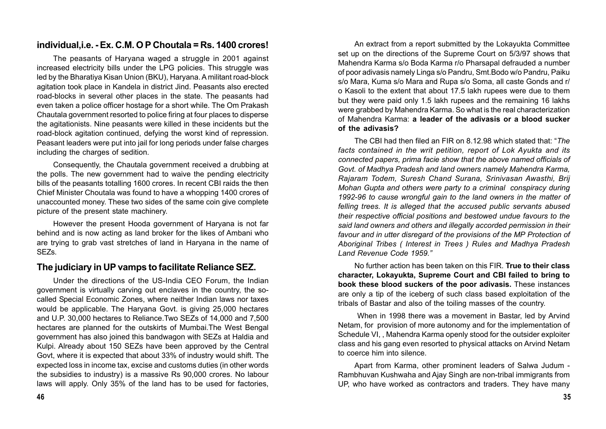## **individual,i.e. - Ex. C.M. O P Choutala = Rs. 1400 crores!**

The peasants of Haryana waged a struggle in 2001 against increased electricity bills under the LPG policies. This struggle was led by the Bharatiya Kisan Union (BKU), Haryana. A militant road-block agitation took place in Kandela in district Jind. Peasants also erected road-blocks in several other places in the state. The peasants had even taken a police officer hostage for a short while. The Om Prakash Chautala government resorted to police firing at four places to disperse the agitationists. Nine peasants were killed in these incidents but the road-block agitation continued, defying the worst kind of repression. Peasant leaders were put into jail for long periods under false charges including the charges of sedition.

Consequently, the Chautala government received a drubbing at the polls. The new government had to waive the pending electricity bills of the peasants totalling 1600 crores. In recent CBI raids the then Chief Minister Choutala was found to have a whopping 1400 crores of unaccounted money. These two sides of the same coin give complete picture of the present state machinery.

However the present Hooda government of Haryana is not far behind and is now acting as land broker for the likes of Ambani who are trying to grab vast stretches of land in Haryana in the name of SEZs.

## **The judiciary in UP vamps to facilitate Reliance SEZ.**

Under the directions of the US-India CEO Forum, the Indian government is virtually carving out enclaves in the country, the socalled Special Economic Zones, where neither Indian laws nor taxes would be applicable. The Haryana Govt. is giving 25,000 hectares and U.P. 30,000 hectares to Reliance.Two SEZs of 14,000 and 7,500 hectares are planned for the outskirts of Mumbai.The West Bengal government has also joined this bandwagon with SEZs at Haldia and Kulpi. Already about 150 SEZs have been approved by the Central Govt, where it is expected that about 33% of industry would shift. The expected loss in income tax, excise and customs duties (in other words the subsidies to industry) is a massive Rs 90,000 crores. No labour laws will apply. Only 35% of the land has to be used for factories,

An extract from a report submitted by the Lokayukta Committee set up on the directions of the Supreme Court on 5/3/97 shows that Mahendra Karma s/o Boda Karma r/o Pharsapal defrauded a number of poor adivasis namely Linga s/o Pandru, Smt.Bodo w/o Pandru, Paiku s/o Mara, Kuma s/o Mara and Rupa s/o Soma, all caste Gonds and r/ o Kasoli to the extent that about 17.5 lakh rupees were due to them but they were paid only 1.5 lakh rupees and the remaining 16 lakhs were grabbed by Mahendra Karma. So what is the real characterization of Mahendra Karma: **a leader of the adivasis or a blood sucker of the adivasis?**

The CBI had then filed an FIR on 8.12.98 which stated that: "*The facts contained in the writ petition, report of Lok Ayukta and its connected papers, prima facie show that the above named officials of Govt. of Madhya Pradesh and land owners namely Mahendra Karma, Rajaram Todem, Suresh Chand Surana, Srinivasan Awasthi, Brij Mohan Gupta and others were party to a criminal conspiracy during 1992-96 to cause wrongful gain to the land owners in the matter of felling trees. It is alleged that the accused public servants abused their respective official positions and bestowed undue favours to the said land owners and others and illegally accorded permission in their favour and in utter disregard of the provisions of the MP Protection of Aboriginal Tribes ( Interest in Trees ) Rules and Madhya Pradesh Land Revenue Code 1959."*

No further action has been taken on this FIR. **True to their class character, Lokayukta, Supreme Court and CBI failed to bring to book these blood suckers of the poor adivasis.** These instances are only a tip of the iceberg of such class based exploitation of the tribals of Bastar and also of the toiling masses of the country.

 When in 1998 there was a movement in Bastar, led by Arvind Netam, for provision of more autonomy and for the implementation of Schedule VI, , Mahendra Karma openly stood for the outsider exploiter class and his gang even resorted to physical attacks on Arvind Netam to coerce him into silence.

Apart from Karma, other prominent leaders of Salwa Judum - Rambhuvan Kushwaha and Ajay Singh are non-tribal immigrants from UP, who have worked as contractors and traders. They have many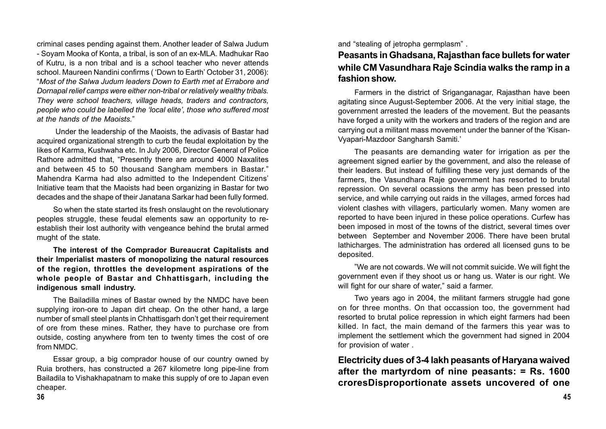criminal cases pending against them. Another leader of Salwa Judum - Soyam Mooka of Konta, a tribal, is son of an ex-MLA. Madhukar Rao of Kutru, is a non tribal and is a school teacher who never attends school. Maureen Nandini confirms ( 'Down to Earth' October 31, 2006): "*Most of the Salwa Judum leaders Down to Earth met at Errabore and Dornapal relief camps were either non-tribal or relatively wealthy tribals. They were school teachers, village heads, traders and contractors, people who could be labelled the 'local elite', those who suffered most at the hands of the Maoists.*"

 Under the leadership of the Maoists, the adivasis of Bastar had acquired organizational strength to curb the feudal exploitation by the likes of Karma, Kushwaha etc. In July 2006, Director General of Police Rathore admitted that, "Presently there are around 4000 Naxalites and between 45 to 50 thousand Sangham members in Bastar." Mahendra Karma had also admitted to the Independent Citizens' Initiative team that the Maoists had been organizing in Bastar for two decades and the shape of their Janatana Sarkar had been fully formed.

So when the state started its fresh onslaught on the revolutionary peoples struggle, these feudal elements saw an opportunity to reestablish their lost authority with vengeance behind the brutal armed mught of the state.

**The interest of the Comprador Bureaucrat Capitalists and their Imperialist masters of monopolizing the natural resources of the region, throttles the development aspirations of the whole people of Bastar and Chhattisgarh, including the indigenous small industry.**

The Bailadilla mines of Bastar owned by the NMDC have been supplying iron-ore to Japan dirt cheap. On the other hand, a large number of small steel plants in Chhattisgarh don't get their requirement of ore from these mines. Rather, they have to purchase ore from outside, costing anywhere from ten to twenty times the cost of ore from NMDC.

Essar group, a big comprador house of our country owned by Ruia brothers, has constructed a 267 kilometre long pipe-line from Bailadila to Vishakhapatnam to make this supply of ore to Japan even cheaper.

and "stealing of jetropha germplasm" .

# **Peasants in Ghadsana, Rajasthan face bullets for water while CM Vasundhara Raje Scindia walks the ramp in a fashion show.**

Farmers in the district of Sriganganagar, Rajasthan have been agitating since August-September 2006. At the very initial stage, the government arrested the leaders of the movement. But the peasants have forged a unity with the workers and traders of the region and are carrying out a militant mass movement under the banner of the 'Kisan-Vyapari-Mazdoor Sangharsh Samiti.'

The peasants are demanding water for irrigation as per the agreement signed earlier by the government, and also the release of their leaders. But instead of fulfilling these very just demands of the farmers, the Vasundhara Raje government has resorted to brutal repression. On several ocassions the army has been pressed into service, and while carrying out raids in the villages, armed forces had violent clashes with villagers, particularly women. Many women are reported to have been injured in these police operations. Curfew has been imposed in most of the towns of the district, several times over between September and November 2006. There have been brutal lathicharges. The administration has ordered all licensed guns to be deposited.

"We are not cowards. We will not commit suicide. We will fight the government even if they shoot us or hang us. Water is our right. We will fight for our share of water," said a farmer.

Two years ago in 2004, the militant farmers struggle had gone on for three months. On that occassion too, the government had resorted to brutal police repression in which eight farmers had been killed. In fact, the main demand of the farmers this year was to implement the settlement which the government had signed in 2004 for provision of water .

**Electricity dues of 3-4 lakh peasants of Haryana waived after the martyrdom of nine peasants: = Rs. 1600 croresDisproportionate assets uncovered of one**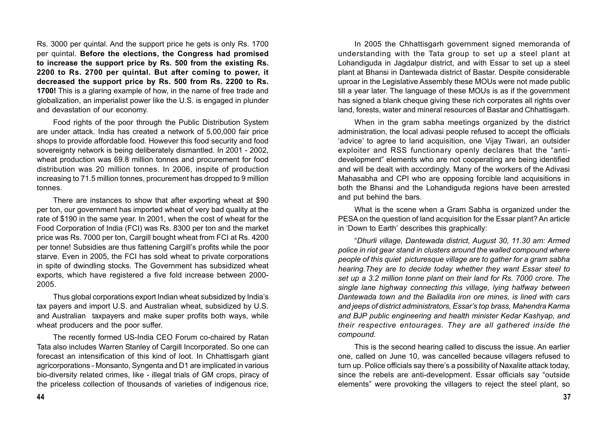Rs. 3000 per quintal. And the support price he gets is only Rs. 1700 per quintal. **Before the elections, the Congress had promised to increase the support price by Rs. 500 from the existing Rs. 2200 to Rs. 2700 per quintal. But after coming to power, it decreased the support price by Rs. 500 from Rs. 2200 to Rs. 1700!** This is a glaring example of how, in the name of free trade and globalization, an imperialist power like the U.S. is engaged in plunder and devastation of our economy.

Food rights of the poor through the Public Distribution System are under attack. India has created a network of 5,00,000 fair price shops to provide affordable food. However this food security and food sovereignty network is being deliberately dismantled. In 2001 - 2002, wheat production was 69.8 million tonnes and procurement for food distribution was 20 million tonnes. In 2006, inspite of production increasing to 71.5 million tonnes, procurement has dropped to 9 million tonnes.

There are instances to show that after exporting wheat at \$90 per ton, our government has imported wheat of very bad quality at the rate of \$190 in the same year. In 2001, when the cost of wheat for the Food Corporation of India (FCI) was Rs. 8300 per ton and the market price was Rs. 7000 per ton, Cargill bought wheat from FCI at Rs. 4200 per tonne! Subsidies are thus fattening Cargill's profits while the poor starve. Even in 2005, the FCI has sold wheat to private corporations in spite of dwindling stocks. The Government has subsidized wheat exports, which have registered a five fold increase between 2000- 2005.

Thus global corporations export Indian wheat subsidized by India's tax payers and import U.S. and Australian wheat, subsidized by U.S. and Australian taxpayers and make super profits both ways, while wheat producers and the poor suffer.

The recently formed US-India CEO Forum co-chaired by Ratan Tata also includes Warren Stanley of Cargill Incorporated. So one can forecast an intensification of this kind of loot. In Chhattisgarh giant agricorporations - Monsanto, Syngenta and D1 are implicated in various bio-diversity related crimes, like - illegal trials of GM crops, piracy of the priceless collection of thousands of varieties of indigenous rice,

In 2005 the Chhattisgarh government signed memoranda of understanding with the Tata group to set up a steel plant at Lohandiguda in Jagdalpur district, and with Essar to set up a steel plant at Bhansi in Dantewada district of Bastar. Despite considerable uproar in the Legislative Assembly these MOUs were not made public till a year later. The language of these MOUs is as if the government has signed a blank cheque giving these rich corporates all rights over land, forests, water and mineral resources of Bastar and Chhattisgarh.

When in the gram sabha meetings organized by the district administration, the local adivasi people refused to accept the officials 'advice' to agree to land acquisition, one Vijay Tiwari, an outsider exploiter and RSS functionary openly declares that the "antidevelopment" elements who are not cooperating are being identified and will be dealt with accordingly. Many of the workers of the Adivasi Mahasabha and CPI who are opposing forcible land acquisitions in both the Bhansi and the Lohandiguda regions have been arrested and put behind the bars.

What is the scene when a Gram Sabha is organized under the PESA on the question of land acquisition for the Essar plant? An article in 'Down to Earth' describes this graphically:

"*Dhurli village, Dantewada district, August 30, 11.30 am: Armed police in riot gear stand in clusters around the walled compound where people of this quiet picturesque village are to gather for a gram sabha hearing.They are to decide today whether they want Essar steel to set up a 3.2 million tonne plant on their land for Rs. 7000 crore. The single lane highway connecting this village, lying halfway between Dantewada town and the Bailadila iron ore mines, is lined with cars and jeeps of district administrators, Essar's top brass, Mahendra Karma and BJP public engineering and health minister Kedar Kashyap, and their respective entourages. They are all gathered inside the compound.*

This is the second hearing called to discuss the issue. An earlier one, called on June 10, was cancelled because villagers refused to turn up. Police officials say there's a possibility of Naxalite attack today, since the rebels are anti-development. Essar officials say "outside elements" were provoking the villagers to reject the steel plant, so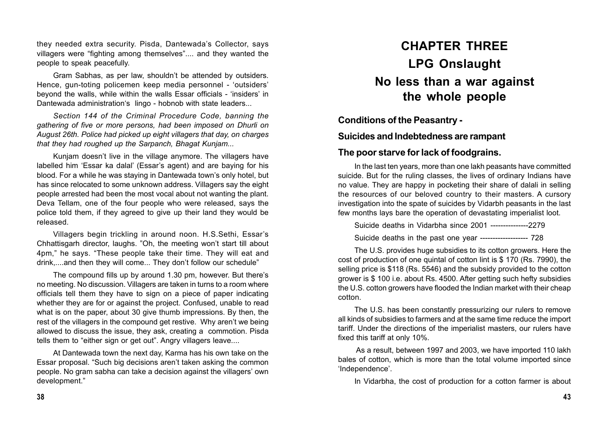they needed extra security. Pisda, Dantewada's Collector, says villagers were "fighting among themselves".... and they wanted the people to speak peacefully.

Gram Sabhas, as per law, shouldn't be attended by outsiders. Hence, gun-toting policemen keep media personnel - 'outsiders' beyond the walls, while within the walls Essar officials - 'insiders' in Dantewada administration's lingo - hobnob with state leaders...

*Section 144 of the Criminal Procedure Code, banning the gathering of five or more persons, had been imposed on Dhurli on August 26th. Police had picked up eight villagers that day, on charges that they had roughed up the Sarpanch, Bhagat Kunjam...*

Kunjam doesn't live in the village anymore. The villagers have labelled him 'Essar ka dalal' (Essar's agent) and are baying for his blood. For a while he was staying in Dantewada town's only hotel, but has since relocated to some unknown address. Villagers say the eight people arrested had been the most vocal about not wanting the plant. Deva Tellam, one of the four people who were released, says the police told them, if they agreed to give up their land they would be released.

Villagers begin trickling in around noon. H.S.Sethi, Essar's Chhattisgarh director, laughs. "Oh, the meeting won't start till about 4pm," he says. "These people take their time. They will eat and drink,....and then they will come... They don't follow our schedule"

The compound fills up by around 1.30 pm, however. But there's no meeting. No discussion. Villagers are taken in turns to a room where officials tell them they have to sign on a piece of paper indicating whether they are for or against the project. Confused, unable to read what is on the paper, about 30 give thumb impressions. By then, the rest of the villagers in the compound get restive. Why aren't we being allowed to discuss the issue, they ask, creating a commotion. Pisda tells them to "either sign or get out". Angry villagers leave....

At Dantewada town the next day, Karma has his own take on the Essar proposal. "Such big decisions aren't taken asking the common people. No gram sabha can take a decision against the villagers' own development."

# **CHAPTER THREE LPG Onslaught No less than a war against the whole people**

**Conditions of the Peasantry -**

#### **Suicides and Indebtedness are rampant**

## **The poor starve for lack of foodgrains.**

In the last ten years, more than one lakh peasants have committed suicide. But for the ruling classes, the lives of ordinary Indians have no value. They are happy in pocketing their share of dalali in selling the resources of our beloved country to their masters. A cursory investigation into the spate of suicides by Vidarbh peasants in the last few months lays bare the operation of devastating imperialist loot.

Suicide deaths in Vidarbha since 2001 ---------------2279 Suicide deaths in the past one year ------------------- 728

The U.S. provides huge subsidies to its cotton growers. Here the cost of production of one quintal of cotton lint is \$ 170 (Rs. 7990), the selling price is \$118 (Rs. 5546) and the subsidy provided to the cotton grower is \$ 100 i.e. about Rs. 4500. After getting such hefty subsidies the U.S. cotton growers have flooded the Indian market with their cheap cotton.

The U.S. has been constantly pressurizing our rulers to remove all kinds of subsidies to farmers and at the same time reduce the import tariff. Under the directions of the imperialist masters, our rulers have fixed this tariff at only 10%.

 As a result, between 1997 and 2003, we have imported 110 lakh bales of cotton, which is more than the total volume imported since 'Independence'.

In Vidarbha, the cost of production for a cotton farmer is about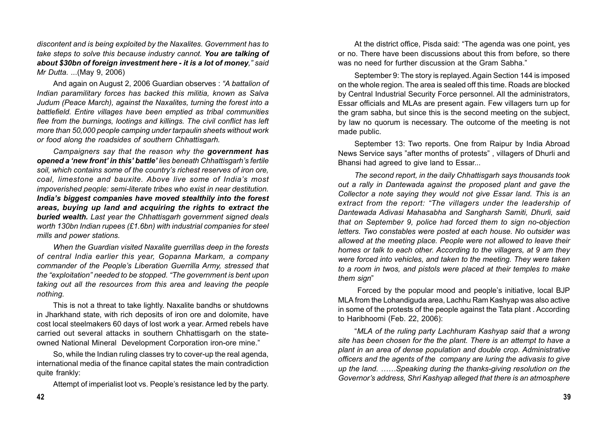*discontent and is being exploited by the Naxalites. Government has to take steps to solve this because industry cannot. You are talking of about \$30bn of foreign investment here - it is a lot of money," said Mr Dutta. ..*.(May 9, 2006)

And again on August 2, 2006 Guardian observes : *"A battalion of Indian paramilitary forces has backed this militia, known as Salva Judum (Peace March), against the Naxalites, turning the forest into a battlefield. Entire villages have been emptied as tribal communities flee from the burnings, lootings and killings. The civil conflict has left more than 50,000 people camping under tarpaulin sheets without work or food along the roadsides of southern Chhattisgarh.*

*Campaigners say that the reason why the government has opened a 'new front' in this' battle' lies beneath Chhattisgarh's fertile soil, which contains some of the country's richest reserves of iron ore, coal, limestone and bauxite. Above live some of India's most impoverished people: semi-literate tribes who exist in near destitution. India's biggest companies have moved stealthily into the forest areas, buying up land and acquiring the rights to extract the buried wealth. Last year the Chhattisgarh government signed deals worth 130bn Indian rupees (£1.6bn) with industrial companies for steel mills and power stations.*

*When the Guardian visited Naxalite guerrillas deep in the forests of central India earlier this year, Gopanna Markam, a company commander of the People's Liberation Guerrilla Army, stressed that the "exploitation" needed to be stopped. "The government is bent upon taking out all the resources from this area and leaving the people nothing.*

This is not a threat to take lightly. Naxalite bandhs or shutdowns in Jharkhand state, with rich deposits of iron ore and dolomite, have cost local steelmakers 60 days of lost work a year. Armed rebels have carried out several attacks in southern Chhattisgarh on the stateowned National Mineral Development Corporation iron-ore mine."

So, while the Indian ruling classes try to cover-up the real agenda, international media of the finance capital states the main contradiction quite frankly:

Attempt of imperialist loot vs. People's resistance led by the party.

At the district office, Pisda said: "The agenda was one point, yes or no. There have been discussions about this from before, so there was no need for further discussion at the Gram Sabha."

September 9: The story is replayed. Again Section 144 is imposed on the whole region. The area is sealed off this time. Roads are blocked by Central Industrial Security Force personnel. All the administrators, Essar officials and MLAs are present again. Few villagers turn up for the gram sabha, but since this is the second meeting on the subject, by law no quorum is necessary. The outcome of the meeting is not made public.

September 13: Two reports. One from Raipur by India Abroad News Service says "after months of protests" , villagers of Dhurli and Bhansi had agreed to give land to Essar...

*The second report, in the daily Chhattisgarh says thousands took out a rally in Dantewada against the proposed plant and gave the Collector a note saying they would not give Essar land. This is an extract from the report: "The villagers under the leadership of Dantewada Adivasi Mahasabha and Sangharsh Samiti, Dhurli, said that on September 9, police had forced them to sign no-objection letters. Two constables were posted at each house. No* o*utsider was allowed at the meeting place. People were not allowed to leave their homes or talk to each other. According to the villagers, at 9 am they were forced into vehicles, and taken to the meeting. They were taken to a room in twos, and pistols were placed at their temples to make them sign*"

 Forced by the popular mood and people's initiative, local BJP MLA from the Lohandiguda area, Lachhu Ram Kashyap was also active in some of the protests of the people against the Tata plant . According to Haribhoomi (Feb. 22, 2006):

"*MLA of the ruling party Lachhuram Kashyap said that a wrong site has been chosen for the the plant. There is an attempt to have a plant in an area of dense population and double crop. Administrative officers and the agents of the company are luring the adivasis to give up the land. ……Speaking during the thanks-giving resolution on the Governor's address, Shri Kashyap alleged that there is an atmosphere*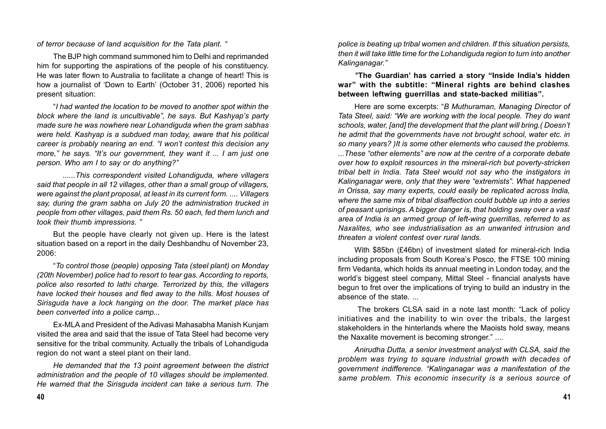*of terror because of land acquisition for the Tata plant. "*

The BJP high command summoned him to Delhi and reprimanded him for supporting the aspirations of the people of his constituency. He was later flown to Australia to facilitate a change of heart! This is how a journalist of 'Down to Earth' (October 31, 2006) reported his present situation:

"*I had wanted the location to be moved to another spot within the block where the land is uncultivable", he says. But Kashyap's party made sure he was nowhere near Lohandiguda when the gram sabhas were held. Kashyap is a subdued man today, aware that his political career is probably nearing an end. "I won't contest this decision any more," he says. "It's our government, they want it ... I am just one person. Who am I to say or do anything?"*

*......This correspondent visited Lohandiguda, where villagers said that people in all 12 villages, other than a small group of villagers, were against the plant proposal, at least in its current form. .... Villagers say, during the gram sabha on July 20 the administration trucked in people from other villages, paid them Rs. 50 each, fed them lunch and took their thumb impressions. "*

But the people have clearly not given up. Here is the latest situation based on a report in the daily Deshbandhu of November 23, 2006:

"*To control those (people) opposing Tata (steel plant) on Monday (20th November) police had to resort to tear gas. According to reports, police also resorted to lathi charge. Terrorized by this, the villagers have locked their houses and fled away to the hills. Most houses of Sirisguda have a lock hanging on the door. The market place has been converted into a police camp...*

Ex-MLA and President of the Adivasi Mahasabha Manish Kunjam visited the area and said that the issue of Tata Steel had become very sensitive for the tribal community. Actually the tribals of Lohandiguda region do not want a steel plant on their land.

*He demanded that the 13 point agreement between the district administration and the people of 10 villages should be implemented. He warned that the Sirisguda incident can take a serious turn. The*

*police is beating up tribal women and children. If this situation persists, then it will take little time for the Lohandiguda region to turn into another Kalinganagar."*

*'***'The Guardian' has carried a story "Inside India's hidden war" with the subtitle: "Mineral rights are behind clashes between leftwing guerrillas and state-backed militias".**

Here are some excerpts: "*B Muthuraman, Managing Director of Tata Steel, said: "We are working with the local people. They do want schools, water, [and] the development that the plant will bring.( Doesn't he admit that the governments have not brought school, water etc. in so many years? )It is some other elements who caused the problems. ...These "other elements" are now at the centre of a corporate debate over how to exploit resources in the mineral-rich but poverty-stricken tribal belt in India. Tata Steel would not say who the instigators in Kalinganagar were, only that they were "extremists". What happened in Orissa, say many experts, could easily be replicated across India, where the same mix of tribal disaffection could bubble up into a series of peasant uprisings. A bigger danger is, that holding sway over a vast area of India is an armed group of left-wing guerrillas, referred to as Naxalites, who see industrialisation as an unwanted intrusion and threaten a violent contest over rural lands.*

With \$85bn (£46bn) of investment slated for mineral-rich India including proposals from South Korea's Posco, the FTSE 100 mining firm Vedanta, which holds its annual meeting in London today, and the world's biggest steel company, Mittal Steel - financial analysts have begun to fret over the implications of trying to build an industry in the absence of the state. ...

 The brokers CLSA said in a note last month: "Lack of policy initiatives and the inability to win over the tribals, the largest stakeholders in the hinterlands where the Maoists hold sway, means the Naxalite movement is becoming stronger." ....

*Anirudha Dutta, a senior investment analyst with CLSA, said the problem was trying to square industrial growth with decades of government indifference. "Kalinganagar was a manifestation of the same problem. This economic insecurity is a serious source of*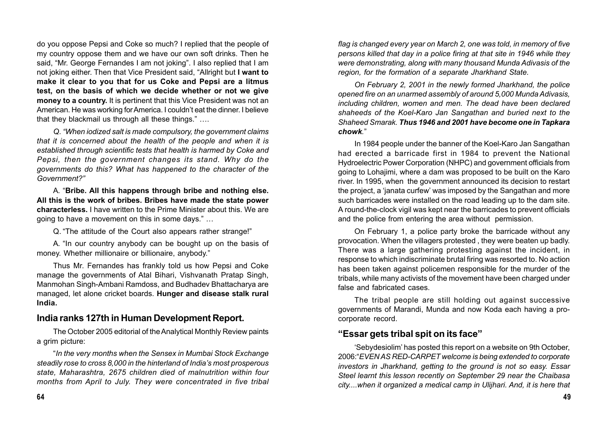do you oppose Pepsi and Coke so much? I replied that the people of my country oppose them and we have our own soft drinks. Then he said, "Mr. George Fernandes I am not joking". I also replied that I am not joking either. Then that Vice President said, "Allright but **I want to make it clear to you that for us Coke and Pepsi are a litmus test, on the basis of which we decide whether or not we give money to a country.** It is pertinent that this Vice President was not an American. He was working for America. I couldn't eat the dinner. I believe that they blackmail us through all these things." ….

*Q. "When iodized salt is made compulsory, the government claims that it is concerned about the health of the people and when it is established through scientific tests that health is harmed by Coke and Pepsi, then the government changes its stand. Why do the governments do this? What has happened to the character of the Government?"*

A. "**Bribe. All this happens through bribe and nothing else. All this is the work of bribes. Bribes have made the state power characterless.** I have written to the Prime Minister about this. We are going to have a movement on this in some days." …

Q. "The attitude of the Court also appears rather strange!"

A. "In our country anybody can be bought up on the basis of money. Whether millionaire or billionaire, anybody."

Thus Mr. Fernandes has frankly told us how Pepsi and Coke manage the governments of Atal Bihari, Vishvanath Pratap Singh, Manmohan Singh-Ambani Ramdoss, and Budhadev Bhattacharya are managed, let alone cricket boards. **Hunger and disease stalk rural India.**

## **India ranks 127th in Human Development Report.**

The October 2005 editorial of the Analytical Monthly Review paints a grim picture:

"*In the very months when the Sensex in Mumbai Stock Exchange steadily rose to cross 8,000 in the hinterland of India's most prosperous state, Maharashtra, 2675 children died of malnutrition within four months from April to July. They were concentrated in five tribal* *flag is changed every year on March 2, one was told, in memory of five persons killed that day in a police firing at that site in 1946 while they were demonstrating, along with many thousand Munda Adivasis of the region, for the formation of a separate Jharkhand State.*

*On February 2, 2001 in the newly formed Jharkhand, the police opened fire on an unarmed assembly of around 5,000 Munda Adivasis, including children, women and men. The dead have been declared shaheeds of the Koel-Karo Jan Sangathan and buried next to the Shaheed Smarak. Thus 1946 and 2001 have become one in Tapkara chowk.*"

In 1984 people under the banner of the Koel-Karo Jan Sangathan had erected a barricade first in 1984 to prevent the National Hydroelectric Power Corporation (NHPC) and government officials from going to Lohajimi, where a dam was proposed to be built on the Karo river. In 1995, when the government announced its decision to restart the project, a 'janata curfew' was imposed by the Sangathan and more such barricades were installed on the road leading up to the dam site. A round-the-clock vigil was kept near the barricades to prevent officials and the police from entering the area without permission.

On February 1, a police party broke the barricade without any provocation. When the villagers protested , they were beaten up badly. There was a large gathering protesting against the incident, in response to which indiscriminate brutal firing was resorted to. No action has been taken against policemen responsible for the murder of the tribals, while many activists of the movement have been charged under false and fabricated cases.

The tribal people are still holding out against successive governments of Marandi, Munda and now Koda each having a procorporate record.

## **"Essar gets tribal spit on its face"**

'Sebydesiolim' has posted this report on a website on 9th October, 2006:"*EVEN AS RED-CARPET welcome is being extended to corporate investors in Jharkhand, getting to the ground is not so easy. Essar Steel learnt this lesson recently on September 29 near the Chaibasa city....when it organized a medical camp in Ulijhari. And, it is here that*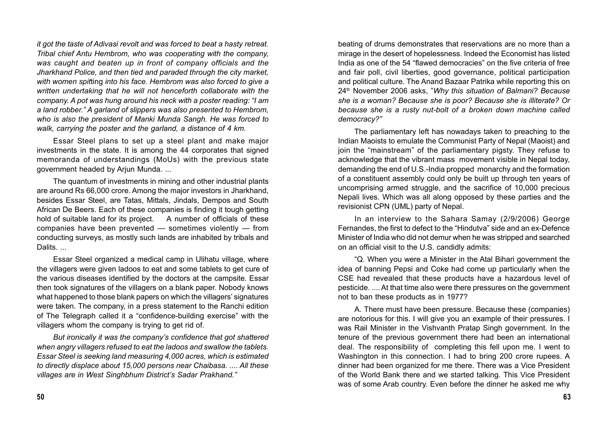*it got the taste of Adivasi revolt and was forced to beat a hasty retreat. Tribal chief Antu Hembrom, who was cooperating with the company, was caught and beaten up in front of company officials and the Jharkhand Police, and then tied and paraded through the city market, with women spit*ting *into his face. Hembrom was also forced to give a written undertaking that he will not henceforth collaborate with the company. A pot was hung around his neck with a poster reading: "I am a land robber." A garland of slippers was also presented to Hembrom, who is also the president of Manki Munda Sangh. He was forced to walk, carrying the poster and the garland, a distance of 4 km.*

Essar Steel plans to set up a steel plant and make major investments in the state. It is among the 44 corporates that signed memoranda of understandings (MoUs) with the previous state government headed by Arjun Munda. ...

The quantum of investments in mining and other industrial plants are around Rs 66,000 crore. Among the major investors in Jharkhand, besides Essar Steel, are Tatas, Mittals, Jindals, Dempos and South African De Beers. Each of these companies is finding it tough getting hold of suitable land for its project. A number of officials of these companies have been prevented — sometimes violently — from conducting surveys, as mostly such lands are inhabited by tribals and Dalits. ...

Essar Steel organized a medical camp in Ulihatu village, where the villagers were given ladoos to eat and some tablets to get cure of the various diseases identified by the doctors at the campsite. Essar then took signatures of the villagers on a blank paper. Nobody knows what happened to those blank papers on which the villagers' signatures were taken. The company, in a press statement to the Ranchi edition of The Telegraph called it a "confidence-building exercise" with the villagers whom the company is trying to get rid of.

*But ironically it was the company's confidence that got shattered when angry villagers refused to eat the ladoos and swallow the tablets. Essar Steel is seeking land measuring 4,000 acres, which is estimated to directly displace about 15,000 persons near Chaibasa. .... All these villages are in West Singhbhum District's Sadar Prakhand."*

beating of drums demonstrates that reservations are no more than a mirage in the desert of hopelessness. Indeed the Economist has listed India as one of the 54 "flawed democracies" on the five criteria of free and fair poll, civil liberties, good governance, political participation and political culture. The Anand Bazaar Patrika while reporting this on 24th November 2006 asks, "*Why this situation of Balmani? Because she is a woman? Because she is poor? Because she is illiterate? Or because she is a rusty nut-bolt of a broken down machine called democracy?"*

The parliamentary left has nowadays taken to preaching to the Indian Maoists to emulate the Communist Party of Nepal (Maoist) and join the "mainstream" of the parliamentary pigsty. They refuse to acknowledge that the vibrant mass movement visible in Nepal today, demanding the end of U.S.-India propped monarchy and the formation of a constituent assembly could only be built up through ten years of uncomprising armed struggle, and the sacrifice of 10,000 precious Nepali lives. Which was all along opposed by these parties and the revisionist CPN (UML) party of Nepal.

In an interview to the Sahara Samay (2/9/2006) George Fernandes, the first to defect to the "Hindutva" side and an ex-Defence Minister of India who did not demur when he was stripped and searched on an official visit to the U.S. candidly admits:

"Q. When you were a Minister in the Atal Bihari government the idea of banning Pepsi and Coke had come up particularly when the CSE had revealed that these products have a hazardous level of pesticide. .... At that time also were there pressures on the government not to ban these products as in 1977?

A. There must have been pressure. Because these (companies) are notorious for this. I will give you an example of their pressures. I was Rail Minister in the Vishvanth Pratap Singh government. In the tenure of the previous government there had been an international deal. The responsibility of completing this fell upon me. I went to Washington in this connection. I had to bring 200 crore rupees. A dinner had been organized for me there. There was a Vice President of the World Bank there and we started talking. This Vice President was of some Arab country. Even before the dinner he asked me why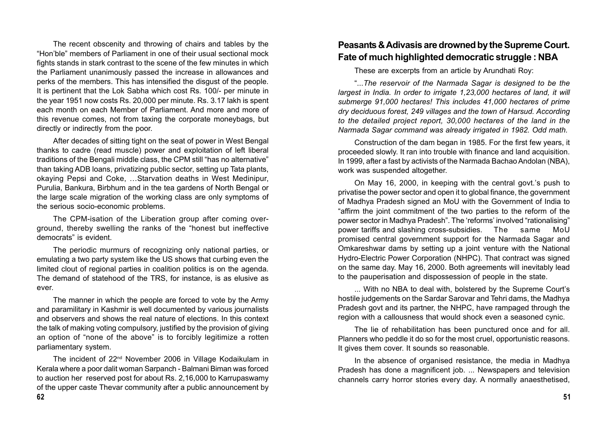The recent obscenity and throwing of chairs and tables by the "Hon'ble" members of Parliament in one of their usual sectional mock fights stands in stark contrast to the scene of the few minutes in which the Parliament unanimously passed the increase in allowances and perks of the members. This has intensified the disgust of the people. It is pertinent that the Lok Sabha which cost Rs. 100/- per minute in the year 1951 now costs Rs. 20,000 per minute. Rs. 3.17 lakh is spent each month on each Member of Parliament. And more and more of this revenue comes, not from taxing the corporate moneybags, but directly or indirectly from the poor.

After decades of sitting tight on the seat of power in West Bengal thanks to cadre (read muscle) power and exploitation of left liberal traditions of the Bengali middle class, the CPM still "has no alternative" than taking ADB loans, privatizing public sector, setting up Tata plants, okaying Pepsi and Coke, …Starvation deaths in West Medinipur, Purulia, Bankura, Birbhum and in the tea gardens of North Bengal or the large scale migration of the working class are only symptoms of the serious socio-economic problems.

The CPM-isation of the Liberation group after coming overground, thereby swelling the ranks of the "honest but ineffective democrats" is evident.

The periodic murmurs of recognizing only national parties, or emulating a two party system like the US shows that curbing even the limited clout of regional parties in coalition politics is on the agenda. The demand of statehood of the TRS, for instance, is as elusive as ever.

The manner in which the people are forced to vote by the Army and paramilitary in Kashmir is well documented by various journalists and observers and shows the real nature of elections. In this context the talk of making voting compulsory, justified by the provision of giving an option of "none of the above" is to forcibly legitimize a rotten parliamentary system.

The incident of 22nd November 2006 in Village Kodaikulam in Kerala where a poor dalit woman Sarpanch - Balmani Biman was forced to auction her reserved post for about Rs. 2,16,000 to Karrupaswamy of the upper caste Thevar community after a public announcement by

# **Peasants & Adivasis are drowned by the Supreme Court. Fate of much highlighted democratic struggle : NBA**

These are excerpts from an article by Arundhati Roy:

"...*The reservoir of the Narmada Sagar is designed to be the largest in India. In order to irrigate 1,23,000 hectares of land, it will submerge 91,000 hectares! This includes 41,000 hectares of prime dry deciduous forest, 249 villages and the town of Harsud. According to the detailed project report, 30,000 hectares of the land in the Narmada Sagar command was already irrigated in 1982. Odd math.*

Construction of the dam began in 1985. For the first few years, it proceeded slowly. It ran into trouble with finance and land acquisition. In 1999, after a fast by activists of the Narmada Bachao Andolan (NBA), work was suspended altogether.

On May 16, 2000, in keeping with the central govt.'s push to privatise the power sector and open it to global finance, the government of Madhya Pradesh signed an MoU with the Government of India to "affirm the joint commitment of the two parties to the reform of the power sector in Madhya Pradesh". The 'reforms' involved "rationalising" power tariffs and slashing cross-subsidies. The same MoU promised central government support for the Narmada Sagar and Omkareshwar dams by setting up a joint venture with the National Hydro-Electric Power Corporation (NHPC). That contract was signed on the same day. May 16, 2000. Both agreements will inevitably lead to the pauperisation and dispossession of people in the state.

... With no NBA to deal with, bolstered by the Supreme Court's hostile judgements on the Sardar Sarovar and Tehri dams, the Madhya Pradesh govt and its partner, the NHPC, have rampaged through the region with a callousness that would shock even a seasoned cynic.

The lie of rehabilitation has been punctured once and for all. Planners who peddle it do so for the most cruel, opportunistic reasons. It gives them cover. It sounds so reasonable.

In the absence of organised resistance, the media in Madhya Pradesh has done a magnificent job. ... Newspapers and television channels carry horror stories every day. A normally anaesthetised,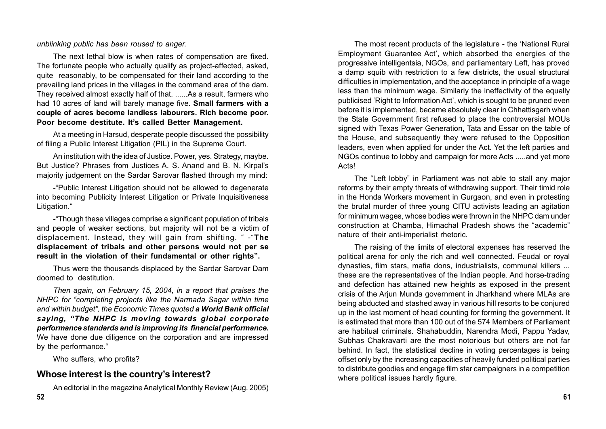*unblinking public has been roused to anger.*

The next lethal blow is when rates of compensation are fixed. The fortunate people who actually qualify as project-affected, asked, quite reasonably, to be compensated for their land according to the prevailing land prices in the villages in the command area of the dam. They received almost exactly half of that. ......As a result, farmers who had 10 acres of land will barely manage five. **Small farmers with a couple of acres become landless labourers. Rich become poor. Poor become destitute. It's called Better Management.**

At a meeting in Harsud, desperate people discussed the possibility of filing a Public Interest Litigation (PIL) in the Supreme Court.

An institution with the idea of Justice. Power, yes. Strategy, maybe. But Justice? Phrases from Justices A. S. Anand and B. N. Kirpal's majority judgement on the Sardar Sarovar flashed through my mind:

-"Public Interest Litigation should not be allowed to degenerate into becoming Publicity Interest Litigation or Private Inquisitiveness Litigation."

-"Though these villages comprise a significant population of tribals and people of weaker sections, but majority will not be a victim of displacement. Instead, they will gain from shifting. " -"**The displacement of tribals and other persons would not per se result in the violation of their fundamental or other rights".**

Thus were the thousands displaced by the Sardar Sarovar Dam doomed to destitution.

*Then again, on February 15, 2004, in a report that praises the NHPC for "completing projects like the Narmada Sagar within time and within budget", the Economic Times quoted a World Bank official saying, "The NHPC is moving towards global corporate performance standards and is improving its financial performance.* We have done due diligence on the corporation and are impressed by the performance."

Who suffers, who profits?

#### **Whose interest is the country's interest?**

An editorial in the magazine Analytical Monthly Review (Aug. 2005)

The most recent products of the legislature - the 'National Rural Employment Guarantee Act', which absorbed the energies of the progressive intelligentsia, NGOs, and parliamentary Left, has proved a damp squib with restriction to a few districts, the usual structural difficulties in implementation, and the acceptance in principle of a wage less than the minimum wage. Similarly the ineffectivity of the equally publicised 'Right to Information Act', which is sought to be pruned even before it is implemented, became absolutely clear in Chhattisgarh when the State Government first refused to place the controversial MOUs signed with Texas Power Generation, Tata and Essar on the table of the House, and subsequently they were refused to the Opposition leaders, even when applied for under the Act. Yet the left parties and NGOs continue to lobby and campaign for more Acts .....and yet more Acts!

The "Left lobby" in Parliament was not able to stall any major reforms by their empty threats of withdrawing support. Their timid role in the Honda Workers movement in Gurgaon, and even in protesting the brutal murder of three young CITU activists leading an agitation for minimum wages, whose bodies were thrown in the NHPC dam under construction at Chamba, Himachal Pradesh shows the "academic" nature of their anti-imperialist rhetoric.

The raising of the limits of electoral expenses has reserved the political arena for only the rich and well connected. Feudal or royal dynasties, film stars, mafia dons, industrialists, communal killers ... these are the representatives of the Indian people. And horse-trading and defection has attained new heights as exposed in the present crisis of the Arjun Munda government in Jharkhand where MLAs are being abducted and stashed away in various hill resorts to be conjured up in the last moment of head counting for forming the government. It is estimated that more than 100 out of the 574 Members of Parliament are habitual criminals. Shahabuddin, Narendra Modi, Pappu Yadav, Subhas Chakravarti are the most notorious but others are not far behind. In fact, the statistical decline in voting percentages is being offset only by the increasing capacities of heavily funded political parties to distribute goodies and engage film star campaigners in a competition where political issues hardly figure.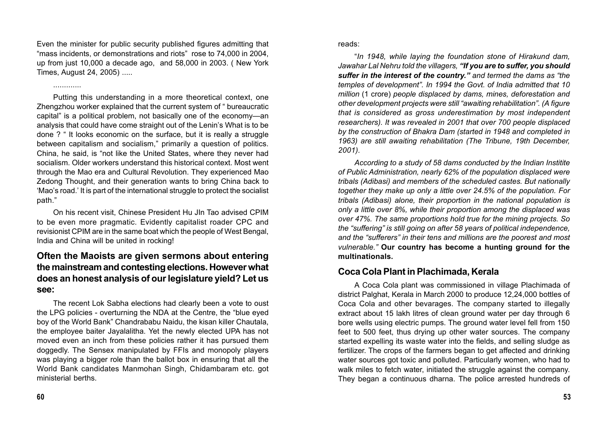Even the minister for public security published figures admitting that "mass incidents, or demonstrations and riots" rose to 74,000 in 2004, up from just 10,000 a decade ago, and 58,000 in 2003. ( New York Times, August 24, 2005) .....

Putting this understanding in a more theoretical context, one Zhengzhou worker explained that the current system of " bureaucratic capital" is a political problem, not basically one of the economy—an analysis that could have come straight out of the Lenin's What is to be done ? " It looks economic on the surface, but it is really a struggle between capitalism and socialism," primarily a question of politics. China, he said, is "not like the United States, where they never had socialism. Older workers understand this historical context. Most went through the Mao era and Cultural Revolution. They experienced Mao Zedong Thought, and their generation wants to bring China back to 'Mao's road.' It is part of the international struggle to protect the socialist path."

On his recent visit, Chinese President Hu JIn Tao advised CPIM to be even more pragmatic. Evidently capitalist roader CPC and revisionist CPIM are in the same boat which the people of West Bengal, India and China will be united in rocking!

## **Often the Maoists are given sermons about entering the mainstream and contesting elections. However what does an honest analysis of our legislature yield? Let us see:**

The recent Lok Sabha elections had clearly been a vote to oust the LPG policies - overturning the NDA at the Centre, the "blue eyed boy of the World Bank" Chandrababu Naidu, the kisan killer Chautala, the employee baiter Jayalalitha. Yet the newly elected UPA has not moved even an inch from these policies rather it has pursued them doggedly. The Sensex manipulated by FFIs and monopoly players was playing a bigger role than the ballot box in ensuring that all the World Bank candidates Manmohan Singh, Chidambaram etc. got ministerial berths.

reads:

"*In 1948, while laying the foundation stone of Hirakund dam, Jawahar Lal Nehru told the villagers, "If you are to suffer, you should suffer in the interest of the country." and termed the dams as "the temples of development". In 1994 the Govt. of India admitted that 10 million* (1 crore) *people displaced by dams, mines, deforestation and other development projects were still "awaiting rehabilitation". (A figure that is considered as gross underestimation by most independent researchers). It was revealed in 2001 that over 700 people displaced by the construction of Bhakra Dam (started in 1948 and completed in 1963) are still awaiting rehabilitation (The Tribune, 19th December, 2001).*

*According to a study of 58 dams conducted by the Indian Institite of Public Administration, nearly 62% of the population displaced were tribals (Adibasi) and members of the scheduled castes. But nationally together they make up only a little over 24.5% of the population. For tribals (Adibasi) alone, their proportion in the national population is only a little over 8%, while their proportion among the displaced was over 47%. The same proportions hold true for the mining projects. So the "suffering" is still going on after 58 years of political independence, and the "sufferers" in their tens and millions are the poorest and most vulnerable."* **Our country has become a hunting ground for the multinationals.**

## **Coca Cola Plant in Plachimada, Kerala**

A Coca Cola plant was commissioned in village Plachimada of district Palghat, Kerala in March 2000 to produce 12,24,000 bottles of Coca Cola and other bevarages. The company started to illegally extract about 15 lakh litres of clean ground water per day through 6 bore wells using electric pumps. The ground water level fell from 150 feet to 500 feet, thus drying up other water sources. The company started expelling its waste water into the fields, and selling sludge as fertilizer. The crops of the farmers began to get affected and drinking water sources got toxic and polluted. Particularly women, who had to walk miles to fetch water, initiated the struggle against the company. They began a continuous dharna. The police arrested hundreds of

.............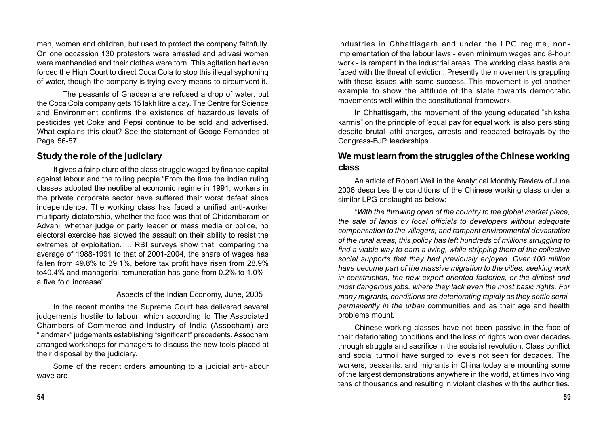men, women and children, but used to protect the company faithfully. On one occassion 130 protestors were arrested and adivasi women were manhandled and their clothes were torn. This agitation had even forced the High Court to direct Coca Cola to stop this illegal syphoning of water, though the company is trying every means to circumvent it.

The peasants of Ghadsana are refused a drop of water, but the Coca Cola company gets 15 lakh litre a day. The Centre for Science and Environment confirms the existence of hazardous levels of pesticides yet Coke and Pepsi continue to be sold and advertised. What explains this clout? See the statement of Geoge Fernandes at Page 56-57.

#### **Study the role of the judiciary**

It gives a fair picture of the class struggle waged by finance capital against labour and the toiling people "From the time the Indian ruling classes adopted the neoliberal economic regime in 1991, workers in the private corporate sector have suffered their worst defeat since independence. The working class has faced a unified anti-worker multiparty dictatorship, whether the face was that of Chidambaram or Advani, whether judge or party leader or mass media or police, no electoral exercise has slowed the assault on their ability to resist the extremes of exploitation. ... RBI surveys show that, comparing the average of 1988-1991 to that of 2001-2004, the share of wages has fallen from 49.8% to 39.1%, before tax profit have risen from 28.9% to40.4% and managerial remuneration has gone from 0.2% to 1.0% a five fold increase"

#### Aspects of the Indian Economy, June, 2005

In the recent months the Supreme Court has delivered several judgements hostile to labour, which according to The Associated Chambers of Commerce and Industry of India (Assocham) are "landmark" judgements establishing "significant" precedents. Assocham arranged workshops for managers to discuss the new tools placed at their disposal by the judiciary.

Some of the recent orders amounting to a judicial anti-labour wave are -

industries in Chhattisgarh and under the LPG regime, nonimplementation of the labour laws - even minimum wages and 8-hour work - is rampant in the industrial areas. The working class bastis are faced with the threat of eviction. Presently the movement is grappling with these issues with some success. This movement is yet another example to show the attitude of the state towards democratic movements well within the constitutional framework.

In Chhattisgarh, the movement of the young educated "shiksha karmis" on the principle of 'equal pay for equal work' is also persisting despite brutal lathi charges, arrests and repeated betrayals by the Congress-BJP leaderships.

## **We must learn from the struggles of the Chinese working class**

An article of Robert Weil in the Analytical Monthly Review of June 2006 describes the conditions of the Chinese working class under a similar LPG onslaught as below:

"*With the throwing open of the country to the global market place, the sale of lands by local officials to developers without adequate compensation to the villagers, and rampant environmental devastation of the rural areas, this policy has left hundreds of millions struggling to find a viable way to earn a living, while stripping them of the collective social supports that they had previously enjoyed. Over 100 million have become part of the massive migration to the cities, seeking work in construction, the new export oriented factories, or the dirtiest and most dangerous jobs, where they lack even the most basic rights. For many migrants, conditions are deteriorating rapidly as they settle semipermanently in the urban* communities and as their age and health problems mount.

Chinese working classes have not been passive in the face of their deteriorating conditions and the loss of rights won over decades through struggle and sacrifice in the socialist revolution. Class conflict and social turmoil have surged to levels not seen for decades. The workers, peasants, and migrants in China today are mounting some of the largest demonstrations anywhere in the world, at times involving tens of thousands and resulting in violent clashes with the authorities.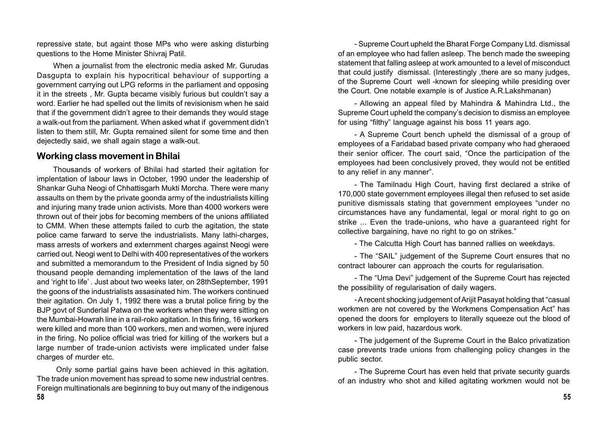repressive state, but againt those MPs who were asking disturbing questions to the Home Minister Shivraj Patil.

When a journalist from the electronic media asked Mr. Gurudas Dasgupta to explain his hypocritical behaviour of supporting a government carrying out LPG reforms in the parliament and opposing it in the streets , Mr. Gupta became visibly furious but couldn't say a word. Earlier he had spelled out the limits of revisionism when he said that if the government didn't agree to their demands they would stage a walk-out from the parliament. When asked what if government didn't listen to them still, Mr. Gupta remained silent for some time and then dejectedly said, we shall again stage a walk-out.

#### **Working class movement in Bhilai**

Thousands of workers of Bhilai had started their agitation for implentation of labour laws in October, 1990 under the leadership of Shankar Guha Neogi of Chhattisgarh Mukti Morcha. There were many assaults on them by the private goonda army of the industrialists killing and injuring many trade union activists. More than 4000 workers were thrown out of their jobs for becoming members of the unions affiliated to CMM. When these attempts failed to curb the agitation, the state police came farward to serve the industrialists. Many lathi-charges, mass arrests of workers and externment charges against Neogi were carried out. Neogi went to Delhi with 400 representatives of the workers and submitted a memorandum to the President of India signed by 50 thousand people demanding implementation of the laws of the land and 'right to life' . Just about two weeks later, on 28thSeptember, 1991 the goons of the industrialists assasinated him. The workers continued their agitation. On July 1, 1992 there was a brutal police firing by the BJP govt of Sunderlal Patwa on the workers when they were sitting on the Mumbai-Howrah line in a rail-roko agitation. In this firing, 16 workers were killed and more than 100 workers, men and women, were injured in the firing. No police official was tried for killing of the workers but a large number of trade-union activists were implicated under false charges of murder etc.

 Only some partial gains have been achieved in this agitation. The trade union movement has spread to some new industrial centres. Foreign multinationals are beginning to buy out many of the indigenous

- Supreme Court upheld the Bharat Forge Company Ltd. dismissal of an employee who had fallen asleep. The bench made the sweeping statement that falling asleep at work amounted to a level of misconduct that could justify dismissal. (Interestingly ,there are so many judges, of the Supreme Court well -known for sleeping while presiding over the Court. One notable example is of Justice A.R.Lakshmanan)

- Allowing an appeal filed by Mahindra & Mahindra Ltd., the Supreme Court upheld the company's decision to dismiss an employee for using "filthy" language against his boss 11 years ago.

- A Supreme Court bench upheld the dismissal of a group of employees of a Faridabad based private company who had gheraoed their senior officer. The court said, "Once the participation of the employees had been conclusively proved, they would not be entitled to any relief in any manner".

- The Tamilnadu High Court, having first declared a strike of 170,000 state government employees illegal then refused to set aside punitive dismissals stating that government employees "under no circumstances have any fundamental, legal or moral right to go on strike ... Even the trade-unions, who have a guaranteed right for collective bargaining, have no right to go on strikes."

- The Calcutta High Court has banned rallies on weekdays.

- The "SAIL" judgement of the Supreme Court ensures that no contract labourer can approach the courts for regularisation.

- The "Uma Devi" judgement of the Supreme Court has rejected the possibility of regularisation of daily wagers.

- A recent shocking judgement of Arijit Pasayat holding that "casual workmen are not covered by the Workmens Compensation Act" has opened the doors for employers to literally squeeze out the blood of workers in low paid, hazardous work.

- The judgement of the Supreme Court in the Balco privatization case prevents trade unions from challenging policy changes in the public sector.

- The Supreme Court has even held that private security guards of an industry who shot and killed agitating workmen would not be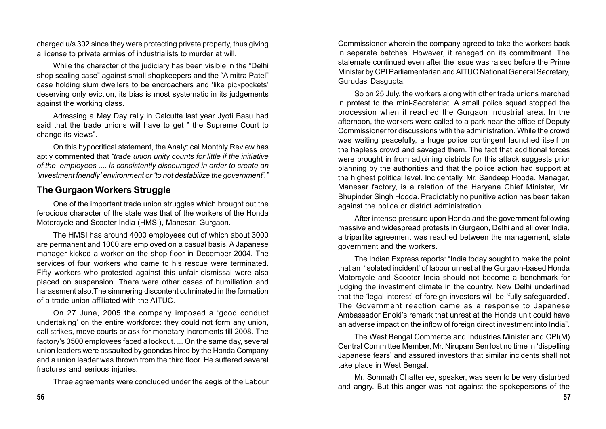charged u/s 302 since they were protecting private property, thus giving a license to private armies of industrialists to murder at will.

While the character of the judiciary has been visible in the "Delhi shop sealing case" against small shopkeepers and the "Almitra Patel" case holding slum dwellers to be encroachers and 'like pickpockets' deserving only eviction, its bias is most systematic in its judgements against the working class.

Adressing a May Day rally in Calcutta last year Jyoti Basu had said that the trade unions will have to get " the Supreme Court to change its views".

On this hypocritical statement, the Analytical Monthly Review has aptly commented that *"trade union unity counts for little if the initiative of the employees .... is consistently discouraged in order to create an 'investment friendly' environment or 'to not destabilize the government'."*

# **The Gurgaon Workers Struggle**

One of the important trade union struggles which brought out the ferocious character of the state was that of the workers of the Honda Motorcycle and Scooter India (HMSI), Manesar, Gurgaon.

The HMSI has around 4000 employees out of which about 3000 are permanent and 1000 are employed on a casual basis. A Japanese manager kicked a worker on the shop floor in December 2004. The services of four workers who came to his rescue were terminated. Fifty workers who protested against this unfair dismissal were also placed on suspension. There were other cases of humiliation and harassment also.The simmering discontent culminated in the formation of a trade union affiliated with the AITUC.

On 27 June, 2005 the company imposed a 'good conduct undertaking' on the entire workforce: they could not form any union, call strikes, move courts or ask for monetary increments till 2008. The factory's 3500 employees faced a lockout. ... On the same day, several union leaders were assaulted by goondas hired by the Honda Company and a union leader was thrown from the third floor. He suffered several fractures and serious injuries.

Three agreements were concluded under the aegis of the Labour

Commissioner wherein the company agreed to take the workers back in separate batches. However, it reneged on its commitment. The stalemate continued even after the issue was raised before the Prime Minister by CPI Parliamentarian and AITUC National General Secretary, Gurudas Dasgupta.

So on 25 July, the workers along with other trade unions marched in protest to the mini-Secretariat. A small police squad stopped the procession when it reached the Gurgaon industrial area. In the afternoon, the workers were called to a park near the office of Deputy Commissioner for discussions with the administration. While the crowd was waiting peacefully, a huge police contingent launched itself on the hapless crowd and savaged them. The fact that additional forces were brought in from adjoining districts for this attack suggests prior planning by the authorities and that the police action had support at the highest political level. Incidentally, Mr. Sandeep Hooda, Manager, Manesar factory, is a relation of the Haryana Chief Minister, Mr. Bhupinder Singh Hooda. Predictably no punitive action has been taken against the police or district administration.

After intense pressure upon Honda and the government following massive and widespread protests in Gurgaon, Delhi and all over India, a tripartite agreement was reached between the management, state government and the workers.

The Indian Express reports: "India today sought to make the point that an 'isolated incident' of labour unrest at the Gurgaon-based Honda Motorcycle and Scooter India should not become a benchmark for judging the investment climate in the country. New Delhi underlined that the 'legal interest' of foreign investors will be 'fully safeguarded'. The Government reaction came as a response to Japanese Ambassador Enoki's remark that unrest at the Honda unit could have an adverse impact on the inflow of foreign direct investment into India".

The West Bengal Commerce and Industries Minister and CPI(M) Central Committee Member, Mr. Nirupam Sen lost no time in 'dispelling Japanese fears' and assured investors that similar incidents shall not take place in West Bengal.

Mr. Somnath Chatterjee, speaker, was seen to be very disturbed and angry. But this anger was not against the spokepersons of the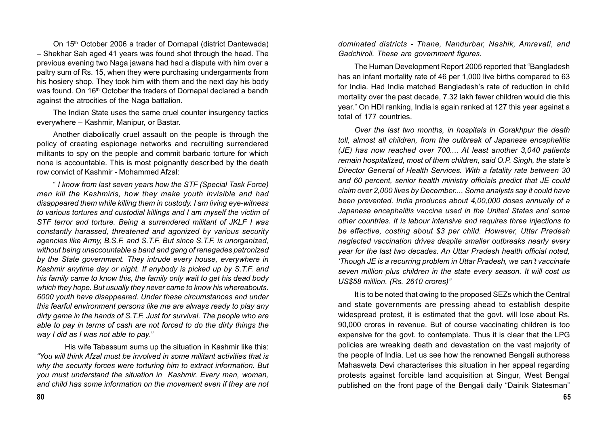On 15<sup>th</sup> October 2006 a trader of Dornapal (district Dantewada) – Shekhar Sah aged 41 years was found shot through the head. The previous evening two Naga jawans had had a dispute with him over a paltry sum of Rs. 15, when they were purchasing undergarments from his hosiery shop. They took him with them and the next day his body was found. On 16<sup>th</sup> October the traders of Dornapal declared a bandh against the atrocities of the Naga battalion.

The Indian State uses the same cruel counter insurgency tactics everywhere – Kashmir, Manipur, or Bastar.

Another diabolically cruel assault on the people is through the policy of creating espionage networks and recruiting surrendered militants to spy on the people and commit barbaric torture for which none is accountable. This is most poignantly described by the death row convict of Kashmir - Mohammed Afzal:

" *I know from last seven years how the STF (Special Task Force) men kill the Kashmiris, how they make youth invisible and had disappeared them while killing them in custody. I am living eye-witness to various tortures and custodial killings and I am myself the victim of STF terror and torture. Being a surrendered militant of JKLF I was constantly harassed, threatened and agonized by various security agencies like Army, B.S.F. and S.T.F. But since S.T.F. is unorganized, without being unaccountable a band and gang of renegades patronized by the State government. They intrude every house, everywhere in Kashmir anytime day or night. If anybody is picked up by S.T.F. and his family came to know this, the family only wait to get his dead body which they hope. But usually they never came to know his whereabouts. 6000 youth have disappeared. Under these circumstances and under this fearful environment persons like me are always ready to play any dirty game in the hands of S.T.F. Just for survival. The people who are able to pay in terms of cash are not forced to do the dirty things the way I did as I was not able to pay."*

His wife Tabassum sums up the situation in Kashmir like this: *"You will think Afzal must be involved in some militant activities that is why the security forces were torturing him to extract information. But you must understand the situation in Kashmir. Every man, woman, and child has some information on the movement even if they are not*

*dominated districts - Thane, Nandurbar, Nashik, Amravati, and Gadchiroli. These are government figures.*

The Human Development Report 2005 reported that "Bangladesh has an infant mortality rate of 46 per 1,000 live births compared to 63 for India. Had India matched Bangladesh's rate of reduction in child mortality over the past decade, 7.32 lakh fewer children would die this year." On HDI ranking, India is again ranked at 127 this year against a total of 177 countries.

*Over the last two months, in hospitals in Gorakhpur the death toll, almost all children, from the outbreak of Japanese encephelitis (JE) has now reached over 700.... At least another 3,040 patients remain hospitalized, most of them children, said O.P. Singh, the state's Director General of Health Services. With a fatality rate between 30 and 60 percent, senior health ministry officials predict that JE could claim over 2,000 lives by December.... Some analysts say it could have been prevented. India produces about 4,00,000 doses annually of a Japanese encephalitis vaccine used in the United States and some other countries. It is labour intensive and requires three injections to be effective, costing about \$3 per child. However, Uttar Pradesh neglected vaccination drives despite smaller outbreaks nearly every year for the last two decades. An Uttar Pradesh health official noted, 'Though JE is a recurring problem in Uttar Pradesh, we can't vaccinate seven million plus children in the state every season. It will cost us US\$58 million. (Rs. 2610 crores)"*

It is to be noted that owing to the proposed SEZs which the Central and state governments are pressing ahead to establish despite widespread protest, it is estimated that the govt. will lose about Rs. 90,000 crores in revenue. But of course vaccinating children is too expensive for the govt. to contemplate. Thus it is clear that the LPG policies are wreaking death and devastation on the vast majority of the people of India. Let us see how the renowned Bengali authoress Mahasweta Devi characterises this situation in her appeal regarding protests against forcible land acquisition at Singur, West Bengal published on the front page of the Bengali daily "Dainik Statesman"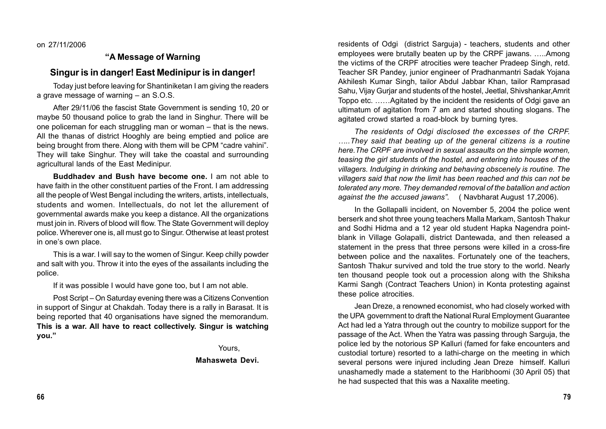on 27/11/2006

#### **"A Message of Warning**

#### **Singur is in danger! East Medinipur is in danger!**

Today just before leaving for Shantiniketan I am giving the readers a grave message of warning – an S.O.S.

After 29/11/06 the fascist State Government is sending 10, 20 or maybe 50 thousand police to grab the land in Singhur. There will be one policeman for each struggling man or woman – that is the news. All the thanas of district Hooghly are being emptied and police are being brought from there. Along with them will be CPM "cadre vahini". They will take Singhur. They will take the coastal and surrounding agricultural lands of the East Medinipur.

**Buddhadev and Bush have become one.** I am not able to have faith in the other constituent parties of the Front. I am addressing all the people of West Bengal including the writers, artists, intellectuals, students and women. Intellectuals, do not let the allurement of governmental awards make you keep a distance. All the organizations must join in. Rivers of blood will flow. The State Government will deploy police. Wherever one is, all must go to Singur. Otherwise at least protest in one's own place.

This is a war. I will say to the women of Singur. Keep chilly powder and salt with you. Throw it into the eyes of the assailants including the police.

If it was possible I would have gone too, but I am not able.

Post Script – On Saturday evening there was a Citizens Convention in support of Singur at Chakdah. Today there is a rally in Barasat. It is being reported that 40 organisations have signed the memorandum. **This is a war. All have to react collectively. Singur is watching you."**

Yours,

#### **Mahasweta Devi.**

residents of Odgi (district Sarguja) - teachers, students and other employees were brutally beaten up by the CRPF jawans. …..Among the victims of the CRPF atrocities were teacher Pradeep Singh, retd. Teacher SR Pandey, junior engineer of Pradhanmantri Sadak Yojana Akhilesh Kumar Singh, tailor Abdul Jabbar Khan, tailor Ramprasad Sahu, Vijay Gurjar and students of the hostel, Jeetlal, Shivshankar,Amrit Toppo etc. ……Agitated by the incident the residents of Odgi gave an ultimatum of agitation from 7 am and started shouting slogans. The agitated crowd started a road-block by burning tyres.

*The residents of Odgi disclosed the excesses of the CRPF. …..They said that beating up of the general citizens is a routine here.The CRPF are involved in sexual assaults on the simple women, teasing the girl students of the hostel, and entering into houses of the villagers. Indulging in drinking and behaving obscenely is routine. The villagers said that now the limit has been reached and this can not be tolerated any more. They demanded removal of the batallion and action against the the accused jawans".* ( Navbharat August 17,2006).

In the Gollapalli incident, on November 5, 2004 the police went berserk and shot three young teachers Malla Markam, Santosh Thakur and Sodhi Hidma and a 12 year old student Hapka Nagendra pointblank in Village Golapalli, district Dantewada, and then released a statement in the press that three persons were killed in a cross-fire between police and the naxalites. Fortunately one of the teachers, Santosh Thakur survived and told the true story to the world. Nearly ten thousand people took out a procession along with the Shiksha Karmi Sangh (Contract Teachers Union) in Konta protesting against these police atrocities.

Jean Dreze, a renowned economist, who had closely worked with the UPA government to draft the National Rural Employment Guarantee Act had led a Yatra through out the country to mobilize support for the passage of the Act. When the Yatra was passing through Sarguja, the police led by the notorious SP Kalluri (famed for fake encounters and custodial torture) resorted to a lathi-charge on the meeting in which several persons were injured including Jean Dreze himself. Kalluri unashamedly made a statement to the Haribhoomi (30 April 05) that he had suspected that this was a Naxalite meeting.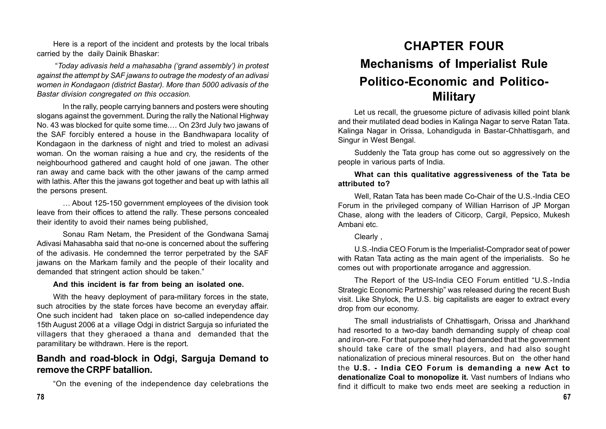Here is a report of the incident and protests by the local tribals carried by the daily Dainik Bhaskar:

 "*Today adivasis held a mahasabha ('grand assembly') in protest against the attempt by SAF jawans to outrage the modesty of an adivasi women in Kondagaon (district Bastar). More than 5000 adivasis of the Bastar division congregated on this occasion.*

In the rally, people carrying banners and posters were shouting slogans against the government. During the rally the National Highway No. 43 was blocked for quite some time.… On 23rd July two jawans of the SAF forcibly entered a house in the Bandhwapara locality of Kondagaon in the darkness of night and tried to molest an adivasi woman. On the woman raising a hue and cry, the residents of the neighbourhood gathered and caught hold of one jawan. The other ran away and came back with the other jawans of the camp armed with lathis. After this the jawans got together and beat up with lathis all the persons present.

… About 125-150 government employees of the division took leave from their offices to attend the rally. These persons concealed their identity to avoid their names being published,

Sonau Ram Netam, the President of the Gondwana Samaj Adivasi Mahasabha said that no-one is concerned about the suffering of the adivasis. He condemned the terror perpetrated by the SAF jawans on the Markam family and the people of their locality and demanded that stringent action should be taken."

#### **And this incident is far from being an isolated one.**

With the heavy deployment of para-military forces in the state, such atrocities by the state forces have become an everyday affair. One such incident had taken place on so-called independence day 15th August 2006 at a village Odgi in district Sarguja so infuriated the villagers that they gheraoed a thana and demanded that the paramilitary be withdrawn. Here is the report.

## **Bandh and road-block in Odgi, Sarguja Demand to remove the CRPF batallion.**

"On the evening of the independence day celebrations the

# **CHAPTER FOUR Mechanisms of Imperialist Rule Politico-Economic and Politico-Military**

Let us recall, the gruesome picture of adivasis killed point blank and their mutilated dead bodies in Kalinga Nagar to serve Ratan Tata. Kalinga Nagar in Orissa, Lohandiguda in Bastar-Chhattisgarh, and Singur in West Bengal.

Suddenly the Tata group has come out so aggressively on the people in various parts of India.

#### **What can this qualitative aggressiveness of the Tata be attributed to?**

Well, Ratan Tata has been made Co-Chair of the U.S.-India CEO Forum in the privileged company of Willian Harrison of JP Morgan Chase, along with the leaders of Citicorp, Cargil, Pepsico, Mukesh Ambani etc.

Clearly ,

U.S.-India CEO Forum is the Imperialist-Comprador seat of power with Ratan Tata acting as the main agent of the imperialists. So he comes out with proportionate arrogance and aggression.

The Report of the US-India CEO Forum entitled "U.S.-India Strategic Economic Partnership" was released during the recent Bush visit. Like Shylock, the U.S. big capitalists are eager to extract every drop from our economy.

The small industrialists of Chhattisgarh, Orissa and Jharkhand had resorted to a two-day bandh demanding supply of cheap coal and iron-ore. For that purpose they had demanded that the government should take care of the small players, and had also sought nationalization of precious mineral resources. But on the other hand the **U.S. - India CEO Forum is demanding a new Act to denationalize Coal to monopolize it.** Vast numbers of Indians who find it difficult to make two ends meet are seeking a reduction in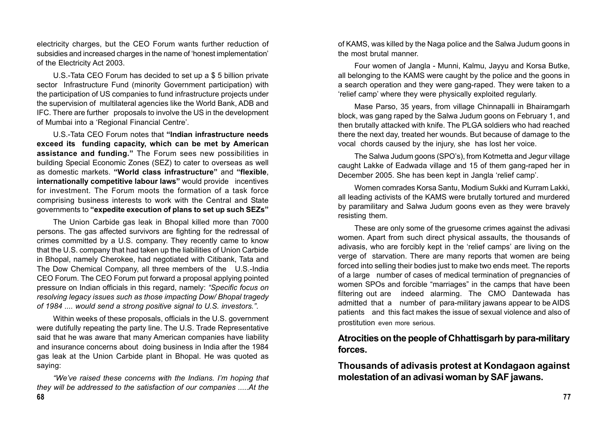electricity charges, but the CEO Forum wants further reduction of subsidies and increased charges in the name of 'honest implementation' of the Electricity Act 2003.

U.S.-Tata CEO Forum has decided to set up a \$ 5 billion private sector Infrastructure Fund (minority Government participation) with the participation of US companies to fund infrastructure projects under the supervision of multilateral agencies like the World Bank, ADB and IFC. There are further proposals to involve the US in the development of Mumbai into a 'Regional Financial Centre'.

U.S.-Tata CEO Forum notes that **"Indian infrastructure needs exceed its funding capacity, which can be met by American assistance and funding."** The Forum sees new possibilities in building Special Economic Zones (SEZ) to cater to overseas as well as domestic markets. **"World class infrastructure"** and **"flexible**, **internationally competitive labour laws"** would provide incentives for investment. The Forum moots the formation of a task force comprising business interests to work with the Central and State governments to **"expedite execution of plans to set up such SEZs"**

The Union Carbide gas leak in Bhopal killed more than 7000 persons. The gas affected survivors are fighting for the redressal of crimes committed by a U.S. company. They recently came to know that the U.S. company that had taken up the liabilities of Union Carbide in Bhopal, namely Cherokee, had negotiated with Citibank, Tata and The Dow Chemical Company, all three members of the U.S.-India CEO Forum. The CEO Forum put forward a proposal applying pointed pressure on Indian officials in this regard, namely: *"Specific focus on resolving legacy issues such as those impacting Dow/ Bhopal tragedy of 1984 .... would send a strong positive signal to U.S. investors."*.

Within weeks of these proposals, officials in the U.S. government were dutifully repeating the party line. The U.S. Trade Representative said that he was aware that many American companies have liability and insurance concerns about doing business in India after the 1984 gas leak at the Union Carbide plant in Bhopal. He was quoted as saying:

*"We've raised these concerns with the Indians. I'm hoping that they will be addressed to the satisfaction of our companies .....At the*

of KAMS, was killed by the Naga police and the Salwa Judum goons in the most brutal manner.

Four women of Jangla - Munni, Kalmu, Jayyu and Korsa Butke, all belonging to the KAMS were caught by the police and the goons in a search operation and they were gang-raped. They were taken to a 'relief camp' where they were physically exploited regularly.

Mase Parso, 35 years, from village Chinnapalli in Bhairamgarh block, was gang raped by the Salwa Judum goons on February 1, and then brutally attacked with knife. The PLGA soldiers who had reached there the next day, treated her wounds. But because of damage to the vocal chords caused by the injury, she has lost her voice.

The Salwa Judum goons (SPO's), from Kotmetta and Jegur village caught Lakke of Eadwada village and 15 of them gang-raped her in December 2005. She has been kept in Jangla 'relief camp'.

Women comrades Korsa Santu, Modium Sukki and Kurram Lakki, all leading activists of the KAMS were brutally tortured and murdered by paramilitary and Salwa Judum goons even as they were bravely resisting them.

These are only some of the gruesome crimes against the adivasi women. Apart from such direct physical assaults, the thousands of adivasis, who are forcibly kept in the 'relief camps' are living on the verge of starvation. There are many reports that women are being forced into selling their bodies just to make two ends meet. The reports of a large number of cases of medical termination of pregnancies of women SPOs and forcible "marriages" in the camps that have been filtering out are indeed alarming. The CMO Dantewada has admitted that a number of para-military jawans appear to be AIDS patients and this fact makes the issue of sexual violence and also of prostitution even more serious.

### **Atrocities on the people of Chhattisgarh by para-military forces.**

**Thousands of adivasis protest at Kondagaon against molestation of an adivasi woman by SAF jawans.**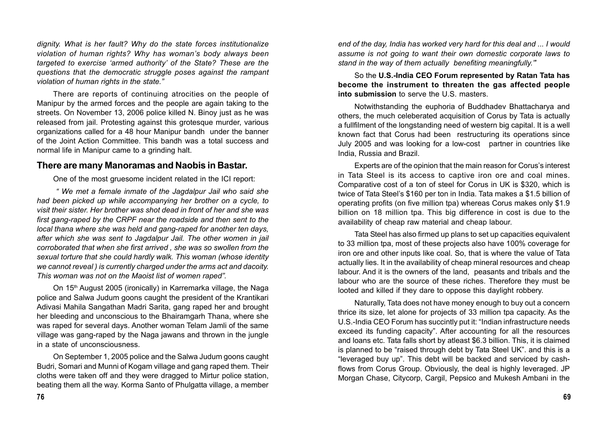*dignity. What is her fault? Why do the state forces institutionalize violation of human rights? Why has woman's body always been targeted to exercise 'armed authority' of the State? These are the questions tha*t *the democratic struggle poses against the rampant violation of human rights in the state."*

There are reports of continuing atrocities on the people of Manipur by the armed forces and the people are again taking to the streets. On November 13, 2006 police killed N. Binoy just as he was released from jail. Protesting against this grotesque murder, various organizations called for a 48 hour Manipur bandh under the banner of the Joint Action Committee. This bandh was a total success and normal life in Manipur came to a grinding halt.

#### **There are many Manoramas and Naobis in Bastar.**

One of the most gruesome incident related in the ICI report:

*" We met a female inmate of the Jagdalpur Jail who said she had been picked up while accompanying her brother on a cycle, to visit their sister. Her brother was shot dead in front of her and she was first gang-raped by the CRPF near the roadside and then sent to the local thana where she was held and gang-raped for another ten days, after which she was sent to Jagdalpur Jail. The other women in jail corroborated that when she first arrived , she was so swollen from the sexual torture that she could hardly walk. This woman (whose identity we cannot reveal ) is currently charged under the arms act and dacoity. This woman was not on the Maoist list of women raped".*

On 15<sup>th</sup> August 2005 (ironically) in Karremarka village, the Naga police and Salwa Judum goons caught the president of the Krantikari Adivasi Mahila Sangathan Madri Sarita, gang raped her and brought her bleeding and unconscious to the Bhairamgarh Thana, where she was raped for several days. Another woman Telam Jamli of the same village was gang-raped by the Naga jawans and thrown in the jungle in a state of unconsciousness.

On September 1, 2005 police and the Salwa Judum goons caught Budri, Somari and Munni of Kogam village and gang raped them. Their cloths were taken off and they were dragged to Mirtur police station, beating them all the way. Korma Santo of Phulgatta village, a member

*end of the day, India has worked very hard for this deal and ... I would assume is not going to want their own domestic corporate laws to stand in the way of them actually benefiting meaningfully."*'

So the **U.S.-India CEO Forum represented by Ratan Tata has become the instrument to threaten the gas affected people into submission** to serve the U.S. masters.

Notwithstanding the euphoria of Buddhadev Bhattacharya and others, the much celeberated acquisition of Corus by Tata is actually a fullfilment of the longstanding need of western big capital. It is a well known fact that Corus had been restructuring its operations since July 2005 and was looking for a low-cost partner in countries like India, Russia and Brazil.

Experts are of the opinion that the main reason for Corus's interest in Tata Steel is its access to captive iron ore and coal mines. Comparative cost of a ton of steel for Corus in UK is \$320, which is twice of Tata Steel's \$160 per ton in India. Tata makes a \$1.5 billion of operating profits (on five million tpa) whereas Corus makes only \$1.9 billion on 18 million tpa. This big difference in cost is due to the availability of cheap raw material and cheap labour.

Tata Steel has also firmed up plans to set up capacities equivalent to 33 million tpa, most of these projects also have 100% coverage for iron ore and other inputs like coal. So, that is where the value of Tata actually lies. It in the availability of cheap mineral resources and cheap labour. And it is the owners of the land, peasants and tribals and the labour who are the source of these riches. Therefore they must be looted and killed if they dare to oppose this daylight robbery.

Naturally, Tata does not have money enough to buy out a concern thrice its size, let alone for projects of 33 million tpa capacity. As the U.S.-India CEO Forum has succintly put it: "Indian infrastructure needs exceed its funding capacity". After accounting for all the resources and loans etc. Tata falls short by atleast \$6.3 billion. This, it is claimed is planned to be "raised through debt by Tata Steel UK". and this is a "leveraged buy up". This debt will be backed and serviced by cashflows from Corus Group. Obviously, the deal is highly leveraged. JP Morgan Chase, Citycorp, Cargil, Pepsico and Mukesh Ambani in the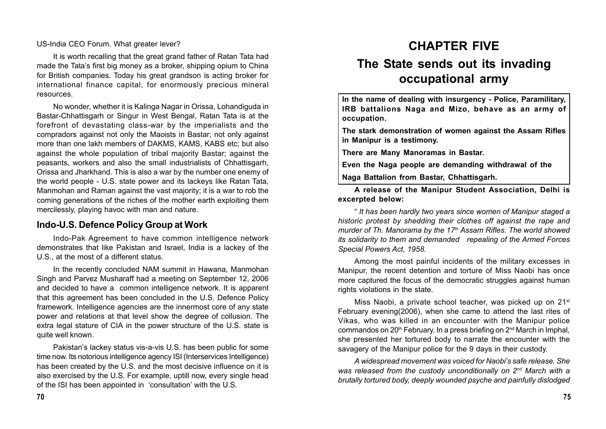US-India CEO Forum. What greater lever?

It is worth recalling that the great grand father of Ratan Tata had made the Tata's first big money as a broker, shipping opium to China for British companies. Today his great grandson is acting broker for international finance capital, for enormously precious mineral resources.

No wonder, whether it is Kalinga Nagar in Orissa, Lohandiguda in Bastar-Chhattisgarh or Singur in West Bengal, Ratan Tata is at the forefront of devastating class-war by the imperialists and the compradors against not only the Maoists in Bastar; not only against more than one lakh members of DAKMS, KAMS, KABS etc; but also against the whole population of tribal majority Bastar; against the peasants, workers and also the small industrialists of Chhattisgarh, Orissa and Jharkhand. This is also a war by the number one enemy of the world people - U.S. state power and its lackeys like Ratan Tata, Manmohan and Raman against the vast majority; it is a war to rob the coming generations of the riches of the mother earth exploiting them mercilessly, playing havoc with man and nature.

#### **Indo-U.S. Defence Policy Group at Work**

Indo-Pak Agreement to have common intelligence network demonstrates that like Pakistan and Israel, India is a lackey of the U.S., at the most of a different status.

In the recently concluded NAM summit in Hawana, Manmohan Singh and Parvez Musharaff had a meeting on September 12, 2006 and decided to have a common intelligence network. It is apparent that this agreement has been concluded in the U.S. Defence Policy framework. Intelligence agencies are the innermost core of any state power and relations at that level show the degree of collusion. The extra legal stature of CIA in the power structure of the U.S. state is quite well known.

Pakistan's lackey status vis-a-vis U.S. has been public for some time now. Its notorious intelligence agency ISI (Interservices Intelligence) has been created by the U.S. and the most decisive influence on it is also exercised by the U.S. For example, uptill now, every single head of the ISI has been appointed in 'consultation' with the U.S.

# **CHAPTER FIVE**

# **The State sends out its invading occupational army**

**In the name of dealing with insurgency - Police, Paramilitary, IRB battalions Naga and Mizo, behave as an army of occupation.**

**The stark demonstration of women against the Assam Rifles in Manipur is a testimony.**

**There are Many Manoramas in Bastar.**

**Even the Naga people are demanding withdrawal of the Naga Battalion from Bastar, Chhattisgarh.**

**A release of the Manipur Student Association, Delhi is excerpted below:**

" *It has been hardly two years since women of Manipur staged a historic protest by shedding their clothes off against the rape and murder of Th. Manorama by the 17th Assam Rifles. The world showed its solidarity to them and demanded repealing of the Armed Forces Special Powers Act, 1958.*

Among the most painful incidents of the military excesses in Manipur, the recent detention and torture of Miss Naobi has once more captured the focus of the democratic struggles against human rights violations in the state.

Miss Naobi, a private school teacher, was picked up on 21<sup>st</sup> February evening(2006), when she came to attend the last rites of Vikas, who was killed in an encounter with the Manipur police commandos on  $20<sup>th</sup>$  February. In a press briefing on  $2<sup>nd</sup>$  March in Imphal, she presented her tortured body to narrate the encounter with the savagery of the Manipur police for the 9 days in their custody.

*A widespread movement was voiced for Naobi's safe release. She was released from the custody unconditionally on 2nd March with a brutally tortured body, deeply wounded psyche and painfully dislodged*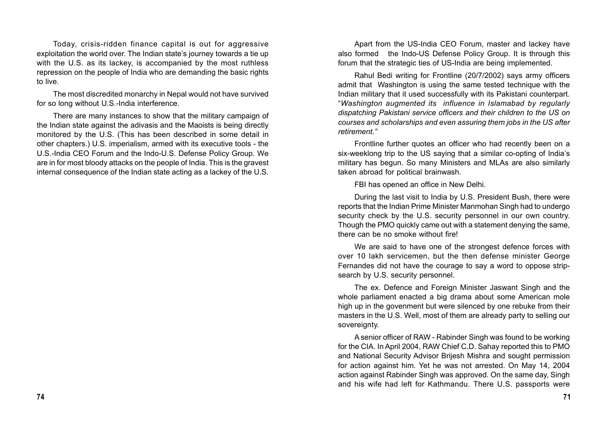Today, crisis-ridden finance capital is out for aggressive exploitation the world over. The Indian state's journey towards a tie up with the U.S. as its lackey, is accompanied by the most ruthless repression on the people of India who are demanding the basic rights to live.

The most discredited monarchy in Nepal would not have survived for so long without U.S.-India interference.

There are many instances to show that the military campaign of the Indian state against the adivasis and the Maoists is being directly monitored by the U.S. (This has been described in some detail in other chapters.) U.S. imperialism, armed with its executive tools - the U.S.-India CEO Forum and the Indo-U.S. Defense Policy Group. We are in for most bloody attacks on the people of India. This is the gravest internal consequence of the Indian state acting as a lackey of the U.S.

Apart from the US-India CEO Forum, master and lackey have also formed the Indo-US Defense Policy Group. It is through this forum that the strategic ties of US-India are being implemented.

Rahul Bedi writing for Frontline (20/7/2002) says army officers admit that Washington is using the same tested technique with the Indian military that it used successfully with its Pakistani counterpart. "*Washington augmented its influence in Islamabad by regularly dispatching Pakistani service officers and their children to the US on courses and scholarships and even assuring them jobs in the US after retirement."*

Frontline further quotes an officer who had recently been on a six-weeklong trip to the US saying that a similar co-opting of India's military has begun. So many Ministers and MLAs are also similarly taken abroad for political brainwash.

FBI has opened an office in New Delhi.

During the last visit to India by U.S. President Bush, there were reports that the Indian Prime Minister Manmohan Singh had to undergo security check by the U.S. security personnel in our own country. Though the PMO quickly came out with a statement denying the same, there can be no smoke without fire!

We are said to have one of the strongest defence forces with over 10 lakh servicemen, but the then defense minister George Fernandes did not have the courage to say a word to oppose stripsearch by U.S. security personnel.

The ex. Defence and Foreign Minister Jaswant Singh and the whole parliament enacted a big drama about some American mole high up in the govenment but were silenced by one rebuke from their masters in the U.S. Well, most of them are already party to selling our sovereignty.

A senior officer of RAW - Rabinder Singh was found to be working for the CIA. In April 2004, RAW Chief C.D. Sahay reported this to PMO and National Security Advisor Brijesh Mishra and sought permission for action against him. Yet he was not arrested. On May 14, 2004 action against Rabinder Singh was approved. On the same day, Singh and his wife had left for Kathmandu. There U.S. passports were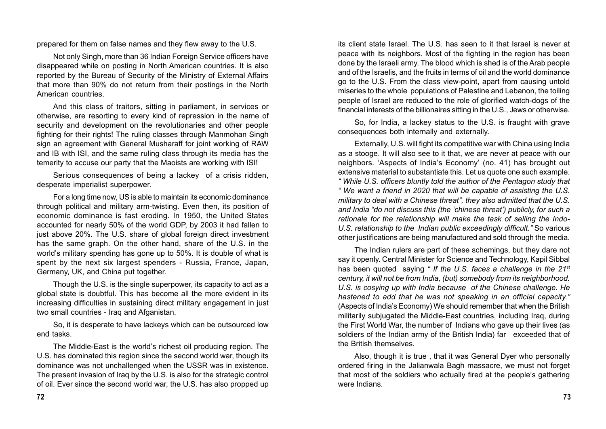prepared for them on false names and they flew away to the U.S.

Not only Singh, more than 36 Indian Foreign Service officers have disappeared while on posting in North American countries. It is also reported by the Bureau of Security of the Ministry of External Affairs that more than 90% do not return from their postings in the North American countries.

And this class of traitors, sitting in parliament, in services or otherwise, are resorting to every kind of repression in the name of security and development on the revolutionaries and other people fighting for their rights! The ruling classes through Manmohan Singh sign an agreement with General Musharaff for joint working of RAW and IB with ISI, and the same ruling class through its media has the temerity to accuse our party that the Maoists are working with ISI!

Serious consequences of being a lackey of a crisis ridden, desperate imperialist superpower.

For a long time now, US is able to maintain its economic dominance through political and military arm-twisting. Even then, its position of economic dominance is fast eroding. In 1950, the United States accounted for nearly 50% of the world GDP, by 2003 it had fallen to just above 20%. The U.S. share of global foreign direct investment has the same graph. On the other hand, share of the U.S. in the world's military spending has gone up to 50%. It is double of what is spent by the next six largest spenders - Russia, France, Japan, Germany, UK, and China put together.

Though the U.S. is the single superpower, its capacity to act as a global state is doubtful. This has become all the more evident in its increasing difficulties in sustaining direct military engagement in just two small countries - Iraq and Afganistan.

So, it is desperate to have lackeys which can be outsourced low end tasks.

The Middle-East is the world's richest oil producing region. The U.S. has dominated this region since the second world war, though its dominance was not unchallenged when the USSR was in existence. The present invasion of Iraq by the U.S. is also for the strategic control of oil. Ever since the second world war, the U.S. has also propped up

its client state Israel. The U.S. has seen to it that Israel is never at peace with its neighbors. Most of the fighting in the region has been done by the Israeli army. The blood which is shed is of the Arab people and of the Israelis, and the fruits in terms of oil and the world dominance go to the U.S. From the class view-point, apart from causing untold miseries to the whole populations of Palestine and Lebanon, the toiling people of Israel are reduced to the role of glorified watch-dogs of the financial interests of the billionaires sitting in the U.S., Jews or otherwise.

So, for India, a lackey status to the U.S. is fraught with grave consequences both internally and externally.

Externally, U.S. will fight its competitive war with China using India as a stooge. It will also see to it that, we are never at peace with our neighbors. 'Aspects of India's Economy' (no. 41) has brought out extensive material to substantiate this. Let us quote one such example. *" While U.S. officers bluntly told the author of the Pentagon study that " We want a friend in 2020 that will be capable of assisting the U.S. military to deal with a Chinese threat", they also admitted that the U.S. and India "do not discuss this (the 'chinese threat') publicly, for such a rationale for the relationship will make the task of selling the Indo-U.S. relationship to the Indian public exceedingly difficult."* So various other justifications are being manufactured and sold through the media.

The Indian rulers are part of these schemings, but they dare not say it openly. Central Minister for Science and Technology, Kapil Sibbal has been quoted saying *" If the U.S. faces a challenge in the 21st century, it will not be from India, (but) somebody from its neighborhood. U.S. is cosying up with India because of the Chinese challenge. He hastened to add that he was not speaking in an official capacity."* (Aspects of India's Economy) We should remember that when the British militarily subjugated the Middle-East countries, including Iraq, during the First World War, the number of Indians who gave up their lives (as soldiers of the Indian army of the British India) far exceeded that of the British themselves.

Also, though it is true , that it was General Dyer who personally ordered firing in the Jalianwala Bagh massacre, we must not forget that most of the soldiers who actually fired at the people's gathering were Indians.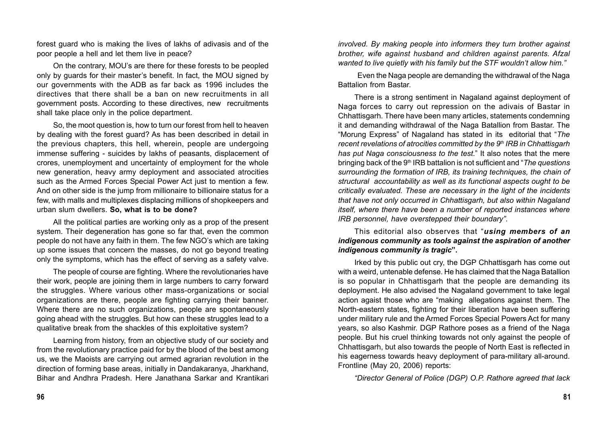forest guard who is making the lives of lakhs of adivasis and of the poor people a hell and let them live in peace?

On the contrary, MOU's are there for these forests to be peopled only by guards for their master's benefit. In fact, the MOU signed by our governments with the ADB as far back as 1996 includes the directives that there shall be a ban on new recruitments in all government posts. According to these directives, new recruitments shall take place only in the police department.

So, the moot question is, how to turn our forest from hell to heaven by dealing with the forest guard? As has been described in detail in the previous chapters, this hell, wherein, people are undergoing immense suffering - suicides by lakhs of peasants, displacement of crores, unemployment and uncertainty of employment for the whole new generation, heavy army deployment and associated atrocities such as the Armed Forces Special Power Act just to mention a few. And on other side is the jump from millionaire to billionaire status for a few, with malls and multiplexes displacing millions of shopkeepers and urban slum dwellers. **So, what is to be done?**

All the political parties are working only as a prop of the present system. Their degeneration has gone so far that, even the common people do not have any faith in them. The few NGO's which are taking up some issues that concern the masses, do not go beyond treating only the symptoms, which has the effect of serving as a safety valve.

The people of course are fighting. Where the revolutionaries have their work, people are joining them in large numbers to carry forward the struggles. Where various other mass-organizations or social organizations are there, people are fighting carrying their banner. Where there are no such organizations, people are spontaneously going ahead with the struggles. But how can these struggles lead to a qualitative break from the shackles of this exploitative system?

Learning from history, from an objective study of our society and from the revolutionary practice paid for by the blood of the best among us, we the Maoists are carrying out armed agrarian revolution in the direction of forming base areas, initially in Dandakaranya, Jharkhand, Bihar and Andhra Pradesh. Here Janathana Sarkar and Krantikari *involved. By making people into informers they turn brother against brother, wife against husband and children against parents. Afzal wanted to live quietly with his family but the STF wouldn't allow him."*

 Even the Naga people are demanding the withdrawal of the Naga Battalion from Bastar.

There is a strong sentiment in Nagaland against deployment of Naga forces to carry out repression on the adivais of Bastar in Chhattisgarh. There have been many articles, statements condemning it and demanding withdrawal of the Naga Batallion from Bastar. The "Morung Express" of Nagaland has stated in its editorial that "*The recent revelations of atrocities committed by the 9<sup>th</sup> IRB in Chhattisgarh has put Naga consciousness to the test*." It also notes that the mere bringing back of the 9th IRB battalion is not sufficient and "*The questions surrounding the formation of IRB, its training techniques, the chain of structural accountability as well as its functional aspects ought to be critically evaluated. These are necessary in the light of the incidents that have not only occurred in Chhattisgarh, but also within Nagaland itself, where there have been a number of reported instances where IRB personnel, have overstepped their boundary"*.

#### This editorial also observes that "*using members of an indigenous community as tools against the aspiration of another indigenous community is tragic***".**

Irked by this public out cry, the DGP Chhattisgarh has come out with a weird, untenable defense. He has claimed that the Naga Batallion is so popular in Chhattisgarh that the people are demanding its deployment. He also advised the Nagaland government to take legal action agaist those who are "making allegations against them. The North-eastern states, fighting for their liberation have been suffering under military rule and the Armed Forces Special Powers Act for many years, so also Kashmir. DGP Rathore poses as a friend of the Naga people. But his cruel thinking towards not only against the people of Chhattisgarh, but also towards the people of North East is reflected in his eagerness towards heavy deployment of para-military all-around. Frontline (May 20, 2006) reports:

*"Director General of Police (DGP) O.P. Rathore agreed that lack*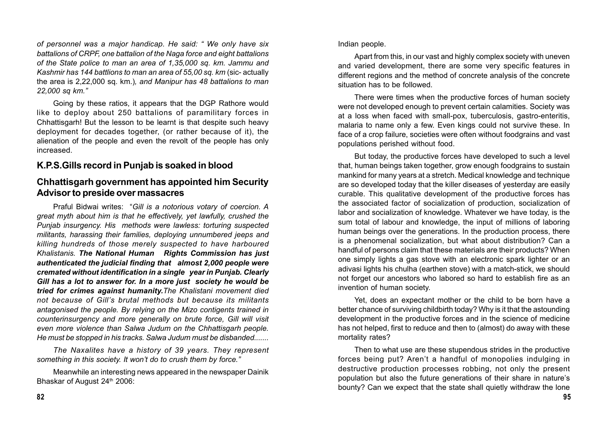*of personnel was a major handicap. He said: " We only have six battalions of CRPF, one battalion of the Naga force and eight battalions of the State police to man an area of 1,35,000 sq. km. Jammu and Kashmir has 144 battlions to man an area of 55,00 sq. km* (sic- actually the area is 2,22,000 sq. km.)*, and Manipur has 48 battalions to man 22,000 sq km."*

Going by these ratios, it appears that the DGP Rathore would like to deploy about 250 battalions of paramilitary forces in Chhattisgarh! But the lesson to be learnt is that despite such heavy deployment for decades together, (or rather because of it), the alienation of the people and even the revolt of the people has only increased.

#### **K.P.S.Gills record in Punjab is soaked in blood**

#### **Chhattisgarh government has appointed him Security Advisor to preside over massacres**

Praful Bidwai writes: "*Gill is a notorious votary of coercion. A great myth about him is that he effectively, yet lawfully, crushed the Punjab insurgency. His methods were lawless: torturing suspected militants, harassing their families, deploying unnumbered jeeps and killing hundreds of those merely suspected to have harboured Khalistanis. The National Human Rights Commission has just authenticated the judicial finding that almost 2,000 people were cremated without identification in a single year in Punjab. Clearly Gill has a lot to answer for. In a more just society he would be tried for crimes against humanity.The Khalistani movement died not because of Gill's brutal methods but because its militants antagonised the people. By relying on the Mizo contigents trained in counterinsurgency and more generally on brute force, Gill will visit even more violence than Salwa Judum on the Chhattisgarh people. He must be stopped in his tracks. Salwa Judum must be disbanded.......*

*The Naxalites have a history of 39 years. They represent something in this society. It won't do to crush them by force."*

Meanwhile an interesting news appeared in the newspaper Dainik Bhaskar of August 24<sup>th</sup> 2006:

Indian people.

Apart from this, in our vast and highly complex society with uneven and varied development, there are some very specific features in different regions and the method of concrete analysis of the concrete situation has to be followed.

There were times when the productive forces of human society were not developed enough to prevent certain calamities. Society was at a loss when faced with small-pox, tuberculosis, gastro-enteritis, malaria to name only a few. Even kings could not survive these. In face of a crop failure, societies were often without foodgrains and vast populations perished without food.

But today, the productive forces have developed to such a level that, human beings taken together, grow enough foodgrains to sustain mankind for many years at a stretch. Medical knowledge and technique are so developed today that the killer diseases of yesterday are easily curable. This qualitative development of the productive forces has the associated factor of socialization of production, socialization of labor and socialization of knowledge. Whatever we have today, is the sum total of labour and knowledge, the input of millions of laboring human beings over the generations. In the production process, there is a phenomenal socialization, but what about distribution? Can a handful of persons claim that these materials are their products? When one simply lights a gas stove with an electronic spark lighter or an adivasi lights his chulha (earthen stove) with a match-stick, we should not forget our ancestors who labored so hard to establish fire as an invention of human society.

Yet, does an expectant mother or the child to be born have a better chance of surviving childbirth today? Why is it that the astounding development in the productive forces and in the science of medicine has not helped, first to reduce and then to (almost) do away with these mortality rates?

Then to what use are these stupendous strides in the productive forces being put? Aren't a handful of monopolies indulging in destructive production processes robbing, not only the present population but also the future generations of their share in nature's bounty? Can we expect that the state shall quietly withdraw the lone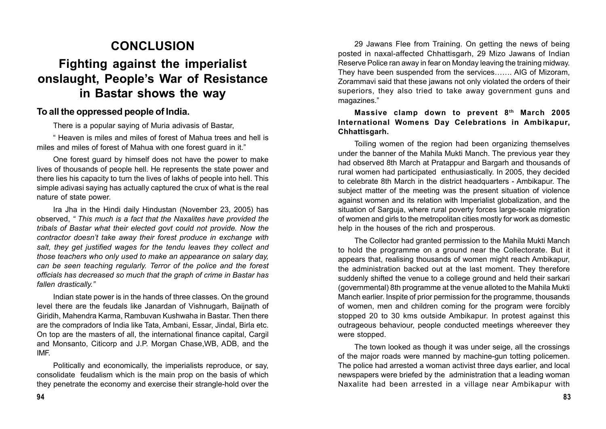# **CONCLUSION Fighting against the imperialist onslaught, People's War of Resistance in Bastar shows the way**

## **To all the oppressed people of India.**

There is a popular saying of Muria adivasis of Bastar,

" Heaven is miles and miles of forest of Mahua trees and hell is miles and miles of forest of Mahua with one forest guard in it."

One forest guard by himself does not have the power to make lives of thousands of people hell. He represents the state power and there lies his capacity to turn the lives of lakhs of people into hell. This simple adivasi saying has actually captured the crux of what is the real nature of state power.

Ira Jha in the Hindi daily Hindustan (November 23, 2005) has observed, *" This much is a fact that the Naxalites have provided the tribals of Bastar what their elected govt could not provide. Now the contractor doesn't take away their forest produce in exchange with salt, they get justified wages for the tendu leaves they collect and those teachers who only used to make an appearance on salary day, can be seen teaching regularly. Terror of the police and the forest officials has decreased so much that the graph of crime in Bastar has fallen drastically."*

Indian state power is in the hands of three classes. On the ground level there are the feudals like Janardan of Vishnugarh, Baijnath of Giridih, Mahendra Karma, Rambuvan Kushwaha in Bastar. Then there are the compradors of India like Tata, Ambani, Essar, Jindal, Birla etc. On top are the masters of all, the international finance capital, Cargil and Monsanto, Citicorp and J.P. Morgan Chase,WB, ADB, and the IMF.

Politically and economically, the imperialists reproduce, or say, consolidate feudalism which is the main prop on the basis of which they penetrate the economy and exercise their strangle-hold over the

29 Jawans Flee from Training. On getting the news of being posted in naxal-affected Chhattisgarh, 29 Mizo Jawans of Indian Reserve Police ran away in fear on Monday leaving the training midway. They have been suspended from the services……. AIG of Mizoram, Zorammavi said that these jawans not only violated the orders of their superiors, they also tried to take away government guns and magazines."

**Massive clamp down to prevent 8th March 2005 International Womens Day Celebrations in Ambikapur, Chhattisgarh.**

Toiling women of the region had been organizing themselves under the banner of the Mahila Mukti Manch. The previous year they had observed 8th March at Pratappur and Bargarh and thousands of rural women had participated enthusiastically. In 2005, they decided to celebrate 8th March in the district headquarters - Ambikapur. The subject matter of the meeting was the present situation of violence against women and its relation with Imperialist globalization, and the situation of Sarguja, where rural poverty forces large-scale migration of women and girls to the metropolitan cities mostly for work as domestic help in the houses of the rich and prosperous.

The Collector had granted permission to the Mahila Mukti Manch to hold the programme on a ground near the Collectorate. But it appears that, realising thousands of women might reach Ambikapur, the administration backed out at the last moment. They therefore suddenly shifted the venue to a college ground and held their sarkari (governmental) 8th programme at the venue alloted to the Mahila Mukti Manch earlier. Inspite of prior permission for the programme, thousands of women, men and children coming for the program were forcibly stopped 20 to 30 kms outside Ambikapur. In protest against this outrageous behaviour, people conducted meetings whereever they were stopped.

The town looked as though it was under seige, all the crossings of the major roads were manned by machine-gun totting policemen. The police had arrested a woman activist three days earlier, and local newspapers were briefed by the administration that a leading woman Naxalite had been arrested in a village near Ambikapur with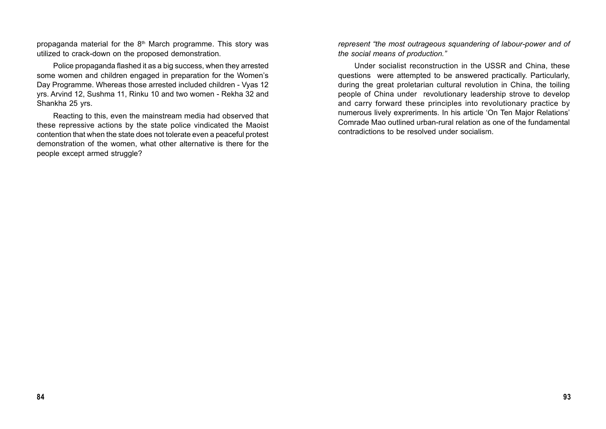propaganda material for the  $8<sup>th</sup>$  March programme. This story was utilized to crack-down on the proposed demonstration.

Police propaganda flashed it as a big success, when they arrested some women and children engaged in preparation for the Women's Day Programme. Whereas those arrested included children - Vyas 12 yrs. Arvind 12, Sushma 11, Rinku 10 and two women - Rekha 32 and Shankha 25 yrs.

Reacting to this, even the mainstream media had observed that these repressive actions by the state police vindicated the Maoist contention that when the state does not tolerate even a peaceful protest demonstration of the women, what other alternative is there for the people except armed struggle?

*represent "the most outrageous squandering of labour-power and of the social means of production."*

Under socialist reconstruction in the USSR and China, these questions were attempted to be answered practically. Particularly, during the great proletarian cultural revolution in China, the toiling people of China under revolutionary leadership strove to develop and carry forward these principles into revolutionary practice by numerous lively expreriments. In his article 'On Ten Major Relations' Comrade Mao outlined urban-rural relation as one of the fundamental contradictions to be resolved under socialism.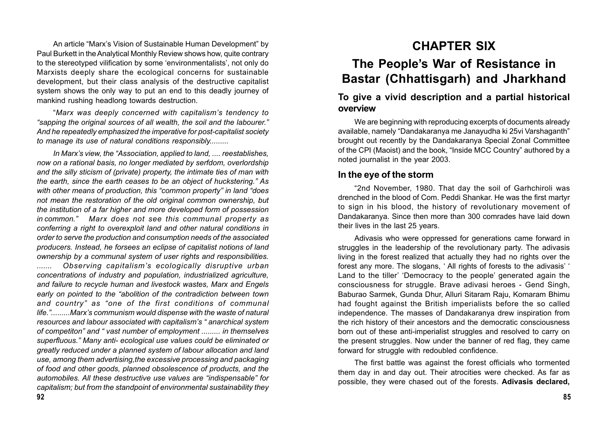An article "Marx's Vision of Sustainable Human Development" by Paul Burkett in the Analytical Monthly Review shows how, quite contrary to the stereotyped vilification by some 'environmentalists', not only do Marxists deeply share the ecological concerns for sustainable development, but their class analysis of the destructive capitalist system shows the only way to put an end to this deadly journey of mankind rushing headlong towards destruction.

"*Marx was deeply concerned with capitalism's tendency to "sapping the original sources of all wealth, the soil and the labourer." And he repeatedly emphasized the imperative for post-capitalist society to manage its use of natural conditions responsibly.........*

*In Marx's view, the "Association, applied to land, .... reestablishes, now on a rational basis, no longer mediated by serfdom, overlordship and the silly sticism of (private) property, the intimate ties of man with the earth, since the earth ceases to be an object of huckstering." As with other means of production, this "common property" in land "does not mean the restoration of the old original common ownership, but the institution of a far higher and more developed form of possession in common." Marx does not see this communal property as conferring a right to overexploit land and other natural conditions in order to serve the production and consumption needs of the associated producers. Instead, he forsees an eclipse of capitalist notions of land ownership by a communal system of user rights and responsibilities. ....... Observing capitalism's ecologically disruptive urban concentrations of industry and population, industrialized agriculture, and failure to recycle human and livestock wastes, Marx and Engels early on pointed to the "abolition of the contradiction between town and country" as "one of the first conditions of communal life.".........Marx's communism would dispense with the waste of natural resources and labour associated with capitalism's " anarchical system of competiton" and " vast number of employment ......... in themselves superfluous." Many anti- ecological use values could be eliminated or greatly reduced under a planned system of labour allocation and land use, among them advertising,the excessive processing and packaging of food and other goods, planned obsolescence of products, and the automobiles. All these destructive use values are "indispensable" for capitalism; but from the standpoint of environmental sustainability they*

# **CHAPTER SIX**

# **The People's War of Resistance in Bastar (Chhattisgarh) and Jharkhand**

## **To give a vivid description and a partial historical overview**

We are beginning with reproducing excerpts of documents already available, namely "Dandakaranya me Janayudha ki 25vi Varshaganth" brought out recently by the Dandakaranya Special Zonal Committee of the CPI (Maoist) and the book, "Inside MCC Country" authored by a noted journalist in the year 2003.

## **In the eye of the storm**

"2nd November, 1980. That day the soil of Garhchiroli was drenched in the blood of Com. Peddi Shankar. He was the first martyr to sign in his blood, the history of revolutionary movement of Dandakaranya. Since then more than 300 comrades have laid down their lives in the last 25 years.

Adivasis who were oppressed for generations came forward in struggles in the leadership of the revolutionary party. The adivasis living in the forest realized that actually they had no rights over the forest any more. The slogans, ' All rights of forests to the adivasis' ' Land to the tiller' 'Democracy to the people' generated again the consciousness for struggle. Brave adivasi heroes - Gend Singh, Baburao Sarmek, Gunda Dhur, Alluri Sitaram Raju, Komaram Bhimu had fought against the British imperialists before the so called independence. The masses of Dandakaranya drew inspiration from the rich history of their ancestors and the democratic consciousness born out of these anti-imperialist struggles and resolved to carry on the present struggles. Now under the banner of red flag, they came forward for struggle with redoubled confidence.

The first battle was against the forest officials who tormented them day in and day out. Their atrocities were checked. As far as possible, they were chased out of the forests. **Adivasis declared,**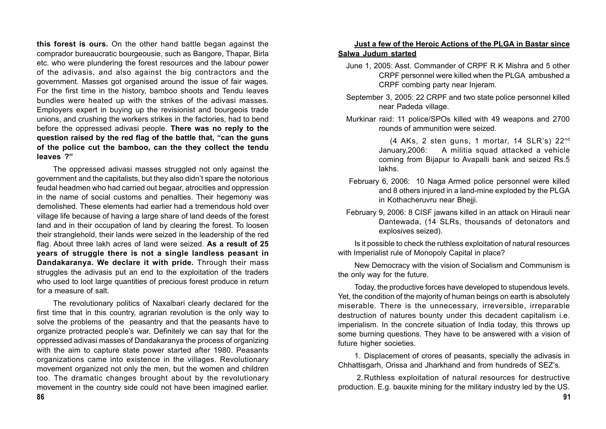**this forest is ours.** On the other hand battle began against the comprador bureaucratic bourgeousie, such as Bangore, Thapar, Birla etc. who were plundering the forest resources and the labour power of the adivasis, and also against the big contractors and the government. Masses got organised around the issue of fair wages. For the first time in the history, bamboo shoots and Tendu leaves bundles were heated up with the strikes of the adivasi masses. Employers expert in buying up the revisionist and bourgeois trade unions, and crushing the workers strikes in the factories, had to bend before the oppressed adivasi people. **There was no reply to the question raised by the red flag of the battle that, "can the guns of the police cut the bamboo, can the they collect the tendu leaves ?"**

The oppressed adivasi masses struggled not only against the government and the capitalists, but they also didn't spare the notorious feudal headmen who had carried out begaar, atrocities and oppression in the name of social customs and penalties. Their hegemony was demolished. These elements had earlier had a tremendous hold over village life because of having a large share of land deeds of the forest land and in their occupation of land by clearing the forest. To loosen their stranglehold, their lands were seized in the leadership of the red flag. About three lakh acres of land were seized. **As a result of 25 years of struggle there is not a single landless peasant in Dandakaranya. We declare it with pride.** Through their mass struggles the adivasis put an end to the exploitation of the traders who used to loot large quantities of precious forest produce in return for a measure of salt.

The revolutionary politics of Naxalbari clearly declared for the first time that in this country, agrarian revolution is the only way to solve the problems of the peasantry and that the peasants have to organize protracted people's war. Definitely we can say that for the oppressed adivasi masses of Dandakaranya the process of organizing with the aim to capture state power started after 1980. Peasants organizations came into existence in the villages. Revolutionary movement organized not only the men, but the women and children too. The dramatic changes brought about by the revolutionary movement in the country side could not have been imagined earlier.

#### **Just a few of the Heroic Actions of the PLGA in Bastar since Salwa Judum started**

- June 1, 2005: Asst. Commander of CRPF R K Mishra and 5 other CRPF personnel were killed when the PLGA ambushed a CRPF combing party near Injeram.
- September 3, 2005: 22 CRPF and two state police personnel killed near Padeda village.
- Murkinar raid: 11 police/SPOs killed with 49 weapons and 2700 rounds of ammunition were seized.

(4 AKs, 2 sten guns, 1 mortar, 14 SLR's) 22nd January,2006: A militia squad attacked a vehicle coming from Bijapur to Avapalli bank and seized Rs.5 lakhs.

- February 6, 2006: 10 Naga Armed police personnel were killed and 8 others injured in a land-mine exploded by the PLGA in Kothacheruvru near Bhejji.
- February 9, 2006: 8 CISF jawans killed in an attack on Hirauli near Dantewada, (14 SLRs, thousands of detonators and explosives seized).

Is it possible to check the ruthless exploitation of natural resources with Imperialist rule of Monopoly Capital in place?

New Democracy with the vision of Socialism and Communism is the only way for the future.

Today, the productive forces have developed to stupendous levels. Yet, the condition of the majority of human beings on earth is absolutely miserable. There is the unnecessary, irreversible, irreparable destruction of natures bounty under this decadent capitalism i.e. imperialism. In the concrete situation of India today, this throws up some burning questions. They have to be answered with a vision of future higher societies.

1. Displacement of crores of peasants, specially the adivasis in Chhattisgarh, Orissa and Jharkhand and from hundreds of SEZ's.

 2.Ruthless exploitation of natural resources for destructive production. E.g. bauxite mining for the military industry led by the US.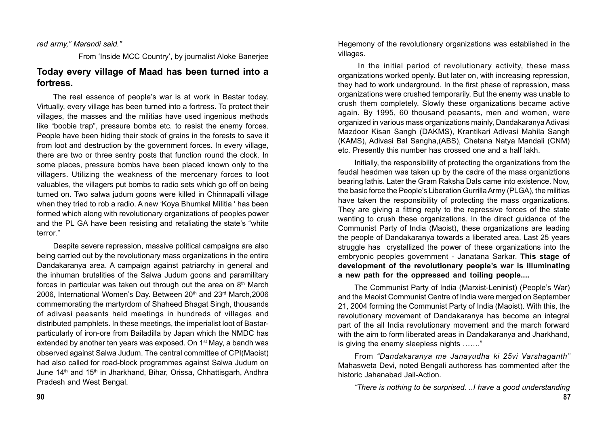#### *red army," Marandi said."*

From 'Inside MCC Country', by journalist Aloke Banerjee

## **Today every village of Maad has been turned into a fortress.**

The real essence of people's war is at work in Bastar today. Virtually, every village has been turned into a fortress**.** To protect their villages, the masses and the militias have used ingenious methods like "boobie trap", pressure bombs etc. to resist the enemy forces. People have been hiding their stock of grains in the forests to save it from loot and destruction by the government forces. In every village, there are two or three sentry posts that function round the clock. In some places, pressure bombs have been placed known only to the villagers. Utilizing the weakness of the mercenary forces to loot valuables, the villagers put bombs to radio sets which go off on being turned on. Two salwa judum goons were killed in Chinnapalli village when they tried to rob a radio. A new 'Koya Bhumkal Militia ' has been formed which along with revolutionary organizations of peoples power and the PL GA have been resisting and retaliating the state's "white terror."

Despite severe repression, massive political campaigns are also being carried out by the revolutionary mass organizations in the entire Dandakaranya area. A campaign against patriarchy in general and the inhuman brutalities of the Salwa Judum goons and paramilitary forces in particular was taken out through out the area on  $8<sup>th</sup>$  March 2006, International Women's Day. Between 20th and 23rd March, 2006 commemorating the martyrdom of Shaheed Bhagat Singh, thousands of adivasi peasants held meetings in hundreds of villages and distributed pamphlets. In these meetings, the imperialist loot of Bastarparticularly of iron-ore from Bailadilla by Japan which the NMDC has extended by another ten years was exposed. On 1<sup>st</sup> May, a bandh was observed against Salwa Judum. The central committee of CPI(Maoist) had also called for road-block programmes against Salwa Judum on June 14<sup>th</sup> and 15<sup>th</sup> in Jharkhand, Bihar, Orissa, Chhattisgarh, Andhra Pradesh and West Bengal.

Hegemony of the revolutionary organizations was established in the villages.

 In the initial period of revolutionary activity, these mass organizations worked openly. But later on, with increasing repression, they had to work underground. In the first phase of repression, mass organizations were crushed temporarily. But the enemy was unable to crush them completely. Slowly these organizations became active again. By 1995, 60 thousand peasants, men and women, were organized in various mass organizations mainly, Dandakaranya Adivasi Mazdoor Kisan Sangh (DAKMS), Krantikari Adivasi Mahila Sangh (KAMS), Adivasi Bal Sangha,(ABS), Chetana Natya Mandali (CNM) etc. Presently this number has crossed one and a half lakh.

Initially, the responsibility of protecting the organizations from the feudal headmen was taken up by the cadre of the mass organiztions bearing lathis. Later the Gram Raksha Dals came into existence. Now, the basic force the People's Liberation Gurrilla Army (PLGA), the militias have taken the responsibility of protecting the mass organizations. They are giving a fitting reply to the repressive forces of the state wanting to crush these organizations. In the direct guidance of the Communist Party of India (Maoist), these organizations are leading the people of Dandakaranya towards a liberated area. Last 25 years struggle has crystallized the power of these organizations into the embryonic peoples government - Janatana Sarkar. **This stage of development of the revolutionary people's war is illuminating a new path for the oppressed and toiling people....**

The Communist Party of India (Marxist-Leninist) (People's War) and the Maoist Communist Centre of India were merged on September 21, 2004 forming the Communist Party of India (Maoist). With this, the revolutionary movement of Dandakaranya has become an integral part of the all India revolutionary movement and the march forward with the aim to form liberated areas in Dandakaranya and Jharkhand, is giving the enemy sleepless nights ……."

From *"Dandakaranya me Janayudha ki 25vi Varshaganth"* Mahasweta Devi, noted Bengali authoress has commented after the historic Jahanabad Jail-Action.

*"There is nothing to be surprised. ..I have a good understanding*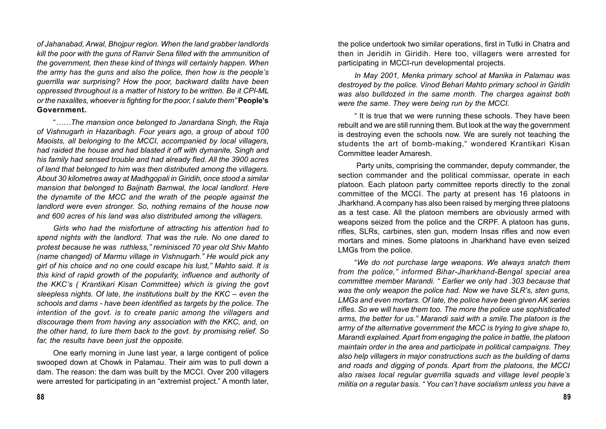*of Jahanabad, Arwal, Bhojpur region. When the land grabber landlords kill the poor with the guns of Ranvir Sena filled with the ammunition of the government, then these kind of things will certainly happen. When the army has the guns and also the police, then how is the people's guerrilla war surprising? How the poor, backward dalits have been oppressed throughout is a matter of history to be written. Be it CPI-ML or the naxalites, whoever is fighting for the poor, I salute them"* **People's Government.**

"*……The mansion once belonged to Janardana Singh, the Raja of Vishnugarh in Hazaribagh. Four years ago, a group of about 100 Maoists, all belonging to the MCCI, accompanied by local villagers, had raided the house and had blasted it off with dymanite, Singh and his family had sensed trouble and had already fled. All the 3900 acres of land that belonged to him was then distributed among the villagers. About 30 kilometres away at Madhgopali in Giridih, once stood a similar mansion that belonged to Baijnath Barnwal, the local landlord. Here the dynamite of the MCC and the wrath of the people against the landlord were even stronger. So, nothing remains of the house now and 600 acres of his land was also distributed among the villagers.*

*Girls who had the misfortune of attracting his attention had to spend nights with the landlord. That was the rule. No one dared to protest because he was ruthless," reminisced 70 year old Shiv Mahto (name changed) of Marmu village in Vishnugarh." He would pick any girl of his choice and no one could escape his lust," Mahto said. It is this kind of rapid growth of the popularity, influence and authority of the KKC's ( Krantikari Kisan Committee) which is giving the govt sleepless nights. Of late, the institutions built by the KKC – even the schools and dams - have been identified as targets by the police. The intention of the govt. is to create panic among the villagers and discourage them from having any association with the KKC, and, on the other hand, to lure them back to the govt. by promising relief. So far, the results have been just the opposite.*

One early morning in June last year, a large contigent of police swooped down at Chowk in Palamau. Their aim was to pull down a dam. The reason: the dam was built by the MCCI. Over 200 villagers were arrested for participating in an "extremist project." A month later, the police undertook two similar operations, first in Tutki in Chatra and then in Jeridih in Giridih. Here too, villagers were arrested for participating in MCCI-run developmental projects.

*In May 2001, Menka primary school at Manika in Palamau was destroyed by the police. Vinod Behari Mahto primary school in Giridih was also bulldozed in the same month. The charges against both were the same. They were being run by the MCCI.*

" It is true that we were running these schools. They have been rebuilt and we are still running them. But look at the way the government is destroying even the schools now. We are surely not teaching the students the art of bomb-making," wondered Krantikari Kisan Committee leader Amaresh.

 Party units, comprising the commander, deputy commander, the section commander and the political commissar, operate in each platoon. Each platoon party committee reports directly to the zonal committee of the MCCI. The party at present has 16 platoons in Jharkhand. A company has also been raised by merging three platoons as a test case. All the platoon members are obviously armed with weapons seized from the police and the CRPF. A platoon has guns, rifles, SLRs, carbines, sten gun, modern Insas rifles and now even mortars and mines. Some platoons in Jharkhand have even seized LMGs from the police.

"*We do not purchase large weapons. We always snatch them from the police," informed Bihar-Jharkhand-Bengal special area committee member Marandi. " Earlier we only had .303 because that was the only weapon the police had. Now we have SLR's, sten guns, LMGs and even mortars. Of late, the police have been given AK series rifles. So we will have them too. The more the police use sophisticated arms, the better for us." Marandi said with a smile.The platoon is the army of the alternative government the MCC is trying to give shape to, Marandi explained. Apart from engaging the police in battle, the platoon maintain order in the area and participate in political campaigns. They also help villagers in major constructions such as the building of dams and roads and digging of ponds. Apart from the platoons, the MCCI also raises local regular guerrilla squads and village level people's militia on a regular basis. " You can't have socialism unless you have a*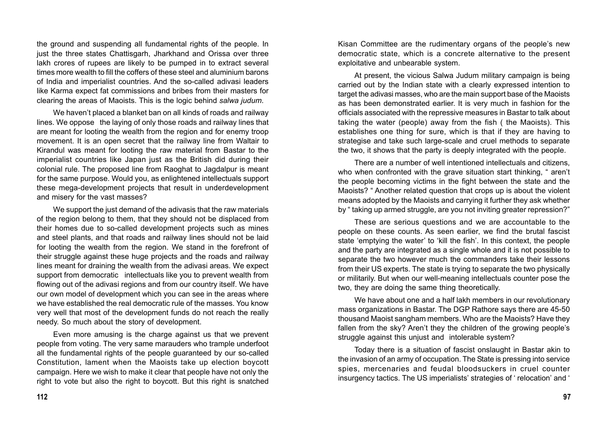the ground and suspending all fundamental rights of the people. In just the three states Chattisgarh, Jharkhand and Orissa over three lakh crores of rupees are likely to be pumped in to extract several times more wealth to fill the coffers of these steel and aluminium barons of India and imperialist countries. And the so-called adivasi leaders like Karma expect fat commissions and bribes from their masters for clearing the areas of Maoists. This is the logic behind *salwa judum*.

We haven't placed a blanket ban on all kinds of roads and railway lines. We oppose the laying of only those roads and railway lines that are meant for looting the wealth from the region and for enemy troop movement. It is an open secret that the railway line from Waltair to Kirandul was meant for looting the raw material from Bastar to the imperialist countries like Japan just as the British did during their colonial rule. The proposed line from Raoghat to Jagdalpur is meant for the same purpose. Would you, as enlightened intellectuals support these mega-development projects that result in underdevelopment and misery for the vast masses?

We support the just demand of the adivasis that the raw materials of the region belong to them, that they should not be displaced from their homes due to so-called development projects such as mines and steel plants, and that roads and railway lines should not be laid for looting the wealth from the region. We stand in the forefront of their struggle against these huge projects and the roads and railway lines meant for draining the wealth from the adivasi areas. We expect support from democratic intellectuals like you to prevent wealth from flowing out of the adivasi regions and from our country itself. We have our own model of development which you can see in the areas where we have established the real democratic rule of the masses. You know very well that most of the development funds do not reach the really needy. So much about the story of development.

Even more amusing is the charge against us that we prevent people from voting. The very same marauders who trample underfoot all the fundamental rights of the people guaranteed by our so-called Constitution, lament when the Maoists take up election boycott campaign. Here we wish to make it clear that people have not only the right to vote but also the right to boycott. But this right is snatched

Kisan Committee are the rudimentary organs of the people's new democratic state, which is a concrete alternative to the present exploitative and unbearable system.

At present, the vicious Salwa Judum military campaign is being carried out by the Indian state with a clearly expressed intention to target the adivasi masses, who are the main support base of the Maoists as has been demonstrated earlier. It is very much in fashion for the officials associated with the repressive measures in Bastar to talk about taking the water (people) away from the fish ( the Maoists). This establishes one thing for sure, which is that if they are having to strategise and take such large-scale and cruel methods to separate the two, it shows that the party is deeply integrated with the people.

There are a number of well intentioned intellectuals and citizens, who when confronted with the grave situation start thinking, "aren't the people becoming victims in the fight between the state and the Maoists? " Another related question that crops up is about the violent means adopted by the Maoists and carrying it further they ask whether by " taking up armed struggle, are you not inviting greater repression?"

These are serious questions and we are accountable to the people on these counts. As seen earlier, we find the brutal fascist state 'emptying the water' to 'kill the fish'. In this context, the people and the party are integrated as a single whole and it is not possible to separate the two however much the commanders take their lessons from their US experts. The state is trying to separate the two physically or militarily. But when our well-meaning intellectuals counter pose the two, they are doing the same thing theoretically.

We have about one and a half lakh members in our revolutionary mass organizations in Bastar. The DGP Rathore says there are 45-50 thousand Maoist sangham members. Who are the Maoists? Have they fallen from the sky? Aren't they the children of the growing people's struggle against this unjust and intolerable system?

Today there is a situation of fascist onslaught in Bastar akin to the invasion of an army of occupation. The State is pressing into service spies, mercenaries and feudal bloodsuckers in cruel counter insurgency tactics. The US imperialists' strategies of ' relocation' and '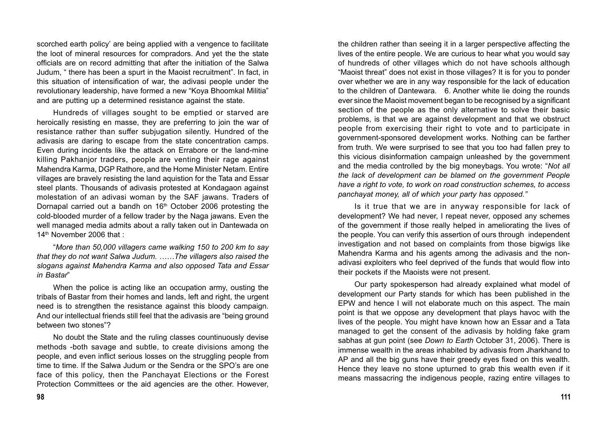scorched earth policy' are being applied with a vengence to facilitate the loot of mineral resources for compradors. And yet the the state officials are on record admitting that after the initiation of the Salwa Judum, " there has been a spurt in the Maoist recruitment". In fact, in this situation of intensification of war, the adivasi people under the revolutionary leadership, have formed a new "Koya Bhoomkal Militia" and are putting up a determined resistance against the state.

Hundreds of villages sought to be emptied or starved are heroically resisting en masse, they are preferring to join the war of resistance rather than suffer subjugation silently. Hundred of the adivasis are daring to escape from the state concentration camps. Even during incidents like the attack on Errabore or the land-mine killing Pakhanjor traders, people are venting their rage against Mahendra Karma, DGP Rathore, and the Home Minister Netam. Entire villages are bravely resisting the land aquistion for the Tata and Essar steel plants. Thousands of adivasis protested at Kondagaon against molestation of an adivasi woman by the SAF jawans. Traders of Dornapal carried out a bandh on  $16<sup>th</sup>$  October 2006 protesting the cold-blooded murder of a fellow trader by the Naga jawans. Even the well managed media admits about a rally taken out in Dantewada on 14<sup>th</sup> November 2006 that :

"*More than 50,000 villagers came walking 150 to 200 km to say that they do not want Salwa Judum. ……The villagers also raised the slogans against Mahendra Karma and also opposed Tata and Essar in Bastar*"

When the police is acting like an occupation army, ousting the tribals of Bastar from their homes and lands, left and right, the urgent need is to strengthen the resistance against this bloody campaign. And our intellectual friends still feel that the adivasis are "being ground between two stones"?

No doubt the State and the ruling classes countinuously devise methods -both savage and subtle, to create divisions among the people, and even inflict serious losses on the struggling people from time to time. If the Salwa Judum or the Sendra or the SPO's are one face of this policy, then the Panchayat Elections or the Forest Protection Committees or the aid agencies are the other. However,

the children rather than seeing it in a larger perspective affecting the lives of the entire people. We are curious to hear what you would say of hundreds of other villages which do not have schools although "Maoist threat" does not exist in those villages? It is for you to ponder over whether we are in any way responsible for the lack of education to the children of Dantewara. 6. Another white lie doing the rounds ever since the Maoist movement began to be recognised by a significant section of the people as the only alternative to solve their basic problems, is that we are against development and that we obstruct people from exercising their right to vote and to participate in government-sponsored development works. Nothing can be farther from truth. We were surprised to see that you too had fallen prey to this vicious disinformation campaign unleashed by the government and the media controlled by the big moneybags. You wrote: "*Not all the lack of development can be blamed on the government People have a right to vote, to work on road construction schemes, to access panchayat money, all of which your party has opposed."*

Is it true that we are in anyway responsible for lack of development? We had never, I repeat never, opposed any schemes of the government if those really helped in ameliorating the lives of the people. You can verify this assertion of ours through independent investigation and not based on complaints from those bigwigs like Mahendra Karma and his agents among the adivasis and the nonadivasi exploiters who feel deprived of the funds that would flow into their pockets if the Maoists were not present.

Our party spokesperson had already explained what model of development our Party stands for which has been published in the EPW and hence I will not elaborate much on this aspect. The main point is that we oppose any development that plays havoc with the lives of the people. You might have known how an Essar and a Tata managed to get the consent of the adivasis by holding fake gram sabhas at gun point (see *Down to Earth* October 31, 2006). There is immense wealth in the areas inhabited by adivasis from Jharkhand to AP and all the big guns have their greedy eyes fixed on this wealth. Hence they leave no stone upturned to grab this wealth even if it means massacring the indigenous people, razing entire villages to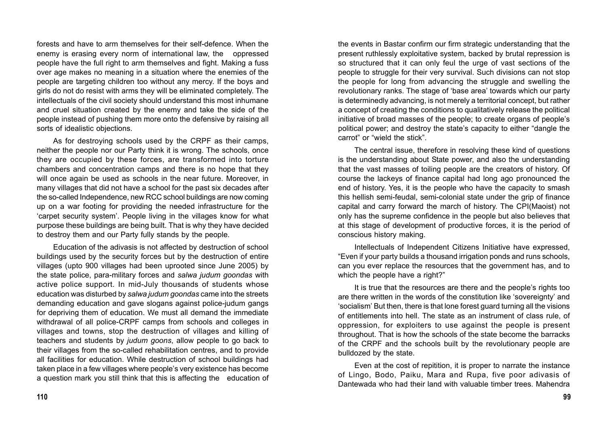forests and have to arm themselves for their self-defence. When the enemy is erasing every norm of international law, the oppressed people have the full right to arm themselves and fight. Making a fuss over age makes no meaning in a situation where the enemies of the people are targeting children too without any mercy. If the boys and girls do not do resist with arms they will be eliminated completely. The intellectuals of the civil society should understand this most inhumane and cruel situation created by the enemy and take the side of the people instead of pushing them more onto the defensive by raising all sorts of idealistic objections.

As for destroying schools used by the CRPF as their camps, neither the people nor our Party think it is wrong. The schools, once they are occupied by these forces, are transformed into torture chambers and concentration camps and there is no hope that they will once again be used as schools in the near future. Moreover, in many villages that did not have a school for the past six decades after the so-called Independence, new RCC school buildings are now coming up on a war footing for providing the needed infrastructure for the 'carpet security system'. People living in the villages know for what purpose these buildings are being built. That is why they have decided to destroy them and our Party fully stands by the people.

Education of the adivasis is not affected by destruction of school buildings used by the security forces but by the destruction of entire villages (upto 900 villages had been uprooted since June 2005) by the state police, para-military forces and *salwa judum goondas* with active police support. In mid-July thousands of students whose education was disturbed by *salwa judum goondas* came into the streets demanding education and gave slogans against police-judum gangs for depriving them of education. We must all demand the immediate withdrawal of all police-CRPF camps from schools and colleges in villages and towns, stop the destruction of villages and killing of teachers and students by *judum goons*, allow people to go back to their villages from the so-called rehabilitation centres, and to provide all facilities for education. While destruction of school buildings had taken place in a few villages where people's very existence has become a question mark you still think that this is affecting the education of the events in Bastar confirm our firm strategic understanding that the present ruthlessly exploitative system, backed by brutal repression is so structured that it can only feul the urge of vast sections of the people to struggle for their very survival. Such divisions can not stop the people for long from advancing the struggle and swelling the revolutionary ranks. The stage of 'base area' towards which our party is determinedly advancing, is not merely a territorial concept, but rather a concept of creating the conditions to qualitatively release the political initiative of broad masses of the people; to create organs of people's political power; and destroy the state's capacity to either "dangle the carrot" or "wield the stick".

The central issue, therefore in resolving these kind of questions is the understanding about State power, and also the understanding that the vast masses of toiling people are the creators of history. Of course the lackeys of finance capital had long ago pronounced the end of history. Yes, it is the people who have the capacity to smash this hellish semi-feudal, semi-colonial state under the grip of finance capital and carry forward the march of history. The CPI(Maoist) not only has the supreme confidence in the people but also believes that at this stage of development of productive forces, it is the period of conscious history making.

Intellectuals of Independent Citizens Initiative have expressed, "Even if your party builds a thousand irrigation ponds and runs schools, can you ever replace the resources that the government has, and to which the people have a right?"

It is true that the resources are there and the people's rights too are there written in the words of the constitution like 'sovereignty' and 'socialism' But then, there is that lone forest guard turning all the visions of entitlements into hell. The state as an instrument of class rule, of oppression, for exploiters to use against the people is present throughout. That is how the schools of the state become the barracks of the CRPF and the schools built by the revolutionary people are bulldozed by the state.

Even at the cost of repitition, it is proper to narrate the instance of Lingo, Bodo, Paiku, Mara and Rupa, five poor adivasis of Dantewada who had their land with valuable timber trees. Mahendra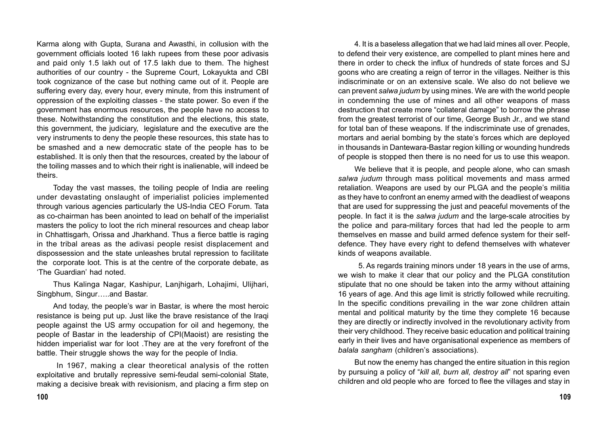Karma along with Gupta, Surana and Awasthi, in collusion with the government officials looted 16 lakh rupees from these poor adivasis and paid only 1.5 lakh out of 17.5 lakh due to them. The highest authorities of our country - the Supreme Court, Lokayukta and CBI took cognizance of the case but nothing came out of it. People are suffering every day, every hour, every minute, from this instrument of oppression of the exploiting classes - the state power. So even if the government has enormous resources, the people have no access to these. Notwithstanding the constitution and the elections, this state, this government, the judiciary, legislature and the executive are the very instruments to deny the people these resources, this state has to be smashed and a new democratic state of the people has to be established. It is only then that the resources, created by the labour of the toiling masses and to which their right is inalienable, will indeed be theirs.

Today the vast masses, the toiling people of India are reeling under devastating onslaught of imperialist policies implemented through various agencies particularly the US-India CEO Forum. Tata as co-chairman has been anointed to lead on behalf of the imperialist masters the policy to loot the rich mineral resources and cheap labor in Chhattisgarh, Orissa and Jharkhand. Thus a fierce battle is raging in the tribal areas as the adivasi people resist displacement and dispossession and the state unleashes brutal repression to facilitate the corporate loot. This is at the centre of the corporate debate, as 'The Guardian' had noted.

Thus Kalinga Nagar, Kashipur, Lanjhigarh, Lohajimi, Ulijhari, Singbhum, Singur…..and Bastar.

And today, the people's war in Bastar, is where the most heroic resistance is being put up. Just like the brave resistance of the Iraqi people against the US army occupation for oil and hegemony, the people of Bastar in the leadership of CPI(Maoist) are resisting the hidden imperialist war for loot .They are at the very forefront of the battle. Their struggle shows the way for the people of India.

 In 1967, making a clear theoretical analysis of the rotten exploitative and brutally repressive semi-feudal semi-colonial State, making a decisive break with revisionism, and placing a firm step on

4. It is a baseless allegation that we had laid mines all over. People, to defend their very existence, are compelled to plant mines here and there in order to check the influx of hundreds of state forces and SJ goons who are creating a reign of terror in the villages. Neither is this indiscriminate or on an extensive scale. We also do not believe we can prevent *salwa judum* by using mines. We are with the world people in condemning the use of mines and all other weapons of mass destruction that create more "collateral damage" to borrow the phrase from the greatest terrorist of our time, George Bush Jr., and we stand for total ban of these weapons. If the indiscriminate use of grenades, mortars and aerial bombing by the state's forces which are deployed in thousands in Dantewara-Bastar region killing or wounding hundreds of people is stopped then there is no need for us to use this weapon.

We believe that it is people, and people alone, who can smash *salwa judum* through mass political movements and mass armed retaliation. Weapons are used by our PLGA and the people's militia as they have to confront an enemy armed with the deadliest of weapons that are used for suppressing the just and peaceful movements of the people. In fact it is the *salwa judum* and the large-scale atrocities by the police and para-military forces that had led the people to arm themselves en masse and build armed defence system for their selfdefence. They have every right to defend themselves with whatever kinds of weapons available.

 5. As regards training minors under 18 years in the use of arms, we wish to make it clear that our policy and the PLGA constitution stipulate that no one should be taken into the army without attaining 16 years of age. And this age limit is strictly followed while recruiting. In the specific conditions prevailing in the war zone children attain mental and political maturity by the time they complete 16 because they are directly or indirectly involved in the revolutionary activity from their very childhood. They receive basic education and political training early in their lives and have organisational experience as members of *balala sangham* (children's associations).

But now the enemy has changed the entire situation in this region by pursuing a policy of "*kill all, burn all, destroy all*" not sparing even children and old people who are forced to flee the villages and stay in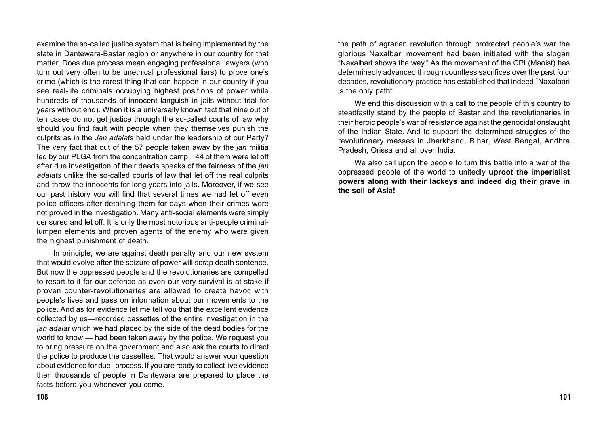examine the so-called justice system that is being implemented by the state in Dantewara-Bastar region or anywhere in our country for that matter. Does due process mean engaging professional lawyers (who turn out very often to be unethical professional liars) to prove one's crime (which is the rarest thing that can happen in our country if you see real-life criminals occupying highest positions of power while hundreds of thousands of innocent languish in jails without trial for years without end). When it is a universally known fact that nine out of ten cases do not get justice through the so-called courts of law why should you find fault with people when they themselves punish the culprits as in the *Jan adalat*s held under the leadership of our Party? The very fact that out of the 57 people taken away by the *jan* militia led by our PLGA from the concentration camp, 44 of them were let off after due investigation of their deeds speaks of the fairness of the *jan adalats* unlike the so-called courts of law that let off the real culprits and throw the innocents for long years into jails. Moreover, if we see our past history you will find that several times we had let off even police officers after detaining them for days when their crimes were not proved in the investigation. Many anti-social elements were simply censured and let off. It is only the most notorious anti-people criminallumpen elements and proven agents of the enemy who were given the highest punishment of death.

In principle, we are against death penalty and our new system that would evolve after the seizure of power will scrap death sentence. But now the oppressed people and the revolutionaries are compelled to resort to it for our defence as even our very survival is at stake if proven counter-revolutionaries are allowed to create havoc with people's lives and pass on information about our movements to the police. And as for evidence let me tell you that the excellent evidence collected by us—recorded cassettes of the entire investigation in the *jan adalat* which we had placed by the side of the dead bodies for the world to know — had been taken away by the police. We request you to bring pressure on the government and also ask the courts to direct the police to produce the cassettes. That would answer your question about evidence for due process. If you are ready to collect live evidence then thousands of people in Dantewara are prepared to place the facts before you whenever you come.

the path of agrarian revolution through protracted people's war the glorious Naxalbari movement had been initiated with the slogan "Naxalbari shows the way." As the movement of the CPI (Maoist) has determinedly advanced through countless sacrifices over the past four decades, revolutionary practice has established that indeed "Naxalbari is the only path".

We end this discussion with a call to the people of this country to steadfastly stand by the people of Bastar and the revolutionaries in their heroic people's war of resistance against the genocidal onslaught of the Indian State. And to support the determined struggles of the revolutionary masses in Jharkhand, Bihar, West Bengal, Andhra Pradesh, Orissa and all over India.

We also call upon the people to turn this battle into a war of the oppressed people of the world to unitedly **uproot the imperialist powers along with their lackeys and indeed dig their grave in the soil of Asia!**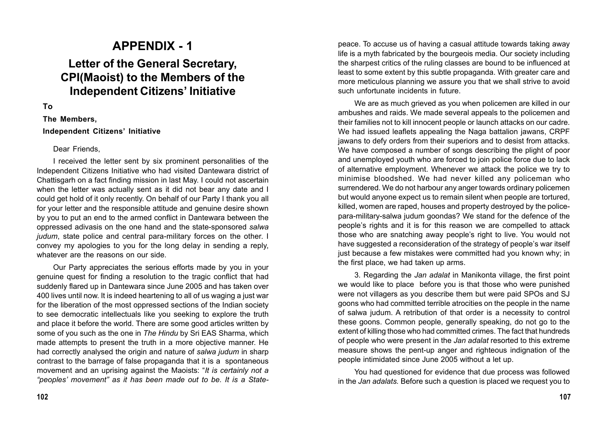# **APPENDIX - 1 Letter of the General Secretary, CPI(Maoist) to the Members of the Independent Citizens' Initiative**

#### **To**

#### **The Members,**

#### **Independent Citizens' Initiative**

#### Dear Friends,

I received the letter sent by six prominent personalities of the Independent Citizens Initiative who had visited Dantewara district of Chattisgarh on a fact finding mission in last May. I could not ascertain when the letter was actually sent as it did not bear any date and I could get hold of it only recently. On behalf of our Party I thank you all for your letter and the responsible attitude and genuine desire shown by you to put an end to the armed conflict in Dantewara between the oppressed adivasis on the one hand and the state-sponsored *salwa judum*, state police and central para-military forces on the other. I convey my apologies to you for the long delay in sending a reply, whatever are the reasons on our side.

Our Party appreciates the serious efforts made by you in your genuine quest for finding a resolution to the tragic conflict that had suddenly flared up in Dantewara since June 2005 and has taken over 400 lives until now. It is indeed heartening to all of us waging a just war for the liberation of the most oppressed sections of the Indian society to see democratic intellectuals like you seeking to explore the truth and place it before the world. There are some good articles written by some of you such as the one in *The Hindu* by Sri EAS Sharma, which made attempts to present the truth in a more objective manner. He had correctly analysed the origin and nature of *salwa judum* in sharp contrast to the barrage of false propaganda that it is a spontaneous movement and an uprising against the Maoists: "*It is certainly not a "peoples' movement" as it has been made out to be. It is a State-* peace. To accuse us of having a casual attitude towards taking away life is a myth fabricated by the bourgeois media. Our society including the sharpest critics of the ruling classes are bound to be influenced at least to some extent by this subtle propaganda. With greater care and more meticulous planning we assure you that we shall strive to avoid such unfortunate incidents in future.

We are as much grieved as you when policemen are killed in our ambushes and raids. We made several appeals to the policemen and their families not to kill innocent people or launch attacks on our cadre. We had issued leaflets appealing the Naga battalion jawans, CRPF jawans to defy orders from their superiors and to desist from attacks. We have composed a number of songs describing the plight of poor and unemployed youth who are forced to join police force due to lack of alternative employment. Whenever we attack the police we try to minimise bloodshed. We had never killed any policeman who surrendered. We do not harbour any anger towards ordinary policemen but would anyone expect us to remain silent when people are tortured, killed, women are raped, houses and property destroyed by the policepara-military-salwa judum goondas? We stand for the defence of the people's rights and it is for this reason we are compelled to attack those who are snatching away people's right to live. You would not have suggested a reconsideration of the strategy of people's war itself just because a few mistakes were committed had you known why; in the first place, we had taken up arms.

3. Regarding the *Jan adalat* in Manikonta village, the first point we would like to place before you is that those who were punished were not villagers as you describe them but were paid SPOs and SJ goons who had committed terrible atrocities on the people in the name of salwa judum. A retribution of that order is a necessity to control these goons. Common people, generally speaking, do not go to the extent of killing those who had committed crimes. The fact that hundreds of people who were present in the *Jan adalat* resorted to this extreme measure shows the pent-up anger and righteous indignation of the people intimidated since June 2005 without a let up.

You had questioned for evidence that due process was followed in the *Jan adalats.* Before such a question is placed we request you to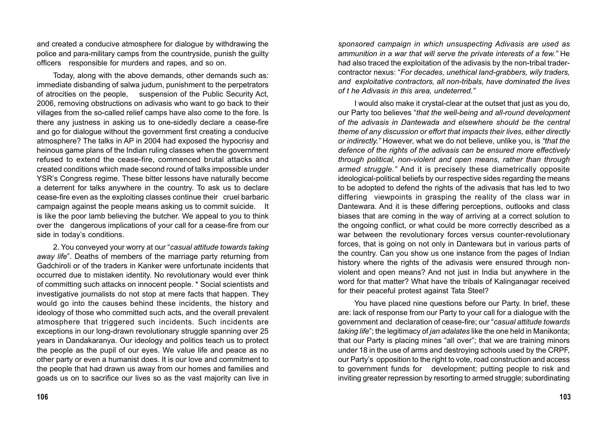and created a conducive atmosphere for dialogue by withdrawing the police and para-military camps from the countryside, punish the guilty officers responsible for murders and rapes, and so on.

Today, along with the above demands, other demands such as: immediate disbanding of salwa judum, punishment to the perpetrators of atrocities on the people, suspension of the Public Security Act, 2006, removing obstructions on adivasis who want to go back to their villages from the so-called relief camps have also come to the fore. Is there any justness in asking us to one-sidedly declare a cease-fire and go for dialogue without the government first creating a conducive atmosphere? The talks in AP in 2004 had exposed the hypocrisy and heinous game plans of the Indian ruling classes when the government refused to extend the cease-fire, commenced brutal attacks and created conditions which made second round of talks impossible under YSR's Congress regime. These bitter lessons have naturally become a deterrent for talks anywhere in the country. To ask us to declare cease-fire even as the exploiting classes continue their cruel barbaric campaign against the people means asking us to commit suicide. It is like the poor lamb believing the butcher. We appeal to you to think over the dangerous implications of your call for a cease-fire from our side in today's conditions.

2. You conveyed your worry at our "*casual attitude towards taking away life*". Deaths of members of the marriage party returning from Gadchiroli or of the traders in Kanker were unfortunate incidents that occurred due to mistaken identity. No revolutionary would ever think of committing such attacks on innocent people. \* Social scientists and investigative journalists do not stop at mere facts that happen. They would go into the causes behind these incidents, the history and ideology of those who committed such acts, and the overall prevalent atmosphere that triggered such incidents. Such incidents are exceptions in our long-drawn revolutionary struggle spanning over 25 years in Dandakaranya. Our ideology and politics teach us to protect the people as the pupil of our eyes. We value life and peace as no other party or even a humanist does. It is our love and commitment to the people that had drawn us away from our homes and families and goads us on to sacrifice our lives so as the vast majority can live in

*sponsored campaign in which unsuspecting Adivasis are used as ammunition in a war that will serve the private interests of a few."* He had also traced the exploitation of the adivasis by the non-tribal tradercontractor nexus: "*For decades, unethical land-grabbers, wily traders, and exploitative contractors, all non-tribals, have dominated the lives of t he Adivasis in this area, undeterred."*

I would also make it crystal-clear at the outset that just as you do, our Party too believes "*that the well-being and all-round development of the adivasis in Dantewada and elsewhere should be the central theme of any discussion or effort that impacts their lives, either directly or indirectly."* However, what we do not believe, unlike you, is *"that the defence of the rights of the adivasis can be ensured more effectively through political, non-violent and open means, rather than through armed struggle."* And it is precisely these diametrically opposite ideological-political beliefs by our respective sides regarding the means to be adopted to defend the rights of the adivasis that has led to two differing viewpoints in grasping the reality of the class war in Dantewara. And it is these differing perceptions, outlooks and class biases that are coming in the way of arriving at a correct solution to the ongoing conflict, or what could be more correctly described as a war between the revolutionary forces versus counter-revolutionary forces, that is going on not only in Dantewara but in various parts of the country. Can you show us one instance from the pages of Indian history where the rights of the adivasis were ensured through nonviolent and open means? And not just in India but anywhere in the word for that matter? What have the tribals of Kalinganagar received for their peaceful protest against Tata Steel?

You have placed nine questions before our Party. In brief, these are: lack of response from our Party to your call for a dialogue with the government and declaration of cease-fire; our "*casual attitude towards taking life*"; the legitimacy of *jan adalates* like the one held in Manikonta; that our Party is placing mines "all over"; that we are training minors under 18 in the use of arms and destroying schools used by the CRPF, our Party's opposition to the right to vote, road construction and access to government funds for development; putting people to risk and inviting greater repression by resorting to armed struggle; subordinating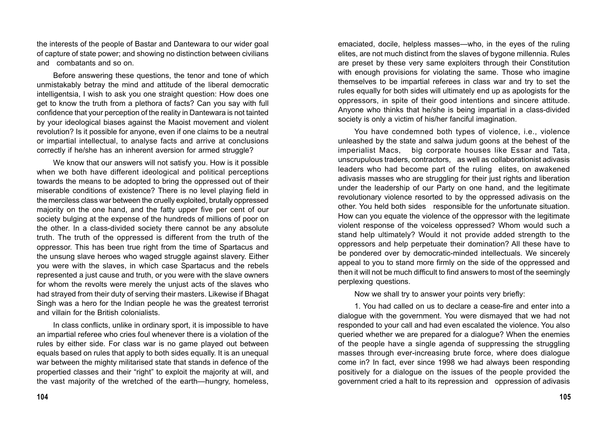the interests of the people of Bastar and Dantewara to our wider goal of capture of state power; and showing no distinction between civilians and combatants and so on.

Before answering these questions, the tenor and tone of which unmistakably betray the mind and attitude of the liberal democratic intelligentsia, I wish to ask you one straight question: How does one get to know the truth from a plethora of facts? Can you say with full confidence that your perception of the reality in Dantewara is not tainted by your ideological biases against the Maoist movement and violent revolution? Is it possible for anyone, even if one claims to be a neutral or impartial intellectual, to analyse facts and arrive at conclusions correctly if he/she has an inherent aversion for armed struggle?

We know that our answers will not satisfy you. How is it possible when we both have different ideological and political perceptions towards the means to be adopted to bring the oppressed out of their miserable conditions of existence? There is no level playing field in the merciless class war between the cruelly exploited, brutally oppressed majority on the one hand, and the fatty upper five per cent of our society bulging at the expense of the hundreds of millions of poor on the other. In a class-divided society there cannot be any absolute truth. The truth of the oppressed is different from the truth of the oppressor. This has been true right from the time of Spartacus and the unsung slave heroes who waged struggle against slavery. Either you were with the slaves, in which case Spartacus and the rebels represented a just cause and truth, or you were with the slave owners for whom the revolts were merely the unjust acts of the slaves who had strayed from their duty of serving their masters. Likewise if Bhagat Singh was a hero for the Indian people he was the greatest terrorist and villain for the British colonialists.

In class conflicts, unlike in ordinary sport, it is impossible to have an impartial referee who cries foul whenever there is a violation of the rules by either side. For class war is no game played out between equals based on rules that apply to both sides equally. It is an unequal war between the mighty militarised state that stands in defence of the propertied classes and their "right" to exploit the majority at will, and the vast majority of the wretched of the earth—hungry, homeless,

emaciated, docile, helpless masses—who, in the eyes of the ruling elites, are not much distinct from the slaves of bygone millennia. Rules are preset by these very same exploiters through their Constitution with enough provisions for violating the same. Those who imagine themselves to be impartial referees in class war and try to set the rules equally for both sides will ultimately end up as apologists for the oppressors, in spite of their good intentions and sincere attitude. Anyone who thinks that he/she is being impartial in a class-divided society is only a victim of his/her fanciful imagination.

You have condemned both types of violence, i.e., violence unleashed by the state and salwa judum goons at the behest of the imperialist Macs, big corporate houses like Essar and Tata, unscrupulous traders, contractors, as well as collaborationist adivasis leaders who had become part of the ruling elites, on awakened adivasis masses who are struggling for their just rights and liberation under the leadership of our Party on one hand, and the legitimate revolutionary violence resorted to by the oppressed adivasis on the other. You held both sides responsible for the unfortunate situation. How can you equate the violence of the oppressor with the legitimate violent response of the voiceless oppressed? Whom would such a stand help ultimately? Would it not provide added strength to the oppressors and help perpetuate their domination? All these have to be pondered over by democratic-minded intellectuals. We sincerely appeal to you to stand more firmly on the side of the oppressed and then it will not be much difficult to find answers to most of the seemingly perplexing questions.

Now we shall try to answer your points very briefly:

1. You had called on us to declare a cease-fire and enter into a dialogue with the government. You were dismayed that we had not responded to your call and had even escalated the violence. You also queried whether we are prepared for a dialogue? When the enemies of the people have a single agenda of suppressing the struggling masses through ever-increasing brute force, where does dialogue come in? In fact, ever since 1998 we had always been responding positively for a dialogue on the issues of the people provided the government cried a halt to its repression and oppression of adivasis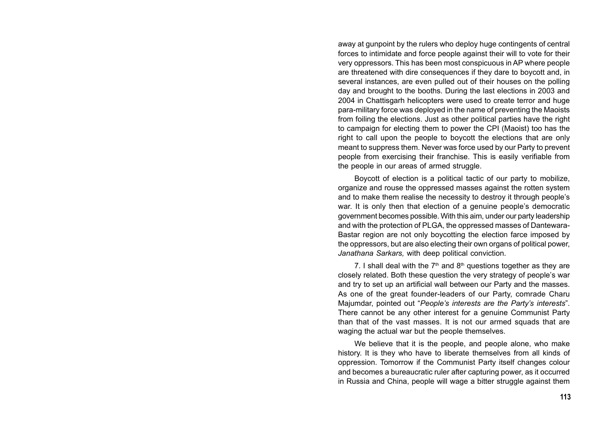away at gunpoint by the rulers who deploy huge contingents of central forces to intimidate and force people against their will to vote for their very oppressors. This has been most conspicuous in AP where people are threatened with dire consequences if they dare to boycott and, in several instances, are even pulled out of their houses on the polling day and brought to the booths. During the last elections in 2003 and 2004 in Chattisgarh helicopters were used to create terror and huge para-military force was deployed in the name of preventing the Maoists from foiling the elections. Just as other political parties have the right to campaign for electing them to power the CPI (Maoist) too has the right to call upon the people to boycott the elections that are only meant to suppress them. Never was force used by our Party to prevent people from exercising their franchise. This is easily verifiable from the people in our areas of armed struggle.

Boycott of election is a political tactic of our party to mobilize, organize and rouse the oppressed masses against the rotten system and to make them realise the necessity to destroy it through people's war. It is only then that election of a genuine people's democratic government becomes possible. With this aim, under our party leadership and with the protection of PLGA, the oppressed masses of Dantewara-Bastar region are not only boycotting the election farce imposed by the oppressors, but are also electing their own organs of political power, *Janathana Sarkars,* with deep political conviction.

7. I shall deal with the  $7<sup>th</sup>$  and  $8<sup>th</sup>$  questions together as they are closely related. Both these question the very strategy of people's war and try to set up an artificial wall between our Party and the masses. As one of the great founder-leaders of our Party, comrade Charu Majumdar, pointed out "*People's interests are the Party's interests*". There cannot be any other interest for a genuine Communist Party than that of the vast masses. It is not our armed squads that are waging the actual war but the people themselves.

We believe that it is the people, and people alone, who make history. It is they who have to liberate themselves from all kinds of oppression. Tomorrow if the Communist Party itself changes colour and becomes a bureaucratic ruler after capturing power, as it occurred in Russia and China, people will wage a bitter struggle against them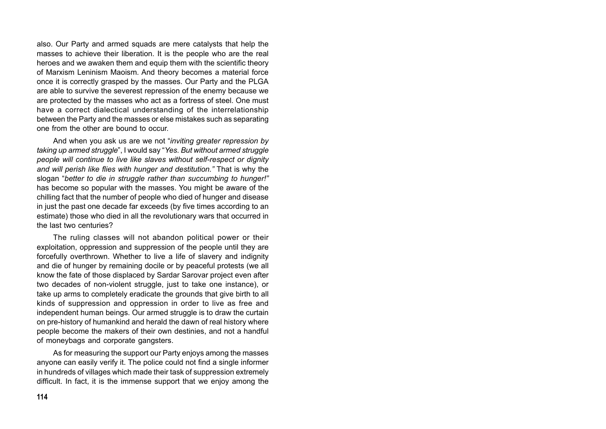also. Our Party and armed squads are mere catalysts that help the masses to achieve their liberation. It is the people who are the real heroes and we awaken them and equip them with the scientific theory of Marxism Leninism Maoism. And theory becomes a material force once it is correctly grasped by the masses. Our Party and the PLGA are able to survive the severest repression of the enemy because we are protected by the masses who act as a fortress of steel. One must have a correct dialectical understanding of the interrelationship between the Party and the masses or else mistakes such as separating one from the other are bound to occur.

And when you ask us are we not "*inviting greater repression by taking up armed struggle*", I would say "*Yes. But without armed struggle people will continue to live like slaves without self-respect or dignity and will perish like flies with hunger and destitution."* That is why the slogan "*better to die in struggle rather than succumbing to hunger!"* has become so popular with the masses. You might be aware of the chilling fact that the number of people who died of hunger and disease in just the past one decade far exceeds (by five times according to an estimate) those who died in all the revolutionary wars that occurred in the last two centuries?

The ruling classes will not abandon political power or their exploitation, oppression and suppression of the people until they are forcefully overthrown. Whether to live a life of slavery and indignity and die of hunger by remaining docile or by peaceful protests (we all know the fate of those displaced by Sardar Sarovar project even after two decades of non-violent struggle, just to take one instance), or take up arms to completely eradicate the grounds that give birth to all kinds of suppression and oppression in order to live as free and independent human beings. Our armed struggle is to draw the curtain on pre-history of humankind and herald the dawn of real history where people become the makers of their own destinies, and not a handful of moneybags and corporate gangsters.

As for measuring the support our Party enjoys among the masses anyone can easily verify it. The police could not find a single informer in hundreds of villages which made their task of suppression extremely difficult. In fact, it is the immense support that we enjoy among the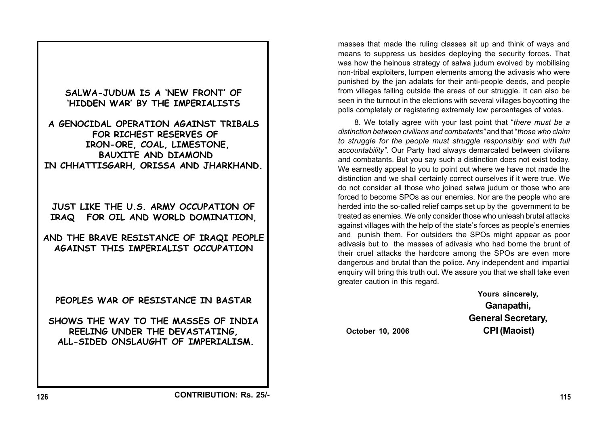

masses that made the ruling classes sit up and think of ways and means to suppress us besides deploying the security forces. That was how the heinous strategy of salwa judum evolved by mobilising non-tribal exploiters, lumpen elements among the adivasis who were punished by the jan adalats for their anti-people deeds, and people from villages falling outside the areas of our struggle. It can also be seen in the turnout in the elections with several villages boycotting the polls completely or registering extremely low percentages of votes.

8. We totally agree with your last point that "*there must be a distinction between civilians and combatants"* and that "*those who claim to struggle for the people must struggle responsibly and with full accountability".* Our Party had always demarcated between civilians and combatants. But you say such a distinction does not exist today. We earnestly appeal to you to point out where we have not made the distinction and we shall certainly correct ourselves if it were true. We do not consider all those who joined salwa judum or those who are forced to become SPOs as our enemies. Nor are the people who are herded into the so-called relief camps set up by the government to be treated as enemies. We only consider those who unleash brutal attacks against villages with the help of the state's forces as people's enemies and punish them. For outsiders the SPOs might appear as poor adivasis but to the masses of adivasis who had borne the brunt of their cruel attacks the hardcore among the SPOs are even more dangerous and brutal than the police. Any independent and impartial enquiry will bring this truth out. We assure you that we shall take even greater caution in this regard.

**Yours sincerely, Ganapathi, General Secretary, October 10, 2006 CPI (Maoist)**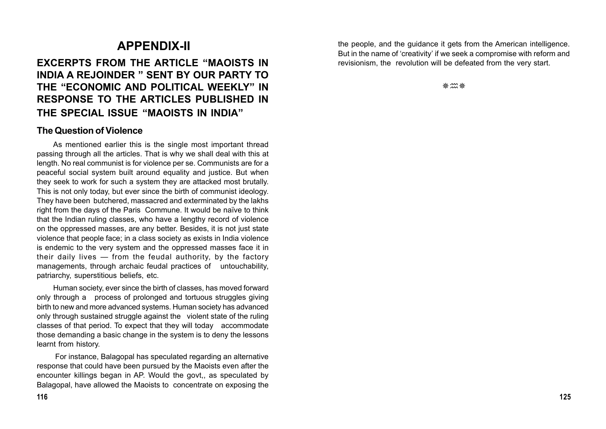# **APPENDIX-II**

# **EXCERPTS FROM THE ARTICLE "MAOISTS IN INDIA A REJOINDER " SENT BY OUR PARTY TO THE "ECONOMIC AND POLITICAL WEEKLY" IN RESPONSE TO THE ARTICLES PUBLISHED IN THE SPECIAL ISSUE "MAOISTS IN INDIA"**

#### **The Question of Violence**

As mentioned earlier this is the single most important thread passing through all the articles. That is why we shall deal with this at length. No real communist is for violence per se. Communists are for a peaceful social system built around equality and justice. But when they seek to work for such a system they are attacked most brutally. This is not only today, but ever since the birth of communist ideology. They have been butchered, massacred and exterminated by the lakhs right from the days of the Paris Commune. It would be naïve to think that the Indian ruling classes, who have a lengthy record of violence on the oppressed masses, are any better. Besides, it is not just state violence that people face; in a class society as exists in India violence is endemic to the very system and the oppressed masses face it in their daily lives — from the feudal authority, by the factory managements, through archaic feudal practices of untouchability, patriarchy, superstitious beliefs, etc.

Human society, ever since the birth of classes, has moved forward only through a process of prolonged and tortuous struggles giving birth to new and more advanced systems. Human society has advanced only through sustained struggle against the violent state of the ruling classes of that period. To expect that they will today accommodate those demanding a basic change in the system is to deny the lessons learnt from history.

 For instance, Balagopal has speculated regarding an alternative response that could have been pursued by the Maoists even after the encounter killings began in AP. Would the govt,, as speculated by Balagopal, have allowed the Maoists to concentrate on exposing the

the people, and the guidance it gets from the American intelligence. But in the name of 'creativity' if we seek a compromise with reform and revisionism, the revolution will be defeated from the very start.

※ 灬 涤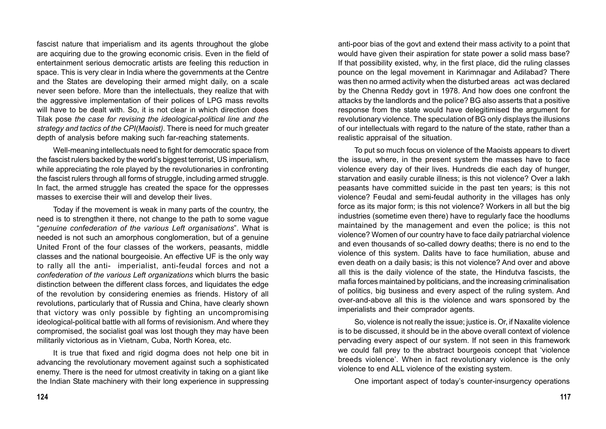fascist nature that imperialism and its agents throughout the globe are acquiring due to the growing economic crisis. Even in the field of entertainment serious democratic artists are feeling this reduction in space. This is very clear in India where the governments at the Centre and the States are developing their armed might daily, on a scale never seen before. More than the intellectuals, they realize that with the aggressive implementation of their polices of LPG mass revolts will have to be dealt with. So, it is not clear in which direction does Tilak pose *the case for revising the ideological-political line and the strategy and tactics of the CPI(Maoist)*. There is need for much greater depth of analysis before making such far-reaching statements.

Well-meaning intellectuals need to fight for democratic space from the fascist rulers backed by the world's biggest terrorist, US imperialism, while appreciating the role played by the revolutionaries in confronting the fascist rulers through all forms of struggle, including armed struggle. In fact, the armed struggle has created the space for the oppresses masses to exercise their will and develop their lives.

Today if the movement is weak in many parts of the country, the need is to strengthen it there, not change to the path to some vague "*genuine confederation of the various Left organisations*". What is needed is not such an amorphous conglomeration, but of a genuine United Front of the four classes of the workers, peasants, middle classes and the national bourgeoisie. An effective UF is the only way to rally all the anti- imperialist, anti-feudal forces and not a *confederation of the various Left organizations* which blurrs the basic distinction between the different class forces, and liquidates the edge of the revolution by considering enemies as friends. History of all revolutions, particularly that of Russia and China, have clearly shown that victory was only possible by fighting an uncompromising ideological-political battle with all forms of revisionism. And where they compromised, the socialist goal was lost though they may have been militarily victorious as in Vietnam, Cuba, North Korea, etc.

It is true that fixed and rigid dogma does not help one bit in advancing the revolutionary movement against such a sophisticated enemy. There is the need for utmost creativity in taking on a giant like the Indian State machinery with their long experience in suppressing anti-poor bias of the govt and extend their mass activity to a point that would have given their aspiration for state power a solid mass base? If that possibility existed, why, in the first place, did the ruling classes pounce on the legal movement in Karimnagar and Adilabad? There was then no armed activity when the disturbed areas act was declared by the Chenna Reddy govt in 1978. And how does one confront the attacks by the landlords and the police? BG also asserts that a positive response from the state would have delegitimised the argument for revolutionary violence. The speculation of BG only displays the illusions of our intellectuals with regard to the nature of the state, rather than a realistic appraisal of the situation.

To put so much focus on violence of the Maoists appears to divert the issue, where, in the present system the masses have to face violence every day of their lives. Hundreds die each day of hunger, starvation and easily curable illness; is this not violence? Over a lakh peasants have committed suicide in the past ten years; is this not violence? Feudal and semi-feudal authority in the villages has only force as its major form; is this not violence? Workers in all but the big industries (sometime even there) have to regularly face the hoodlums maintained by the management and even the police; is this not violence? Women of our country have to face daily patriarchal violence and even thousands of so-called dowry deaths; there is no end to the violence of this system. Dalits have to face humiliation, abuse and even death on a daily basis; is this not violence? And over and above all this is the daily violence of the state, the Hindutva fascists, the mafia forces maintained by politicians, and the increasing criminalisation of politics, big business and every aspect of the ruling system. And over-and-above all this is the violence and wars sponsored by the imperialists and their comprador agents.

So, violence is not really the issue; justice is. Or, if Naxalite violence is to be discussed, it should be in the above overall context of violence pervading every aspect of our system. If not seen in this framework we could fall prey to the abstract bourgeois concept that 'violence breeds violence'. When in fact revolutionary violence is the only violence to end ALL violence of the existing system.

One important aspect of today's counter-insurgency operations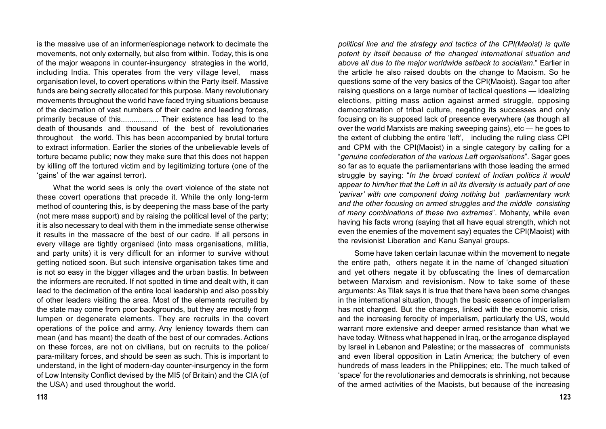is the massive use of an informer/espionage network to decimate the movements, not only externally, but also from within. Today, this is one of the major weapons in counter-insurgency strategies in the world, including India. This operates from the very village level, mass organisation level, to covert operations within the Party itself. Massive funds are being secretly allocated for this purpose. Many revolutionary movements throughout the world have faced trying situations because of the decimation of vast numbers of their cadre and leading forces, primarily because of this.................. Their existence has lead to the death of thousands and thousand of the best of revolutionaries throughout the world. This has been accompanied by brutal torture to extract information. Earlier the stories of the unbelievable levels of torture became public; now they make sure that this does not happen by killing off the tortured victim and by legitimizing torture (one of the 'gains' of the war against terror).

What the world sees is only the overt violence of the state not these covert operations that precede it. While the only long-term method of countering this, is by deepening the mass base of the party (not mere mass support) and by raising the political level of the party; it is also necessary to deal with them in the immediate sense otherwise it results in the massacre of the best of our cadre. If all persons in every village are tightly organised (into mass organisations, militia, and party units) it is very difficult for an informer to survive without getting noticed soon. But such intensive organisation takes time and is not so easy in the bigger villages and the urban bastis. In between the informers are recruited. If not spotted in time and dealt with, it can lead to the decimation of the entire local leadership and also possibly of other leaders visiting the area. Most of the elements recruited by the state may come from poor backgrounds, but they are mostly from lumpen or degenerate elements. They are recruits in the covert operations of the police and army. Any leniency towards them can mean (and has meant) the death of the best of our comrades. Actions on these forces, are not on civilians, but on recruits to the police/ para-military forces, and should be seen as such. This is important to understand, in the light of modern-day counter-insurgency in the form of Low Intensity Conflict devised by the MI5 (of Britain) and the CIA (of the USA) and used throughout the world.

*political line and the strategy and tactics of the CPI(Maoist) is quite potent by itself because of the changed international situation and above all due to the major worldwide setback to socialism*." Earlier in the article he also raised doubts on the change to Maoism. So he questions some of the very basics of the CPI(Maoist). Sagar too after raising questions on a large number of tactical questions — idealizing elections, pitting mass action against armed struggle, opposing democratization of tribal culture, negating its successes and only focusing on its supposed lack of presence everywhere (as though all over the world Marxists are making sweeping gains), etc — he goes to the extent of clubbing the entire 'left', including the ruling class CPI and CPM with the CPI(Maoist) in a single category by calling for a "*genuine confederation of the various Left organisations*". Sagar goes so far as to equate the parliamentarians with those leading the armed struggle by saying: "*In the broad context of Indian politics it would appear to him/her that the Left in all its diversity is actually part of one 'parivar' with one component doing nothing but parliamentary work and the other focusing on armed struggles and the middle consisting of many combinations of these two extremes*". Mohanty, while even having his facts wrong (saying that all have equal strength, which not even the enemies of the movement say) equates the CPI(Maoist) with the revisionist Liberation and Kanu Sanyal groups.

Some have taken certain lacunae within the movement to negate the entire path, others negate it in the name of 'changed situation' and yet others negate it by obfuscating the lines of demarcation between Marxism and revisionism. Now to take some of these arguments: As Tilak says it is true that there have been some changes in the international situation, though the basic essence of imperialism has not changed. But the changes, linked with the economic crisis, and the increasing ferocity of imperialism, particularly the US, would warrant more extensive and deeper armed resistance than what we have today. Witness what happened in Iraq, or the arrogance displayed by Israel in Lebanon and Palestine; or the massacres of communists and even liberal opposition in Latin America; the butchery of even hundreds of mass leaders in the Philippines; etc. The much talked of 'space' for the revolutionaries and democrats is shrinking, not because of the armed activities of the Maoists, but because of the increasing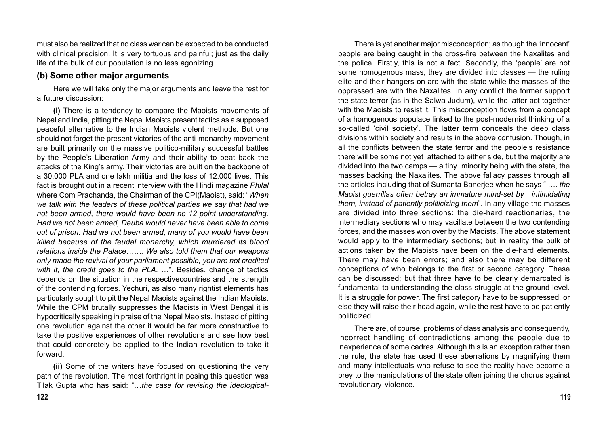must also be realized that no class war can be expected to be conducted with clinical precision. It is very tortuous and painful; just as the daily life of the bulk of our population is no less agonizing.

#### **(b) Some other major arguments**

Here we will take only the major arguments and leave the rest for a future discussion:

**(i)** There is a tendency to compare the Maoists movements of Nepal and India, pitting the Nepal Maoists present tactics as a supposed peaceful alternative to the Indian Maoists violent methods. But one should not forget the present victories of the anti-monarchy movement are built primarily on the massive politico-military successful battles by the People's Liberation Army and their ability to beat back the attacks of the King's army. Their victories are built on the backbone of a 30,000 PLA and one lakh militia and the loss of 12,000 lives. This fact is brought out in a recent interview with the Hindi magazine *Philal* where Com Prachanda, the Chairman of the CPI(Maoist), said: "*When we talk with the leaders of these political parties we say that had we not been armed, there would have been no 12-point understanding. Had we not been armed, Deuba would never have been able to come out of prison. Had we not been armed, many of you would have been killed because of the feudal monarchy, which murdered its blood relations inside the Palace……. We also told them that our weapons only made the revival of your parliament possible, you are not credited with it, the credit goes to the PLA.* …". Besides, change of tactics depends on the situation in the respectivecountries and the strength of the contending forces. Yechuri, as also many rightist elements has particularly sought to pit the Nepal Maoists against the Indian Maoists. While the CPM brutally suppresses the Maoists in West Bengal it is hypocritically speaking in praise of the Nepal Maoists. Instead of pitting one revolution against the other it would be far more constructive to take the positive experiences of other revolutions and see how best that could concretely be applied to the Indian revolution to take it forward.

**(ii)** Some of the writers have focused on questioning the very path of the revolution. The most forthright in posing this question was Tilak Gupta who has said: "…*the case for revising the ideological-*

There is yet another major misconception; as though the 'innocent' people are being caught in the cross-fire between the Naxalites and the police. Firstly, this is not a fact. Secondly, the 'people' are not some homogenous mass, they are divided into classes — the ruling elite and their hangers-on are with the state while the masses of the oppressed are with the Naxalites. In any conflict the former support the state terror (as in the Salwa Judum), while the latter act together with the Maoists to resist it. This misconception flows from a concept of a homogenous populace linked to the post-modernist thinking of a so-called 'civil society'. The latter term conceals the deep class divisions within society and results in the above confusion. Though, in all the conflicts between the state terror and the people's resistance there will be some not yet attached to either side, but the majority are divided into the two camps — a tiny minority being with the state, the masses backing the Naxalites. The above fallacy passes through all the articles including that of Sumanta Banerjee when he says " …. *the Maoist guerrillas often betray an immature mind-set by intimidating them, instead of patiently politicizing them*". In any village the masses are divided into three sections: the die-hard reactionaries, the intermediary sections who may vacillate between the two contending forces, and the masses won over by the Maoists. The above statement would apply to the intermediary sections; but in reality the bulk of actions taken by the Maoists have been on the die-hard elements. There may have been errors; and also there may be different conceptions of who belongs to the first or second category. These can be discussed; but that three have to be clearly demarcated is fundamental to understanding the class struggle at the ground level. It is a struggle for power. The first category have to be suppressed, or else they will raise their head again, while the rest have to be patiently politicized.

There are, of course, problems of class analysis and consequently, incorrect handling of contradictions among the people due to inexperience of some cadres. Although this is an exception rather than the rule, the state has used these aberrations by magnifying them and many intellectuals who refuse to see the reality have become a prey to the manipulations of the state often joining the chorus against revolutionary violence.